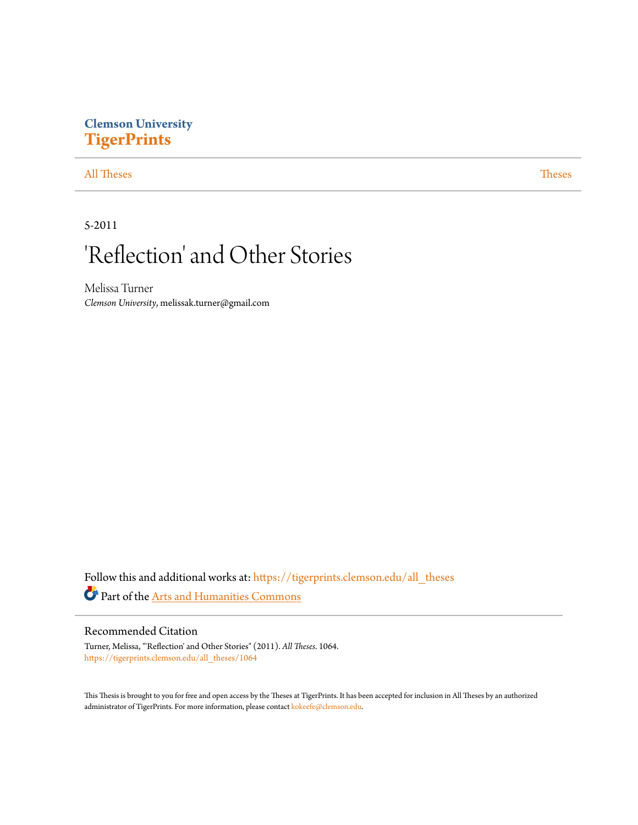# **Clemson University [TigerPrints](https://tigerprints.clemson.edu?utm_source=tigerprints.clemson.edu%2Fall_theses%2F1064&utm_medium=PDF&utm_campaign=PDFCoverPages)**

### [All Theses](https://tigerprints.clemson.edu/all_theses?utm_source=tigerprints.clemson.edu%2Fall_theses%2F1064&utm_medium=PDF&utm_campaign=PDFCoverPages) **[Theses](https://tigerprints.clemson.edu/theses?utm_source=tigerprints.clemson.edu%2Fall_theses%2F1064&utm_medium=PDF&utm_campaign=PDFCoverPages)**

### 5-2011

# 'Reflection' and Other Stories

Melissa Turner *Clemson University*, melissak.turner@gmail.com

Follow this and additional works at: [https://tigerprints.clemson.edu/all\\_theses](https://tigerprints.clemson.edu/all_theses?utm_source=tigerprints.clemson.edu%2Fall_theses%2F1064&utm_medium=PDF&utm_campaign=PDFCoverPages) Part of the [Arts and Humanities Commons](http://network.bepress.com/hgg/discipline/438?utm_source=tigerprints.clemson.edu%2Fall_theses%2F1064&utm_medium=PDF&utm_campaign=PDFCoverPages)

### Recommended Citation

Turner, Melissa, "'Reflection' and Other Stories" (2011). *All Theses*. 1064. [https://tigerprints.clemson.edu/all\\_theses/1064](https://tigerprints.clemson.edu/all_theses/1064?utm_source=tigerprints.clemson.edu%2Fall_theses%2F1064&utm_medium=PDF&utm_campaign=PDFCoverPages)

This Thesis is brought to you for free and open access by the Theses at TigerPrints. It has been accepted for inclusion in All Theses by an authorized administrator of TigerPrints. For more information, please contact [kokeefe@clemson.edu](mailto:kokeefe@clemson.edu).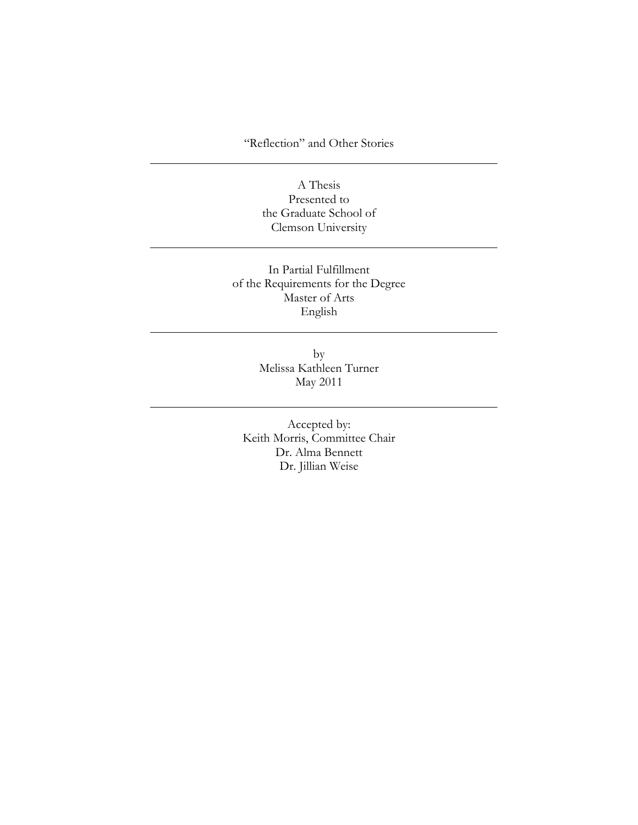"Reflection" and Other Stories

A Thesis Presented to the Graduate School of Clemson University

In Partial Fulfillment of the Requirements for the Degree Master of Arts English

> by Melissa Kathleen Turner May 2011

Accepted by: Keith Morris, Committee Chair Dr. Alma Bennett Dr. Jillian Weise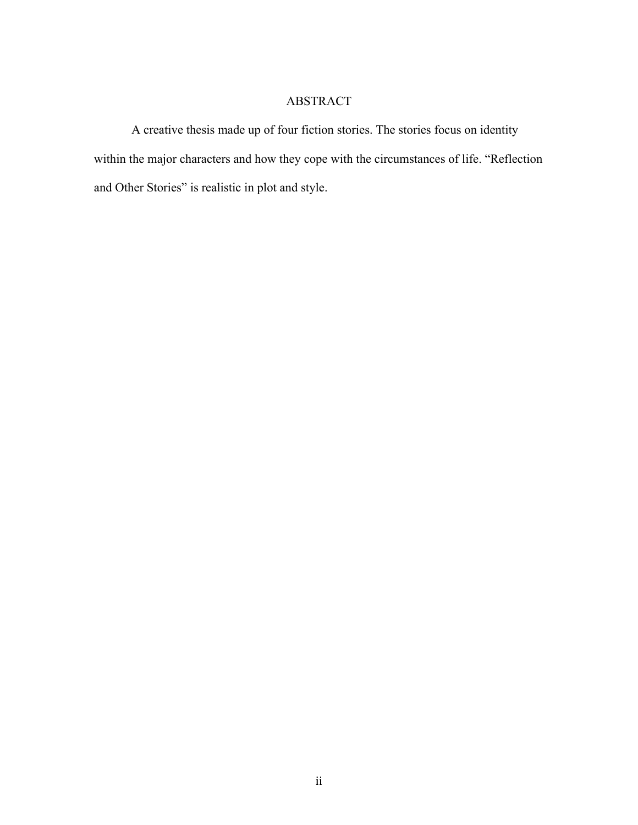### ABSTRACT

A creative thesis made up of four fiction stories. The stories focus on identity within the major characters and how they cope with the circumstances of life. "Reflection and Other Stories" is realistic in plot and style.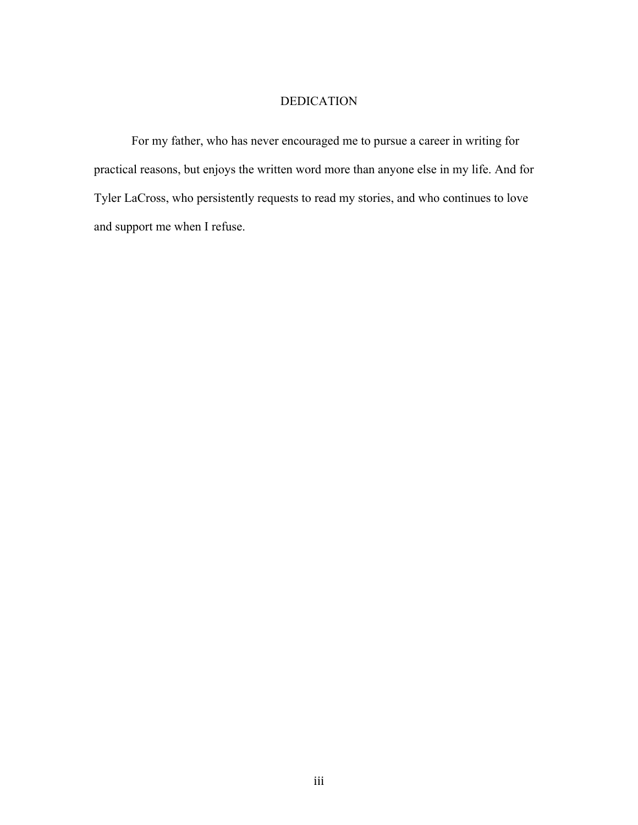### DEDICATION

For my father, who has never encouraged me to pursue a career in writing for practical reasons, but enjoys the written word more than anyone else in my life. And for Tyler LaCross, who persistently requests to read my stories, and who continues to love and support me when I refuse.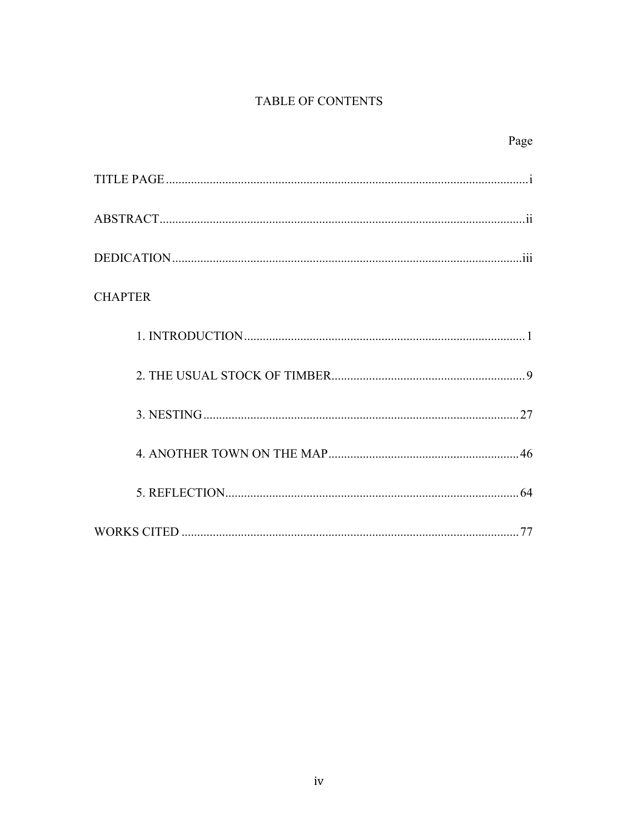## TABLE OF CONTENTS

|                | Page |
|----------------|------|
|                |      |
|                |      |
|                |      |
| <b>CHAPTER</b> |      |
|                |      |
|                |      |
|                |      |
|                |      |
|                |      |
|                |      |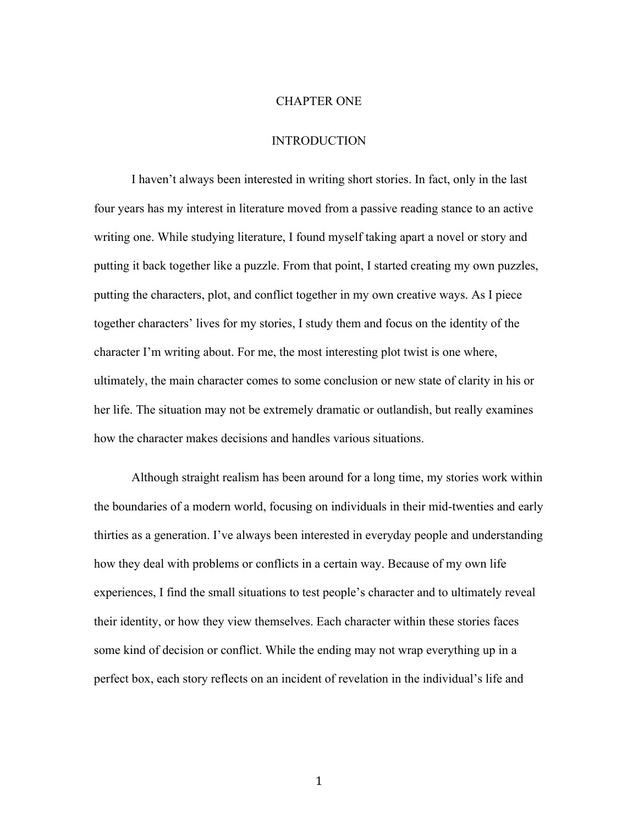#### CHAPTER ONE

### INTRODUCTION

I haven't always been interested in writing short stories. In fact, only in the last four years has my interest in literature moved from a passive reading stance to an active writing one. While studying literature, I found myself taking apart a novel or story and putting it back together like a puzzle. From that point, I started creating my own puzzles, putting the characters, plot, and conflict together in my own creative ways. As I piece together characters' lives for my stories, I study them and focus on the identity of the character I'm writing about. For me, the most interesting plot twist is one where, ultimately, the main character comes to some conclusion or new state of clarity in his or her life. The situation may not be extremely dramatic or outlandish, but really examines how the character makes decisions and handles various situations.

Although straight realism has been around for a long time, my stories work within the boundaries of a modern world, focusing on individuals in their mid-twenties and early thirties as a generation. I've always been interested in everyday people and understanding how they deal with problems or conflicts in a certain way. Because of my own life experiences, I find the small situations to test people's character and to ultimately reveal their identity, or how they view themselves. Each character within these stories faces some kind of decision or conflict. While the ending may not wrap everything up in a perfect box, each story reflects on an incident of revelation in the individual's life and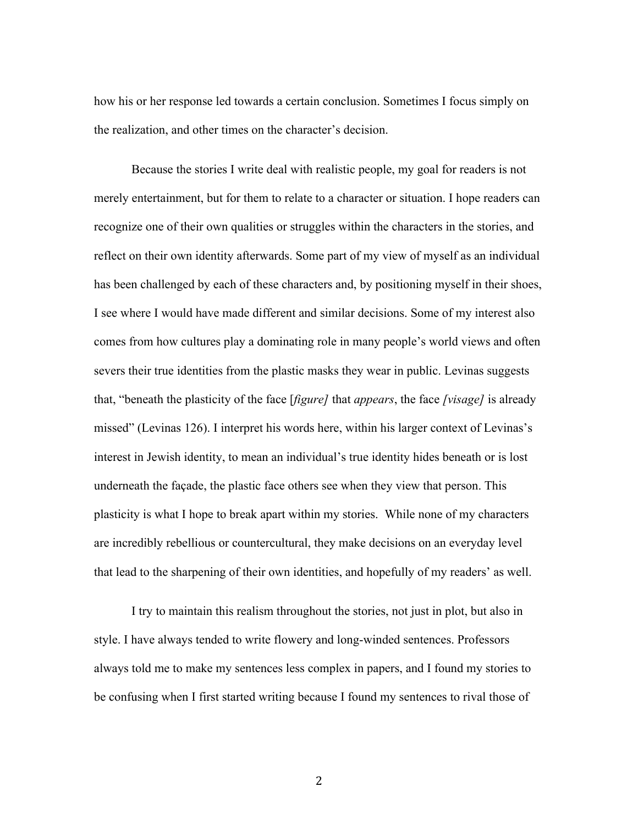how his or her response led towards a certain conclusion. Sometimes I focus simply on the realization, and other times on the character's decision.

Because the stories I write deal with realistic people, my goal for readers is not merely entertainment, but for them to relate to a character or situation. I hope readers can recognize one of their own qualities or struggles within the characters in the stories, and reflect on their own identity afterwards. Some part of my view of myself as an individual has been challenged by each of these characters and, by positioning myself in their shoes, I see where I would have made different and similar decisions. Some of my interest also comes from how cultures play a dominating role in many people's world views and often severs their true identities from the plastic masks they wear in public. Levinas suggests that, "beneath the plasticity of the face [*figure]* that *appears*, the face *[visage]* is already missed" (Levinas 126). I interpret his words here, within his larger context of Levinas's interest in Jewish identity, to mean an individual's true identity hides beneath or is lost underneath the façade, the plastic face others see when they view that person. This plasticity is what I hope to break apart within my stories. While none of my characters are incredibly rebellious or countercultural, they make decisions on an everyday level that lead to the sharpening of their own identities, and hopefully of my readers' as well.

I try to maintain this realism throughout the stories, not just in plot, but also in style. I have always tended to write flowery and long-winded sentences. Professors always told me to make my sentences less complex in papers, and I found my stories to be confusing when I first started writing because I found my sentences to rival those of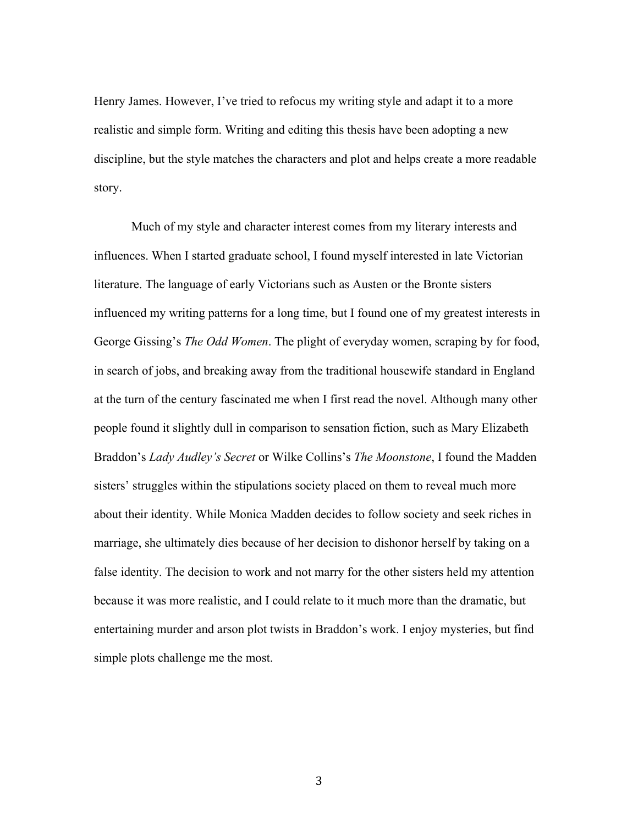Henry James. However, I've tried to refocus my writing style and adapt it to a more realistic and simple form. Writing and editing this thesis have been adopting a new discipline, but the style matches the characters and plot and helps create a more readable story.

Much of my style and character interest comes from my literary interests and influences. When I started graduate school, I found myself interested in late Victorian literature. The language of early Victorians such as Austen or the Bronte sisters influenced my writing patterns for a long time, but I found one of my greatest interests in George Gissing's *The Odd Women*. The plight of everyday women, scraping by for food, in search of jobs, and breaking away from the traditional housewife standard in England at the turn of the century fascinated me when I first read the novel. Although many other people found it slightly dull in comparison to sensation fiction, such as Mary Elizabeth Braddon's *Lady Audley's Secret* or Wilke Collins's *The Moonstone*, I found the Madden sisters' struggles within the stipulations society placed on them to reveal much more about their identity. While Monica Madden decides to follow society and seek riches in marriage, she ultimately dies because of her decision to dishonor herself by taking on a false identity. The decision to work and not marry for the other sisters held my attention because it was more realistic, and I could relate to it much more than the dramatic, but entertaining murder and arson plot twists in Braddon's work. I enjoy mysteries, but find simple plots challenge me the most.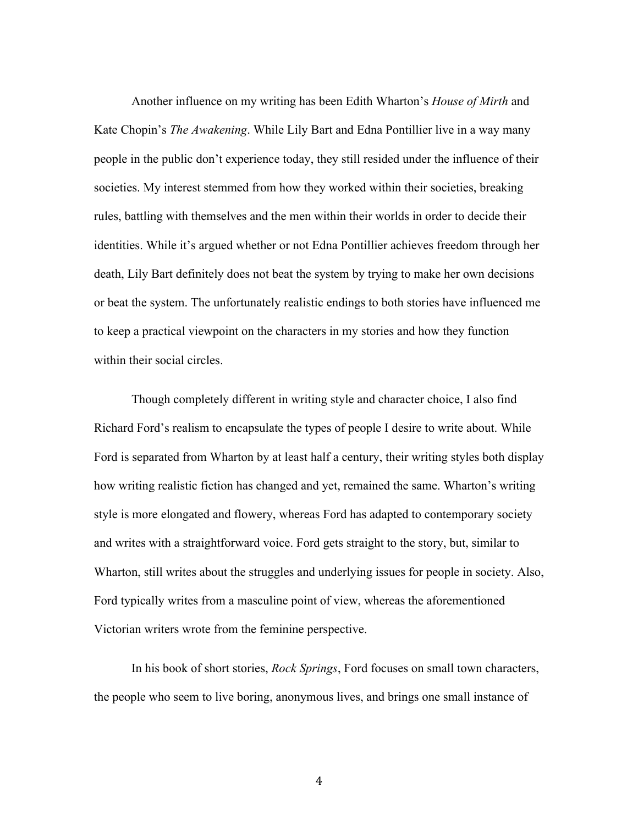Another influence on my writing has been Edith Wharton's *House of Mirth* and Kate Chopin's *The Awakening*. While Lily Bart and Edna Pontillier live in a way many people in the public don't experience today, they still resided under the influence of their societies. My interest stemmed from how they worked within their societies, breaking rules, battling with themselves and the men within their worlds in order to decide their identities. While it's argued whether or not Edna Pontillier achieves freedom through her death, Lily Bart definitely does not beat the system by trying to make her own decisions or beat the system. The unfortunately realistic endings to both stories have influenced me to keep a practical viewpoint on the characters in my stories and how they function within their social circles.

Though completely different in writing style and character choice, I also find Richard Ford's realism to encapsulate the types of people I desire to write about. While Ford is separated from Wharton by at least half a century, their writing styles both display how writing realistic fiction has changed and yet, remained the same. Wharton's writing style is more elongated and flowery, whereas Ford has adapted to contemporary society and writes with a straightforward voice. Ford gets straight to the story, but, similar to Wharton, still writes about the struggles and underlying issues for people in society. Also, Ford typically writes from a masculine point of view, whereas the aforementioned Victorian writers wrote from the feminine perspective.

In his book of short stories, *Rock Springs*, Ford focuses on small town characters, the people who seem to live boring, anonymous lives, and brings one small instance of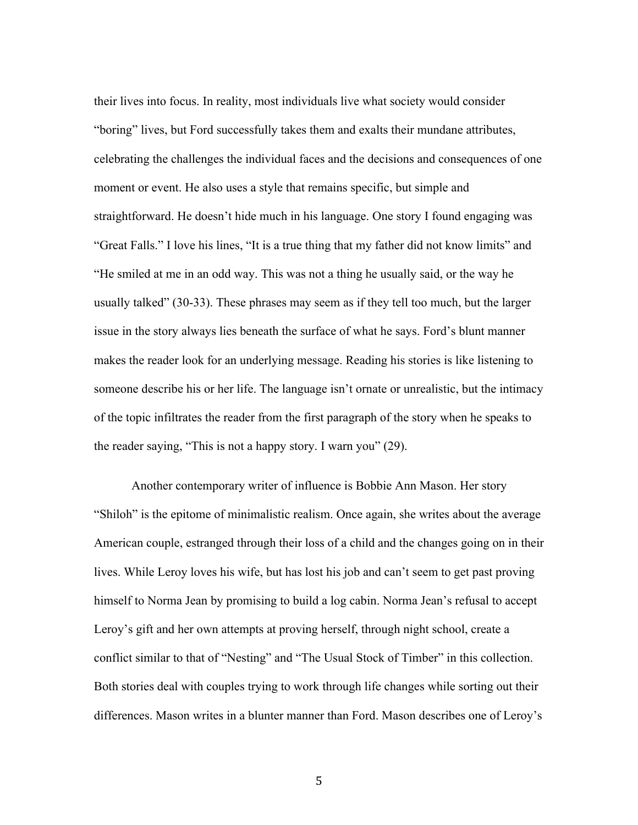their lives into focus. In reality, most individuals live what society would consider "boring" lives, but Ford successfully takes them and exalts their mundane attributes, celebrating the challenges the individual faces and the decisions and consequences of one moment or event. He also uses a style that remains specific, but simple and straightforward. He doesn't hide much in his language. One story I found engaging was "Great Falls." I love his lines, "It is a true thing that my father did not know limits" and "He smiled at me in an odd way. This was not a thing he usually said, or the way he usually talked" (30-33). These phrases may seem as if they tell too much, but the larger issue in the story always lies beneath the surface of what he says. Ford's blunt manner makes the reader look for an underlying message. Reading his stories is like listening to someone describe his or her life. The language isn't ornate or unrealistic, but the intimacy of the topic infiltrates the reader from the first paragraph of the story when he speaks to the reader saying, "This is not a happy story. I warn you" (29).

Another contemporary writer of influence is Bobbie Ann Mason. Her story "Shiloh" is the epitome of minimalistic realism. Once again, she writes about the average American couple, estranged through their loss of a child and the changes going on in their lives. While Leroy loves his wife, but has lost his job and can't seem to get past proving himself to Norma Jean by promising to build a log cabin. Norma Jean's refusal to accept Leroy's gift and her own attempts at proving herself, through night school, create a conflict similar to that of "Nesting" and "The Usual Stock of Timber" in this collection. Both stories deal with couples trying to work through life changes while sorting out their differences. Mason writes in a blunter manner than Ford. Mason describes one of Leroy's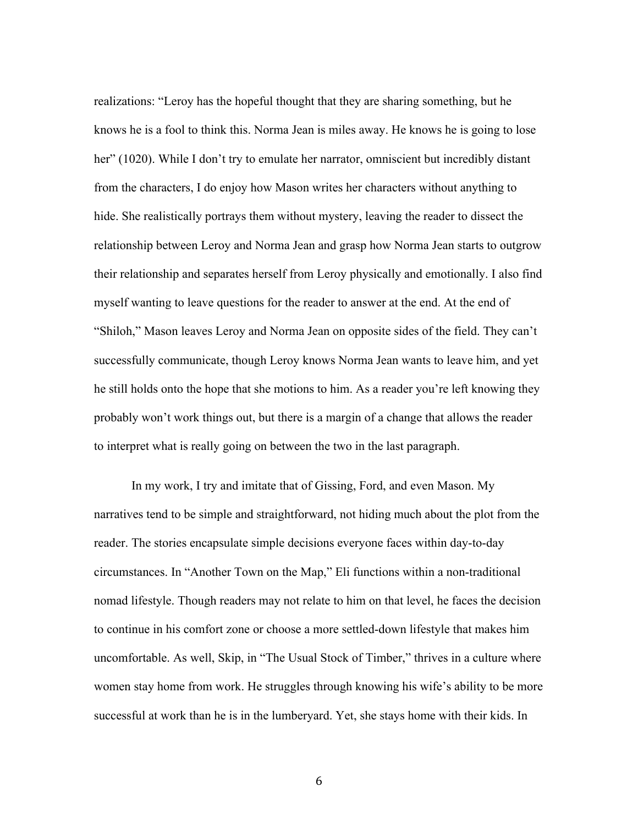realizations: "Leroy has the hopeful thought that they are sharing something, but he knows he is a fool to think this. Norma Jean is miles away. He knows he is going to lose her" (1020). While I don't try to emulate her narrator, omniscient but incredibly distant from the characters, I do enjoy how Mason writes her characters without anything to hide. She realistically portrays them without mystery, leaving the reader to dissect the relationship between Leroy and Norma Jean and grasp how Norma Jean starts to outgrow their relationship and separates herself from Leroy physically and emotionally. I also find myself wanting to leave questions for the reader to answer at the end. At the end of "Shiloh," Mason leaves Leroy and Norma Jean on opposite sides of the field. They can't successfully communicate, though Leroy knows Norma Jean wants to leave him, and yet he still holds onto the hope that she motions to him. As a reader you're left knowing they probably won't work things out, but there is a margin of a change that allows the reader to interpret what is really going on between the two in the last paragraph.

In my work, I try and imitate that of Gissing, Ford, and even Mason. My narratives tend to be simple and straightforward, not hiding much about the plot from the reader. The stories encapsulate simple decisions everyone faces within day-to-day circumstances. In "Another Town on the Map," Eli functions within a non-traditional nomad lifestyle. Though readers may not relate to him on that level, he faces the decision to continue in his comfort zone or choose a more settled-down lifestyle that makes him uncomfortable. As well, Skip, in "The Usual Stock of Timber," thrives in a culture where women stay home from work. He struggles through knowing his wife's ability to be more successful at work than he is in the lumberyard. Yet, she stays home with their kids. In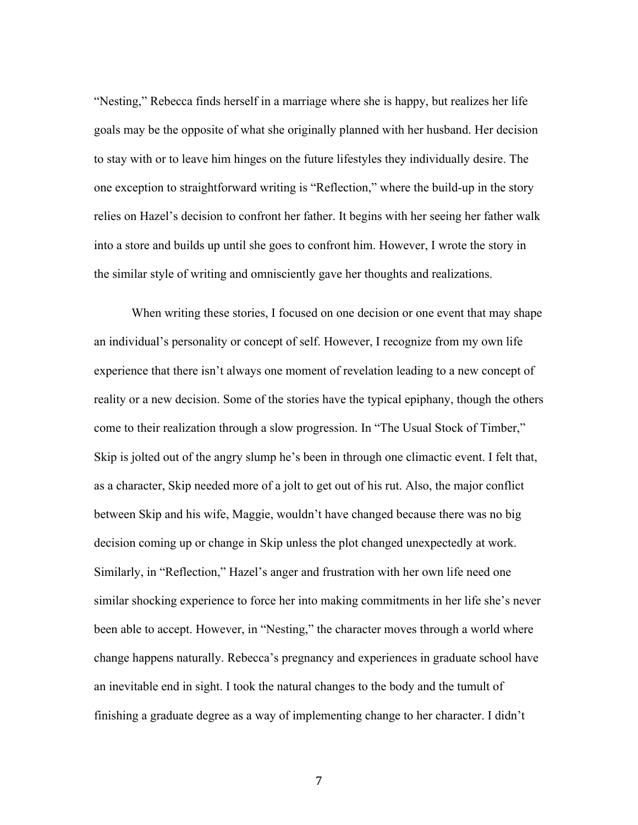"Nesting," Rebecca finds herself in a marriage where she is happy, but realizes her life goals may be the opposite of what she originally planned with her husband. Her decision to stay with or to leave him hinges on the future lifestyles they individually desire. The one exception to straightforward writing is "Reflection," where the build-up in the story relies on Hazel's decision to confront her father. It begins with her seeing her father walk into a store and builds up until she goes to confront him. However, I wrote the story in the similar style of writing and omnisciently gave her thoughts and realizations.

When writing these stories, I focused on one decision or one event that may shape an individual's personality or concept of self. However, I recognize from my own life experience that there isn't always one moment of revelation leading to a new concept of reality or a new decision. Some of the stories have the typical epiphany, though the others come to their realization through a slow progression. In "The Usual Stock of Timber," Skip is jolted out of the angry slump he's been in through one climactic event. I felt that, as a character, Skip needed more of a jolt to get out of his rut. Also, the major conflict between Skip and his wife, Maggie, wouldn't have changed because there was no big decision coming up or change in Skip unless the plot changed unexpectedly at work. Similarly, in "Reflection," Hazel's anger and frustration with her own life need one similar shocking experience to force her into making commitments in her life she's never been able to accept. However, in "Nesting," the character moves through a world where change happens naturally. Rebecca's pregnancy and experiences in graduate school have an inevitable end in sight. I took the natural changes to the body and the tumult of finishing a graduate degree as a way of implementing change to her character. I didn't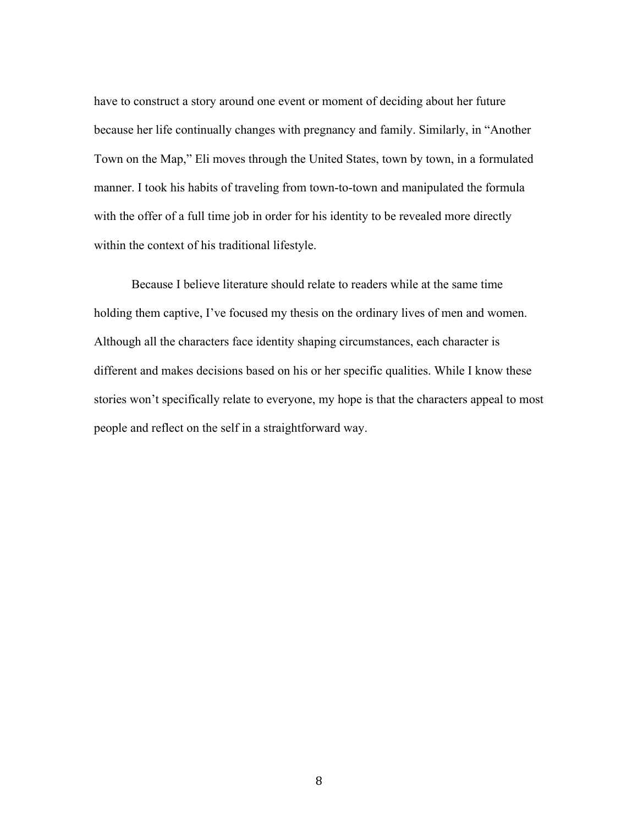have to construct a story around one event or moment of deciding about her future because her life continually changes with pregnancy and family. Similarly, in "Another Town on the Map," Eli moves through the United States, town by town, in a formulated manner. I took his habits of traveling from town-to-town and manipulated the formula with the offer of a full time job in order for his identity to be revealed more directly within the context of his traditional lifestyle.

Because I believe literature should relate to readers while at the same time holding them captive, I've focused my thesis on the ordinary lives of men and women. Although all the characters face identity shaping circumstances, each character is different and makes decisions based on his or her specific qualities. While I know these stories won't specifically relate to everyone, my hope is that the characters appeal to most people and reflect on the self in a straightforward way.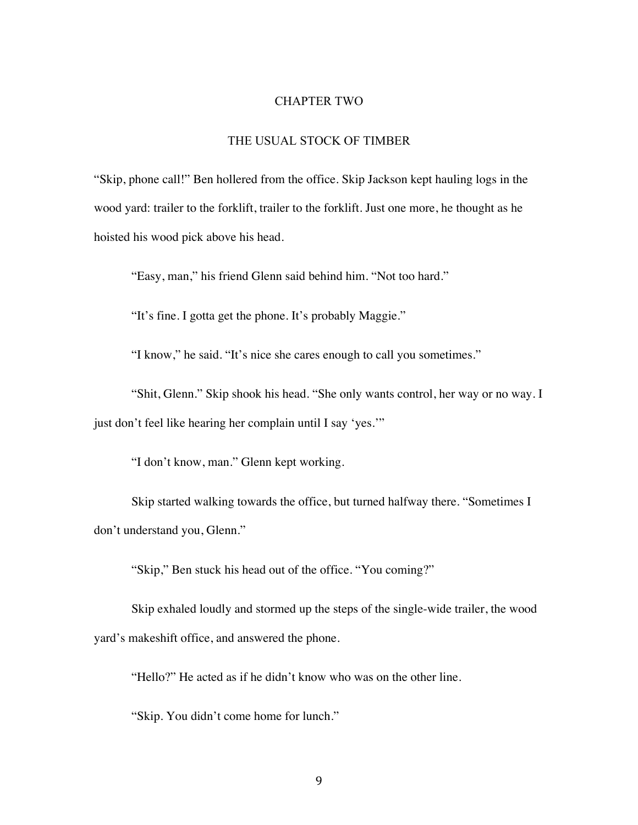#### CHAPTER TWO

### THE USUAL STOCK OF TIMBER

"Skip, phone call!" Ben hollered from the office. Skip Jackson kept hauling logs in the wood yard: trailer to the forklift, trailer to the forklift. Just one more, he thought as he hoisted his wood pick above his head.

"Easy, man," his friend Glenn said behind him. "Not too hard."

"It's fine. I gotta get the phone. It's probably Maggie."

"I know," he said. "It's nice she cares enough to call you sometimes."

"Shit, Glenn." Skip shook his head. "She only wants control, her way or no way. I just don't feel like hearing her complain until I say 'yes.'"

"I don't know, man." Glenn kept working.

Skip started walking towards the office, but turned halfway there. "Sometimes I don't understand you, Glenn."

"Skip," Ben stuck his head out of the office. "You coming?"

Skip exhaled loudly and stormed up the steps of the single-wide trailer, the wood yard's makeshift office, and answered the phone.

"Hello?" He acted as if he didn't know who was on the other line.

"Skip. You didn't come home for lunch."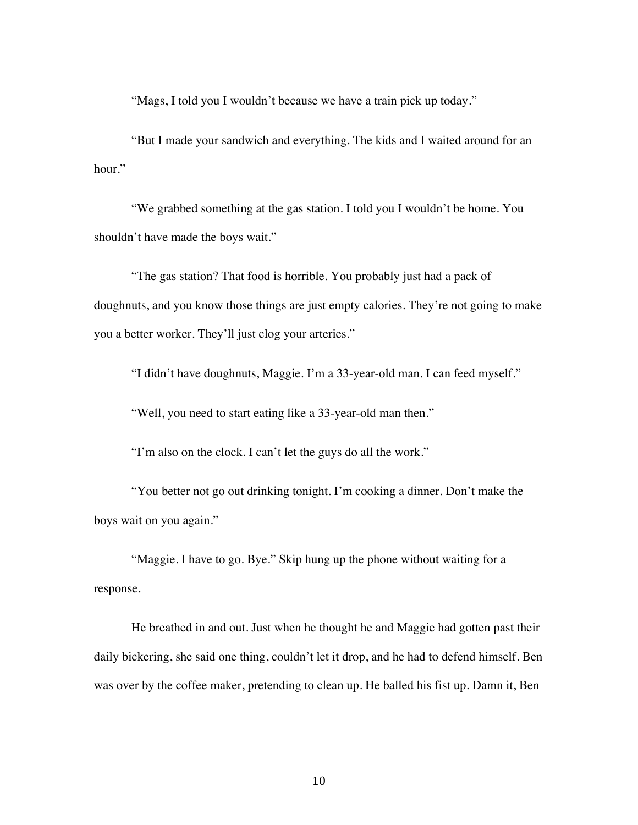"Mags, I told you I wouldn't because we have a train pick up today."

"But I made your sandwich and everything. The kids and I waited around for an hour."

"We grabbed something at the gas station. I told you I wouldn't be home. You shouldn't have made the boys wait."

"The gas station? That food is horrible. You probably just had a pack of doughnuts, and you know those things are just empty calories. They're not going to make you a better worker. They'll just clog your arteries."

"I didn't have doughnuts, Maggie. I'm a 33-year-old man. I can feed myself."

"Well, you need to start eating like a 33-year-old man then."

"I'm also on the clock. I can't let the guys do all the work."

"You better not go out drinking tonight. I'm cooking a dinner. Don't make the boys wait on you again."

"Maggie. I have to go. Bye." Skip hung up the phone without waiting for a response.

He breathed in and out. Just when he thought he and Maggie had gotten past their daily bickering, she said one thing, couldn't let it drop, and he had to defend himself. Ben was over by the coffee maker, pretending to clean up. He balled his fist up. Damn it, Ben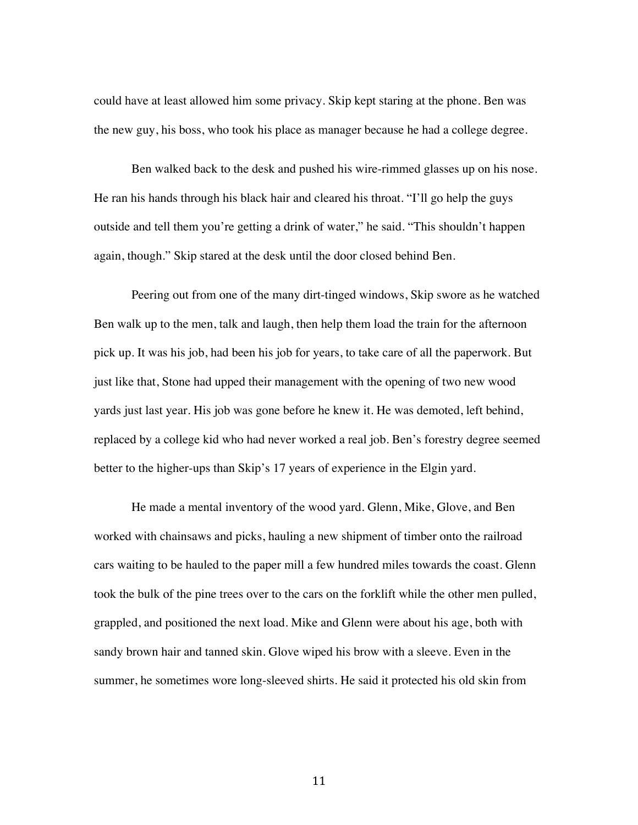could have at least allowed him some privacy. Skip kept staring at the phone. Ben was the new guy, his boss, who took his place as manager because he had a college degree.

Ben walked back to the desk and pushed his wire-rimmed glasses up on his nose. He ran his hands through his black hair and cleared his throat. "I'll go help the guys outside and tell them you're getting a drink of water," he said. "This shouldn't happen again, though." Skip stared at the desk until the door closed behind Ben.

Peering out from one of the many dirt-tinged windows, Skip swore as he watched Ben walk up to the men, talk and laugh, then help them load the train for the afternoon pick up. It was his job, had been his job for years, to take care of all the paperwork. But just like that, Stone had upped their management with the opening of two new wood yards just last year. His job was gone before he knew it. He was demoted, left behind, replaced by a college kid who had never worked a real job. Ben's forestry degree seemed better to the higher-ups than Skip's 17 years of experience in the Elgin yard.

He made a mental inventory of the wood yard. Glenn, Mike, Glove, and Ben worked with chainsaws and picks, hauling a new shipment of timber onto the railroad cars waiting to be hauled to the paper mill a few hundred miles towards the coast. Glenn took the bulk of the pine trees over to the cars on the forklift while the other men pulled, grappled, and positioned the next load. Mike and Glenn were about his age, both with sandy brown hair and tanned skin. Glove wiped his brow with a sleeve. Even in the summer, he sometimes wore long-sleeved shirts. He said it protected his old skin from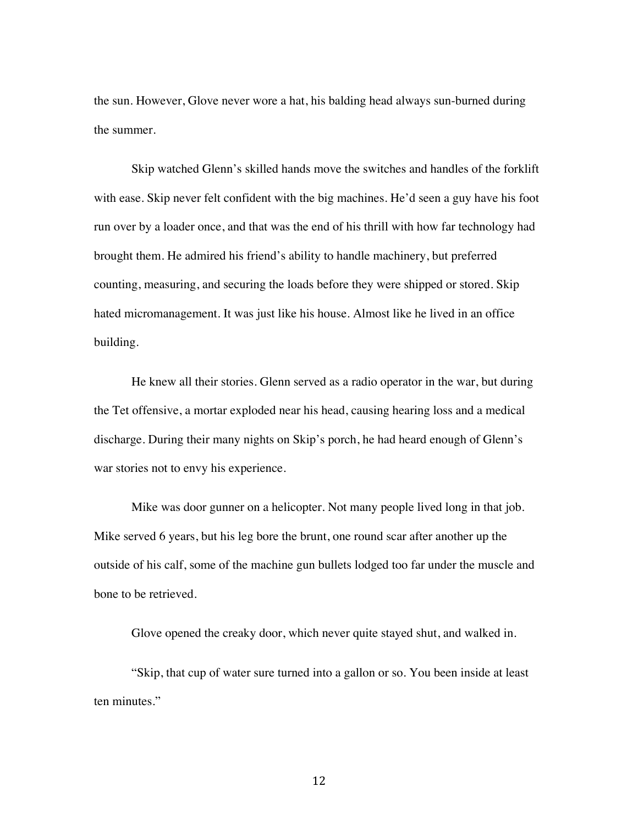the sun. However, Glove never wore a hat, his balding head always sun-burned during the summer.

Skip watched Glenn's skilled hands move the switches and handles of the forklift with ease. Skip never felt confident with the big machines. He'd seen a guy have his foot run over by a loader once, and that was the end of his thrill with how far technology had brought them. He admired his friend's ability to handle machinery, but preferred counting, measuring, and securing the loads before they were shipped or stored. Skip hated micromanagement. It was just like his house. Almost like he lived in an office building.

He knew all their stories. Glenn served as a radio operator in the war, but during the Tet offensive, a mortar exploded near his head, causing hearing loss and a medical discharge. During their many nights on Skip's porch, he had heard enough of Glenn's war stories not to envy his experience.

Mike was door gunner on a helicopter. Not many people lived long in that job. Mike served 6 years, but his leg bore the brunt, one round scar after another up the outside of his calf, some of the machine gun bullets lodged too far under the muscle and bone to be retrieved.

Glove opened the creaky door, which never quite stayed shut, and walked in.

"Skip, that cup of water sure turned into a gallon or so. You been inside at least ten minutes."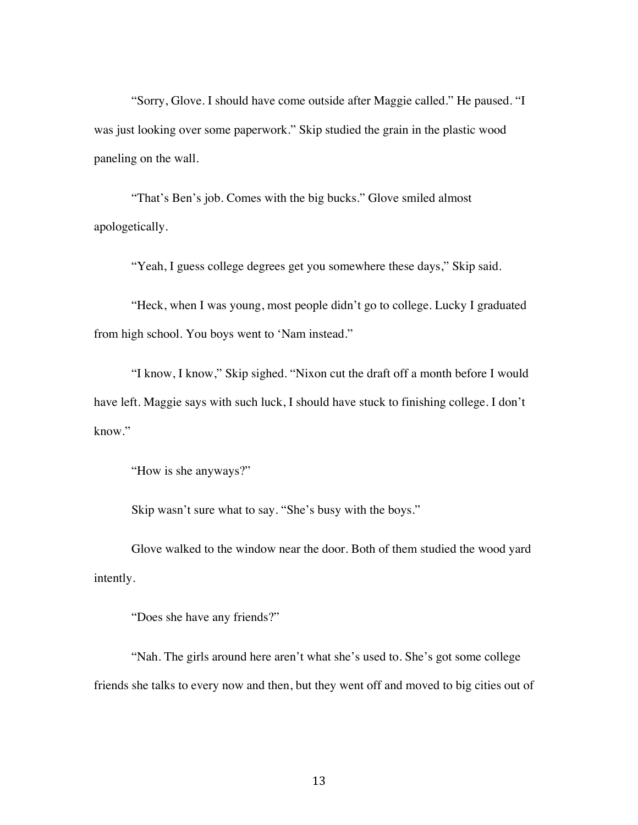"Sorry, Glove. I should have come outside after Maggie called." He paused. "I was just looking over some paperwork." Skip studied the grain in the plastic wood paneling on the wall.

"That's Ben's job. Comes with the big bucks." Glove smiled almost apologetically.

"Yeah, I guess college degrees get you somewhere these days," Skip said.

"Heck, when I was young, most people didn't go to college. Lucky I graduated from high school. You boys went to 'Nam instead."

"I know, I know," Skip sighed. "Nixon cut the draft off a month before I would have left. Maggie says with such luck, I should have stuck to finishing college. I don't know."

"How is she anyways?"

Skip wasn't sure what to say. "She's busy with the boys."

Glove walked to the window near the door. Both of them studied the wood yard intently.

"Does she have any friends?"

"Nah. The girls around here aren't what she's used to. She's got some college friends she talks to every now and then, but they went off and moved to big cities out of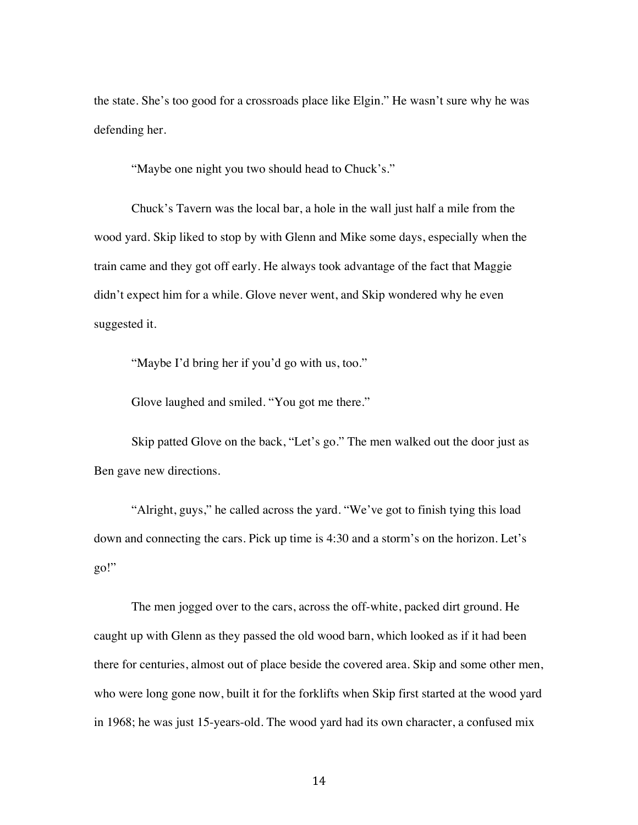the state. She's too good for a crossroads place like Elgin." He wasn't sure why he was defending her.

"Maybe one night you two should head to Chuck's."

Chuck's Tavern was the local bar, a hole in the wall just half a mile from the wood yard. Skip liked to stop by with Glenn and Mike some days, especially when the train came and they got off early. He always took advantage of the fact that Maggie didn't expect him for a while. Glove never went, and Skip wondered why he even suggested it.

"Maybe I'd bring her if you'd go with us, too."

Glove laughed and smiled. "You got me there."

Skip patted Glove on the back, "Let's go." The men walked out the door just as Ben gave new directions.

"Alright, guys," he called across the yard. "We've got to finish tying this load down and connecting the cars. Pick up time is 4:30 and a storm's on the horizon. Let's go!"

The men jogged over to the cars, across the off-white, packed dirt ground. He caught up with Glenn as they passed the old wood barn, which looked as if it had been there for centuries, almost out of place beside the covered area. Skip and some other men, who were long gone now, built it for the forklifts when Skip first started at the wood yard in 1968; he was just 15-years-old. The wood yard had its own character, a confused mix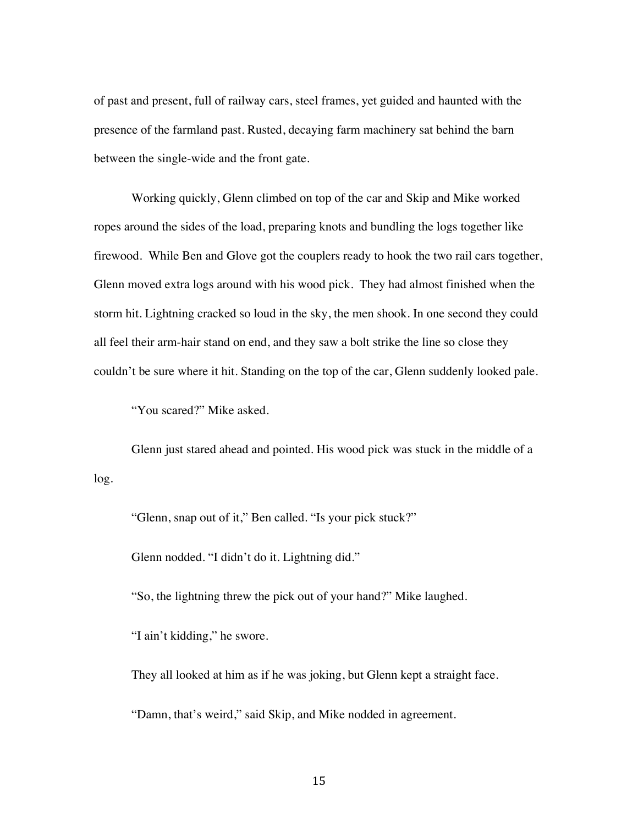of past and present, full of railway cars, steel frames, yet guided and haunted with the presence of the farmland past. Rusted, decaying farm machinery sat behind the barn between the single-wide and the front gate.

Working quickly, Glenn climbed on top of the car and Skip and Mike worked ropes around the sides of the load, preparing knots and bundling the logs together like firewood. While Ben and Glove got the couplers ready to hook the two rail cars together, Glenn moved extra logs around with his wood pick. They had almost finished when the storm hit. Lightning cracked so loud in the sky, the men shook. In one second they could all feel their arm-hair stand on end, and they saw a bolt strike the line so close they couldn't be sure where it hit. Standing on the top of the car, Glenn suddenly looked pale.

"You scared?" Mike asked.

Glenn just stared ahead and pointed. His wood pick was stuck in the middle of a log.

"Glenn, snap out of it," Ben called. "Is your pick stuck?"

Glenn nodded. "I didn't do it. Lightning did."

"So, the lightning threw the pick out of your hand?" Mike laughed.

"I ain't kidding," he swore.

They all looked at him as if he was joking, but Glenn kept a straight face.

"Damn, that's weird," said Skip, and Mike nodded in agreement.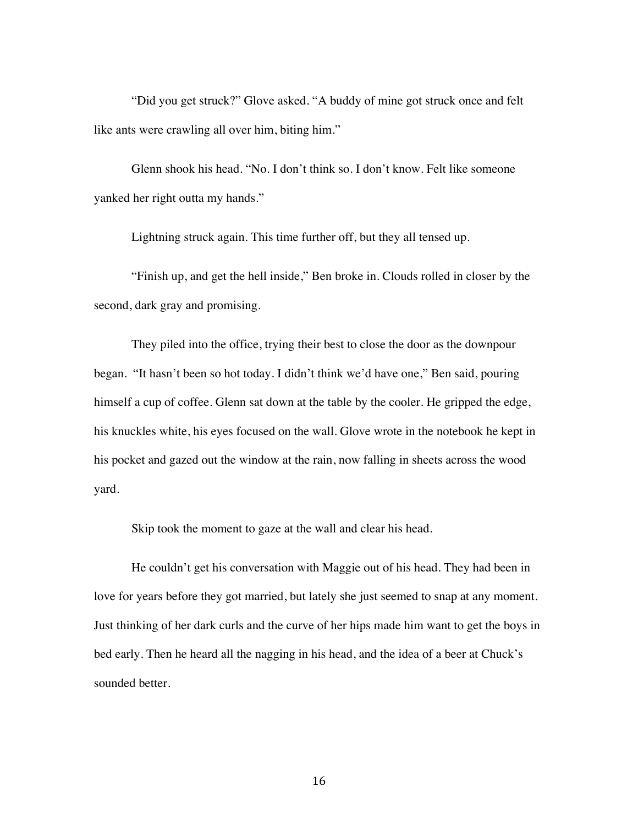"Did you get struck?" Glove asked. "A buddy of mine got struck once and felt like ants were crawling all over him, biting him."

Glenn shook his head. "No. I don't think so. I don't know. Felt like someone yanked her right outta my hands."

Lightning struck again. This time further off, but they all tensed up.

"Finish up, and get the hell inside," Ben broke in. Clouds rolled in closer by the second, dark gray and promising.

They piled into the office, trying their best to close the door as the downpour began. "It hasn't been so hot today. I didn't think we'd have one," Ben said, pouring himself a cup of coffee. Glenn sat down at the table by the cooler. He gripped the edge, his knuckles white, his eyes focused on the wall. Glove wrote in the notebook he kept in his pocket and gazed out the window at the rain, now falling in sheets across the wood yard.

Skip took the moment to gaze at the wall and clear his head.

He couldn't get his conversation with Maggie out of his head. They had been in love for years before they got married, but lately she just seemed to snap at any moment. Just thinking of her dark curls and the curve of her hips made him want to get the boys in bed early. Then he heard all the nagging in his head, and the idea of a beer at Chuck's sounded better.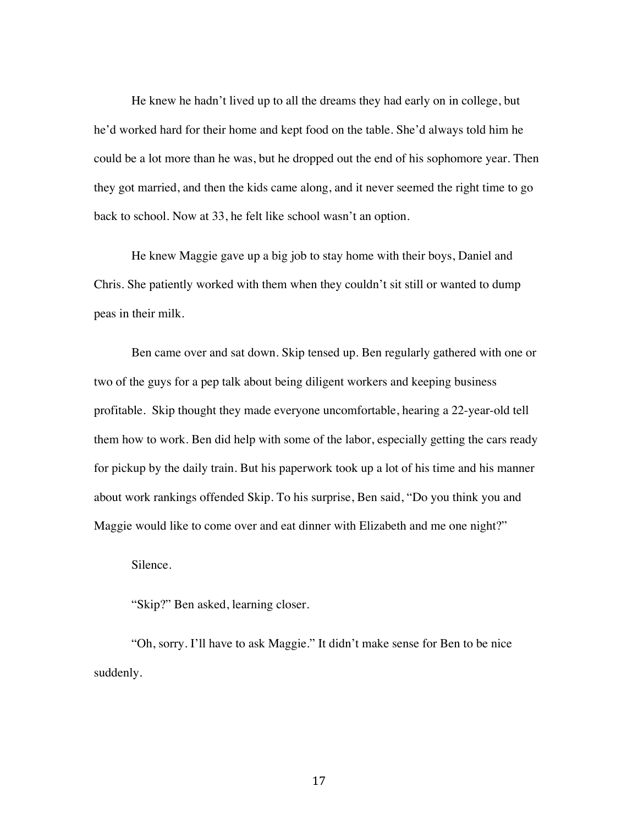He knew he hadn't lived up to all the dreams they had early on in college, but he'd worked hard for their home and kept food on the table. She'd always told him he could be a lot more than he was, but he dropped out the end of his sophomore year. Then they got married, and then the kids came along, and it never seemed the right time to go back to school. Now at 33, he felt like school wasn't an option.

He knew Maggie gave up a big job to stay home with their boys, Daniel and Chris. She patiently worked with them when they couldn't sit still or wanted to dump peas in their milk.

Ben came over and sat down. Skip tensed up. Ben regularly gathered with one or two of the guys for a pep talk about being diligent workers and keeping business profitable. Skip thought they made everyone uncomfortable, hearing a 22-year-old tell them how to work. Ben did help with some of the labor, especially getting the cars ready for pickup by the daily train. But his paperwork took up a lot of his time and his manner about work rankings offended Skip. To his surprise, Ben said, "Do you think you and Maggie would like to come over and eat dinner with Elizabeth and me one night?"

Silence.

"Skip?" Ben asked, learning closer.

"Oh, sorry. I'll have to ask Maggie." It didn't make sense for Ben to be nice suddenly.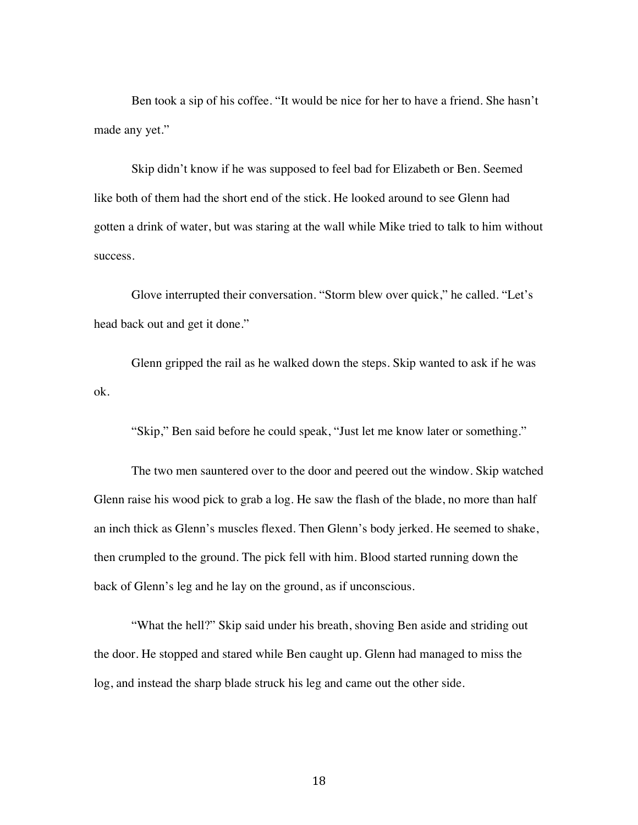Ben took a sip of his coffee. "It would be nice for her to have a friend. She hasn't made any yet."

Skip didn't know if he was supposed to feel bad for Elizabeth or Ben. Seemed like both of them had the short end of the stick. He looked around to see Glenn had gotten a drink of water, but was staring at the wall while Mike tried to talk to him without success.

Glove interrupted their conversation. "Storm blew over quick," he called. "Let's head back out and get it done."

Glenn gripped the rail as he walked down the steps. Skip wanted to ask if he was ok.

"Skip," Ben said before he could speak, "Just let me know later or something."

The two men sauntered over to the door and peered out the window. Skip watched Glenn raise his wood pick to grab a log. He saw the flash of the blade, no more than half an inch thick as Glenn's muscles flexed. Then Glenn's body jerked. He seemed to shake, then crumpled to the ground. The pick fell with him. Blood started running down the back of Glenn's leg and he lay on the ground, as if unconscious.

"What the hell?" Skip said under his breath, shoving Ben aside and striding out the door. He stopped and stared while Ben caught up. Glenn had managed to miss the log, and instead the sharp blade struck his leg and came out the other side.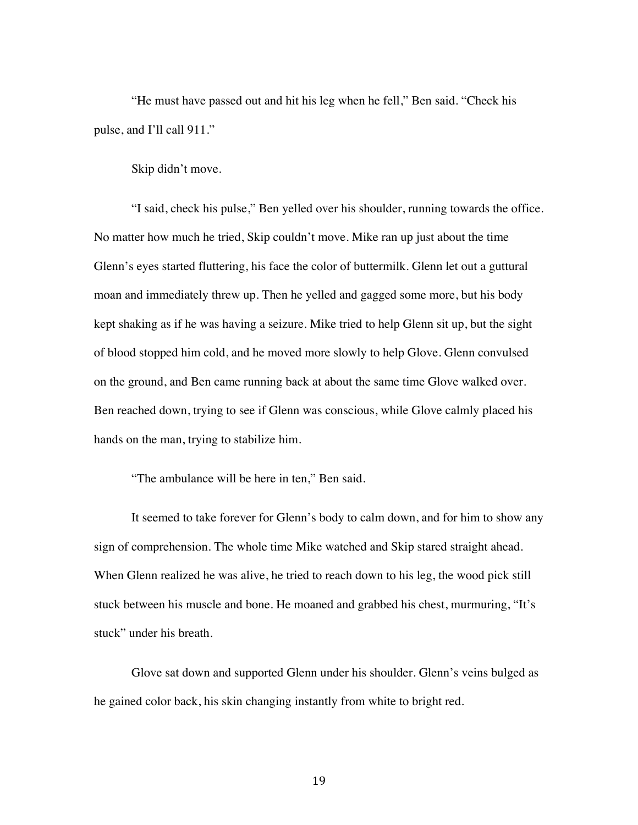"He must have passed out and hit his leg when he fell," Ben said. "Check his pulse, and I'll call 911."

Skip didn't move.

"I said, check his pulse," Ben yelled over his shoulder, running towards the office. No matter how much he tried, Skip couldn't move. Mike ran up just about the time Glenn's eyes started fluttering, his face the color of buttermilk. Glenn let out a guttural moan and immediately threw up. Then he yelled and gagged some more, but his body kept shaking as if he was having a seizure. Mike tried to help Glenn sit up, but the sight of blood stopped him cold, and he moved more slowly to help Glove. Glenn convulsed on the ground, and Ben came running back at about the same time Glove walked over. Ben reached down, trying to see if Glenn was conscious, while Glove calmly placed his hands on the man, trying to stabilize him.

"The ambulance will be here in ten," Ben said.

It seemed to take forever for Glenn's body to calm down, and for him to show any sign of comprehension. The whole time Mike watched and Skip stared straight ahead. When Glenn realized he was alive, he tried to reach down to his leg, the wood pick still stuck between his muscle and bone. He moaned and grabbed his chest, murmuring, "It's stuck" under his breath.

Glove sat down and supported Glenn under his shoulder. Glenn's veins bulged as he gained color back, his skin changing instantly from white to bright red.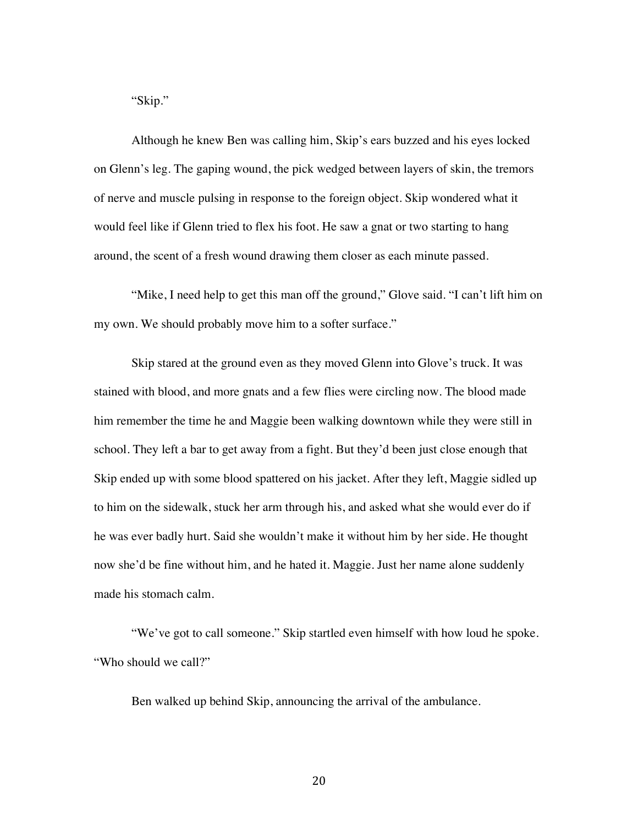"Skip."

Although he knew Ben was calling him, Skip's ears buzzed and his eyes locked on Glenn's leg. The gaping wound, the pick wedged between layers of skin, the tremors of nerve and muscle pulsing in response to the foreign object. Skip wondered what it would feel like if Glenn tried to flex his foot. He saw a gnat or two starting to hang around, the scent of a fresh wound drawing them closer as each minute passed.

"Mike, I need help to get this man off the ground," Glove said. "I can't lift him on my own. We should probably move him to a softer surface."

Skip stared at the ground even as they moved Glenn into Glove's truck. It was stained with blood, and more gnats and a few flies were circling now. The blood made him remember the time he and Maggie been walking downtown while they were still in school. They left a bar to get away from a fight. But they'd been just close enough that Skip ended up with some blood spattered on his jacket. After they left, Maggie sidled up to him on the sidewalk, stuck her arm through his, and asked what she would ever do if he was ever badly hurt. Said she wouldn't make it without him by her side. He thought now she'd be fine without him, and he hated it. Maggie. Just her name alone suddenly made his stomach calm.

"We've got to call someone." Skip startled even himself with how loud he spoke. "Who should we call?"

Ben walked up behind Skip, announcing the arrival of the ambulance.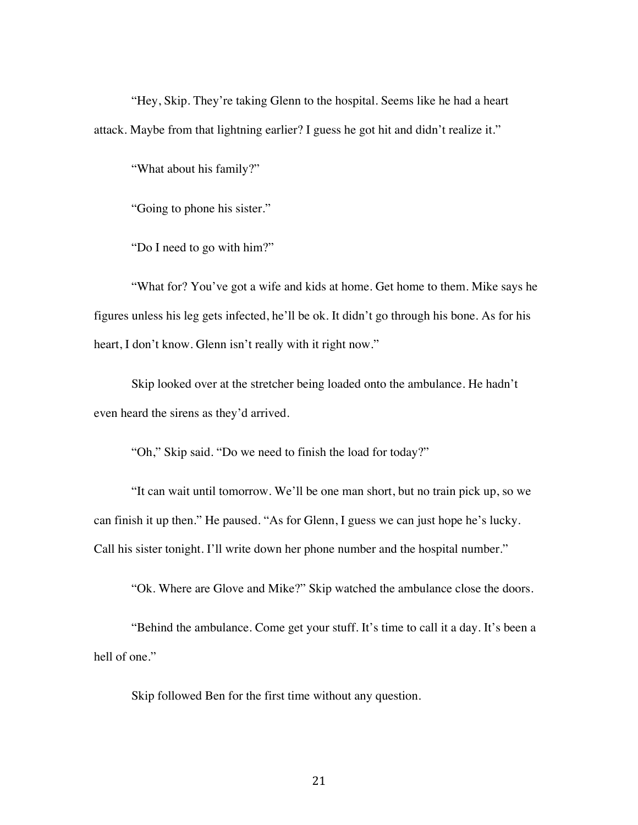"Hey, Skip. They're taking Glenn to the hospital. Seems like he had a heart attack. Maybe from that lightning earlier? I guess he got hit and didn't realize it."

"What about his family?"

"Going to phone his sister."

"Do I need to go with him?"

"What for? You've got a wife and kids at home. Get home to them. Mike says he figures unless his leg gets infected, he'll be ok. It didn't go through his bone. As for his heart, I don't know. Glenn isn't really with it right now."

Skip looked over at the stretcher being loaded onto the ambulance. He hadn't even heard the sirens as they'd arrived.

"Oh," Skip said. "Do we need to finish the load for today?"

"It can wait until tomorrow. We'll be one man short, but no train pick up, so we can finish it up then." He paused. "As for Glenn, I guess we can just hope he's lucky. Call his sister tonight. I'll write down her phone number and the hospital number."

"Ok. Where are Glove and Mike?" Skip watched the ambulance close the doors.

"Behind the ambulance. Come get your stuff. It's time to call it a day. It's been a hell of one."

Skip followed Ben for the first time without any question.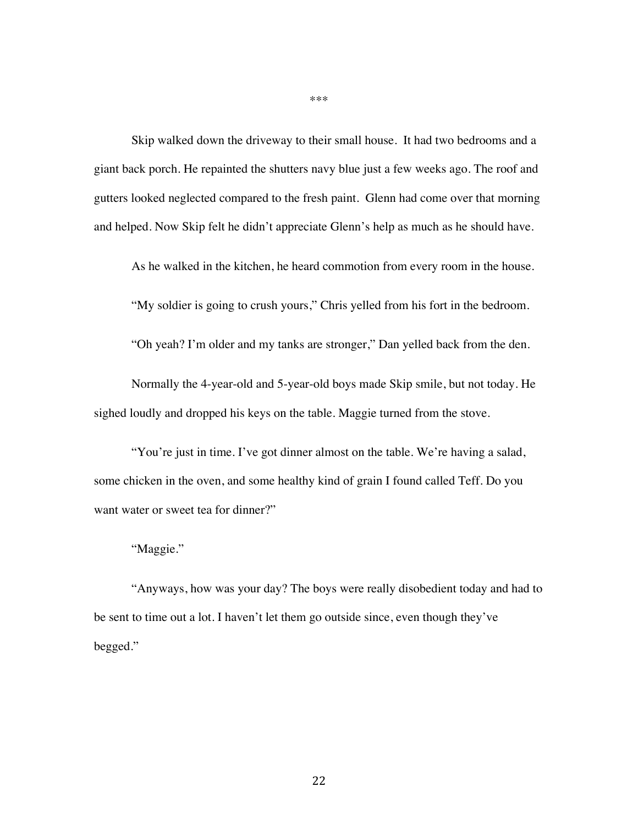Skip walked down the driveway to their small house. It had two bedrooms and a giant back porch. He repainted the shutters navy blue just a few weeks ago. The roof and gutters looked neglected compared to the fresh paint. Glenn had come over that morning and helped. Now Skip felt he didn't appreciate Glenn's help as much as he should have.

As he walked in the kitchen, he heard commotion from every room in the house.

"My soldier is going to crush yours," Chris yelled from his fort in the bedroom.

"Oh yeah? I'm older and my tanks are stronger," Dan yelled back from the den.

Normally the 4-year-old and 5-year-old boys made Skip smile, but not today. He sighed loudly and dropped his keys on the table. Maggie turned from the stove.

"You're just in time. I've got dinner almost on the table. We're having a salad, some chicken in the oven, and some healthy kind of grain I found called Teff. Do you want water or sweet tea for dinner?"

"Maggie."

"Anyways, how was your day? The boys were really disobedient today and had to be sent to time out a lot. I haven't let them go outside since, even though they've begged."

\*\*\*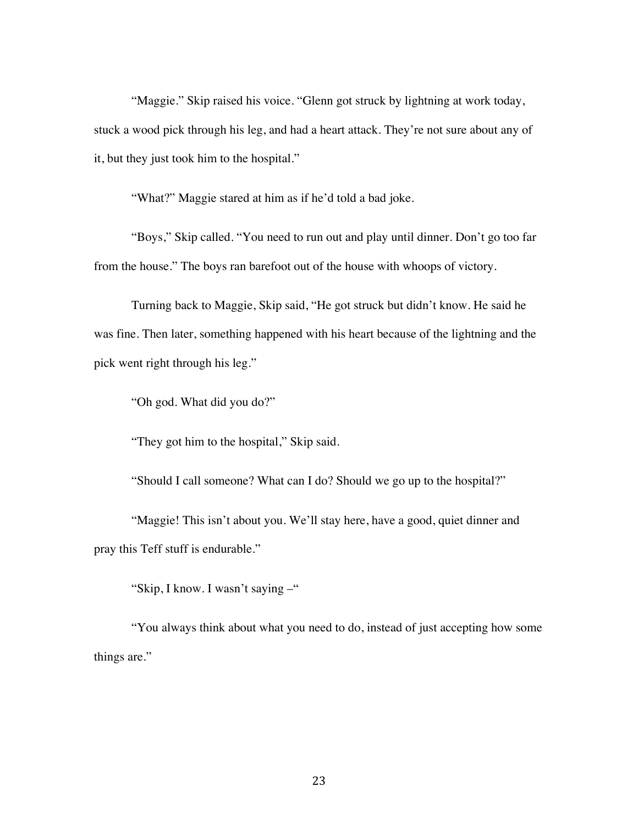"Maggie." Skip raised his voice. "Glenn got struck by lightning at work today, stuck a wood pick through his leg, and had a heart attack. They're not sure about any of it, but they just took him to the hospital."

"What?" Maggie stared at him as if he'd told a bad joke.

"Boys," Skip called. "You need to run out and play until dinner. Don't go too far from the house." The boys ran barefoot out of the house with whoops of victory.

Turning back to Maggie, Skip said, "He got struck but didn't know. He said he was fine. Then later, something happened with his heart because of the lightning and the pick went right through his leg."

"Oh god. What did you do?"

"They got him to the hospital," Skip said.

"Should I call someone? What can I do? Should we go up to the hospital?"

"Maggie! This isn't about you. We'll stay here, have a good, quiet dinner and pray this Teff stuff is endurable."

"Skip, I know. I wasn't saying –"

"You always think about what you need to do, instead of just accepting how some things are."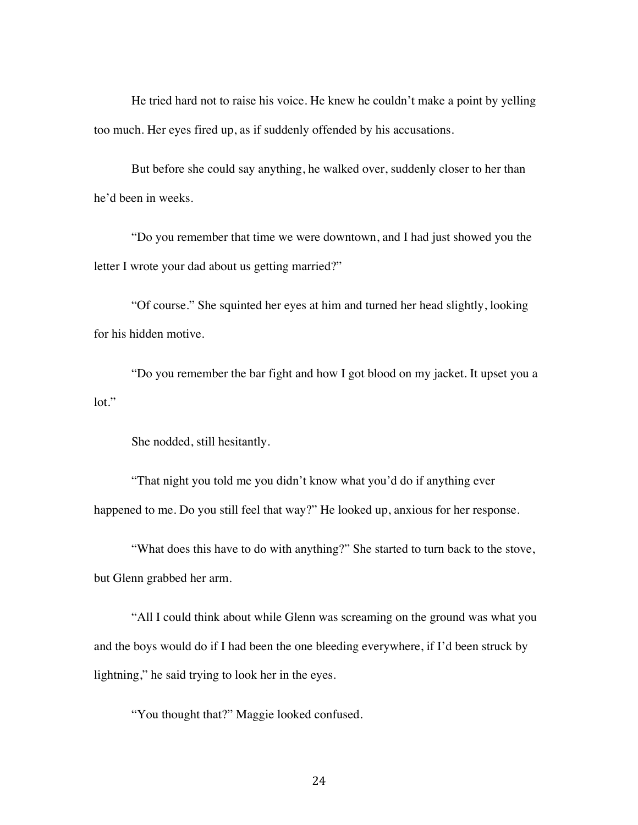He tried hard not to raise his voice. He knew he couldn't make a point by yelling too much. Her eyes fired up, as if suddenly offended by his accusations.

But before she could say anything, he walked over, suddenly closer to her than he'd been in weeks.

"Do you remember that time we were downtown, and I had just showed you the letter I wrote your dad about us getting married?"

"Of course." She squinted her eyes at him and turned her head slightly, looking for his hidden motive.

"Do you remember the bar fight and how I got blood on my jacket. It upset you a lot."

She nodded, still hesitantly.

"That night you told me you didn't know what you'd do if anything ever happened to me. Do you still feel that way?" He looked up, anxious for her response.

"What does this have to do with anything?" She started to turn back to the stove, but Glenn grabbed her arm.

"All I could think about while Glenn was screaming on the ground was what you and the boys would do if I had been the one bleeding everywhere, if I'd been struck by lightning," he said trying to look her in the eyes.

"You thought that?" Maggie looked confused.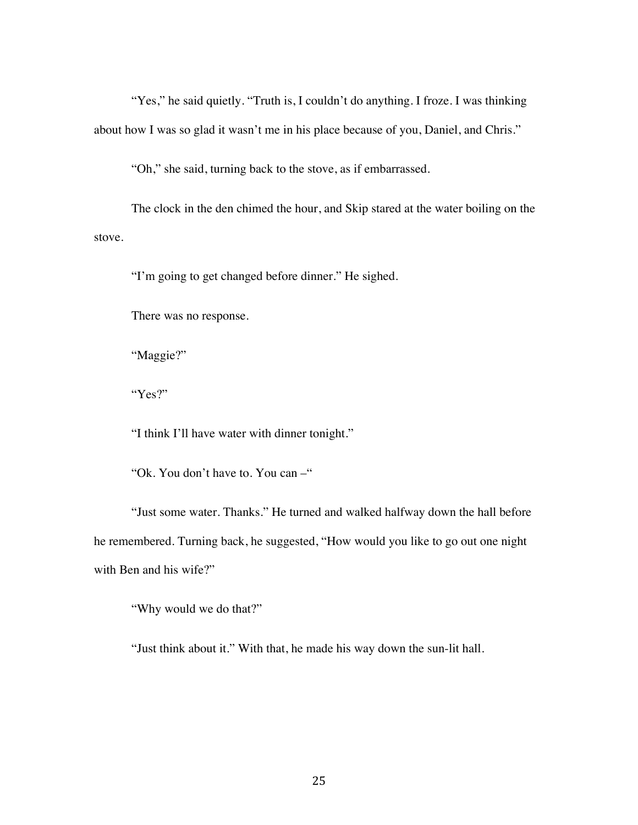"Yes," he said quietly. "Truth is, I couldn't do anything. I froze. I was thinking about how I was so glad it wasn't me in his place because of you, Daniel, and Chris."

"Oh," she said, turning back to the stove, as if embarrassed.

The clock in the den chimed the hour, and Skip stared at the water boiling on the stove.

"I'm going to get changed before dinner." He sighed.

There was no response.

"Maggie?"

"Yes?"

"I think I'll have water with dinner tonight."

"Ok. You don't have to. You can –"

"Just some water. Thanks." He turned and walked halfway down the hall before he remembered. Turning back, he suggested, "How would you like to go out one night with Ben and his wife?"

"Why would we do that?"

"Just think about it." With that, he made his way down the sun-lit hall.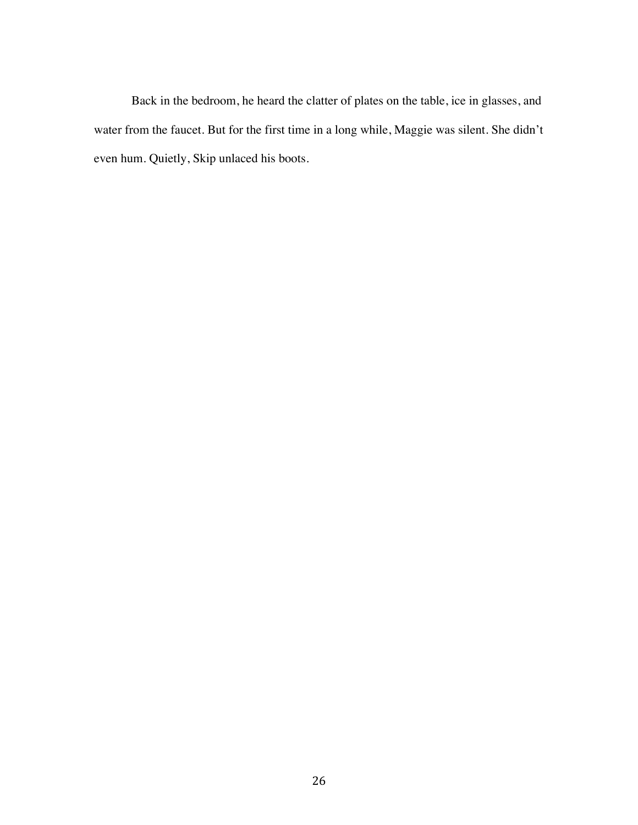Back in the bedroom, he heard the clatter of plates on the table, ice in glasses, and water from the faucet. But for the first time in a long while, Maggie was silent. She didn't even hum. Quietly, Skip unlaced his boots.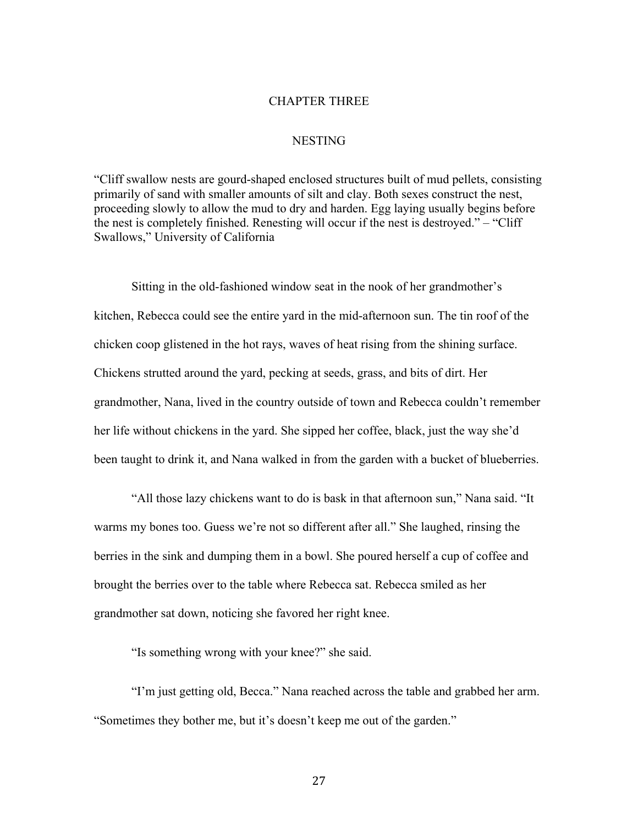### CHAPTER THREE

### NESTING

"Cliff swallow nests are gourd-shaped enclosed structures built of mud pellets, consisting primarily of sand with smaller amounts of silt and clay. Both sexes construct the nest, proceeding slowly to allow the mud to dry and harden. Egg laying usually begins before the nest is completely finished. Renesting will occur if the nest is destroyed." – "Cliff Swallows," University of California

Sitting in the old-fashioned window seat in the nook of her grandmother's kitchen, Rebecca could see the entire yard in the mid-afternoon sun. The tin roof of the chicken coop glistened in the hot rays, waves of heat rising from the shining surface. Chickens strutted around the yard, pecking at seeds, grass, and bits of dirt. Her grandmother, Nana, lived in the country outside of town and Rebecca couldn't remember her life without chickens in the yard. She sipped her coffee, black, just the way she'd been taught to drink it, and Nana walked in from the garden with a bucket of blueberries.

"All those lazy chickens want to do is bask in that afternoon sun," Nana said. "It warms my bones too. Guess we're not so different after all." She laughed, rinsing the berries in the sink and dumping them in a bowl. She poured herself a cup of coffee and brought the berries over to the table where Rebecca sat. Rebecca smiled as her grandmother sat down, noticing she favored her right knee.

"Is something wrong with your knee?" she said.

"I'm just getting old, Becca." Nana reached across the table and grabbed her arm. "Sometimes they bother me, but it's doesn't keep me out of the garden."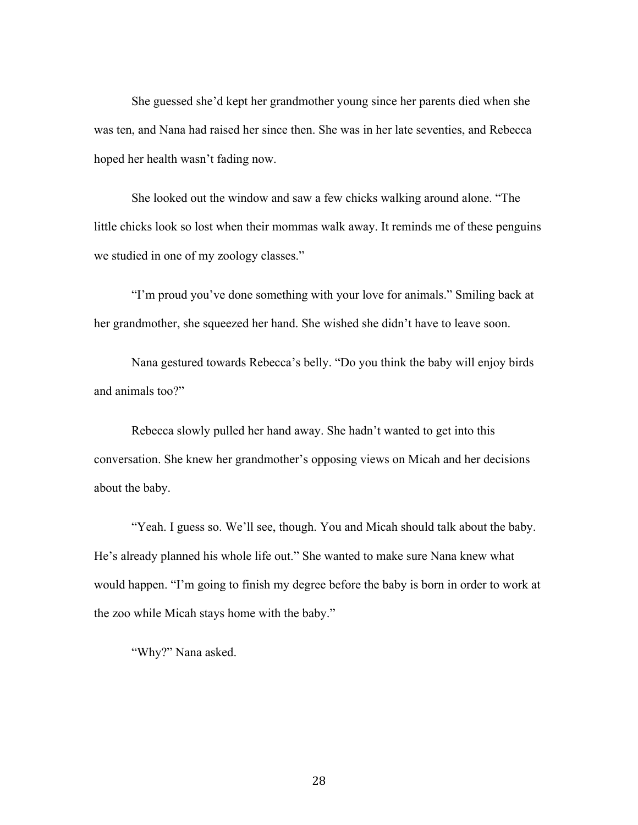She guessed she'd kept her grandmother young since her parents died when she was ten, and Nana had raised her since then. She was in her late seventies, and Rebecca hoped her health wasn't fading now.

She looked out the window and saw a few chicks walking around alone. "The little chicks look so lost when their mommas walk away. It reminds me of these penguins we studied in one of my zoology classes."

"I'm proud you've done something with your love for animals." Smiling back at her grandmother, she squeezed her hand. She wished she didn't have to leave soon.

Nana gestured towards Rebecca's belly. "Do you think the baby will enjoy birds and animals too?"

Rebecca slowly pulled her hand away. She hadn't wanted to get into this conversation. She knew her grandmother's opposing views on Micah and her decisions about the baby.

"Yeah. I guess so. We'll see, though. You and Micah should talk about the baby. He's already planned his whole life out." She wanted to make sure Nana knew what would happen. "I'm going to finish my degree before the baby is born in order to work at the zoo while Micah stays home with the baby."

"Why?" Nana asked.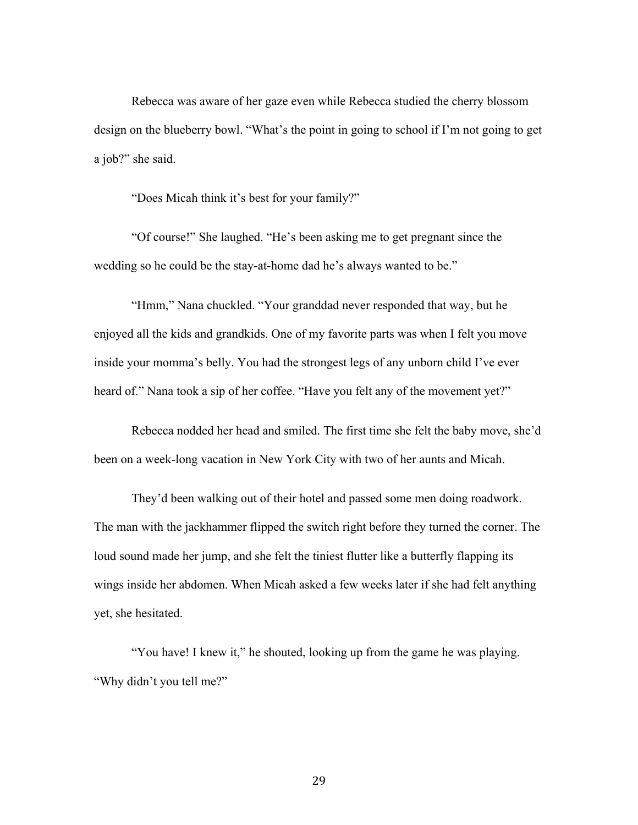Rebecca was aware of her gaze even while Rebecca studied the cherry blossom design on the blueberry bowl. "What's the point in going to school if I'm not going to get a job?" she said.

"Does Micah think it's best for your family?"

"Of course!" She laughed. "He's been asking me to get pregnant since the wedding so he could be the stay-at-home dad he's always wanted to be."

"Hmm," Nana chuckled. "Your granddad never responded that way, but he enjoyed all the kids and grandkids. One of my favorite parts was when I felt you move inside your momma's belly. You had the strongest legs of any unborn child I've ever heard of." Nana took a sip of her coffee. "Have you felt any of the movement yet?"

Rebecca nodded her head and smiled. The first time she felt the baby move, she'd been on a week-long vacation in New York City with two of her aunts and Micah.

They'd been walking out of their hotel and passed some men doing roadwork. The man with the jackhammer flipped the switch right before they turned the corner. The loud sound made her jump, and she felt the tiniest flutter like a butterfly flapping its wings inside her abdomen. When Micah asked a few weeks later if she had felt anything yet, she hesitated.

"You have! I knew it," he shouted, looking up from the game he was playing. "Why didn't you tell me?"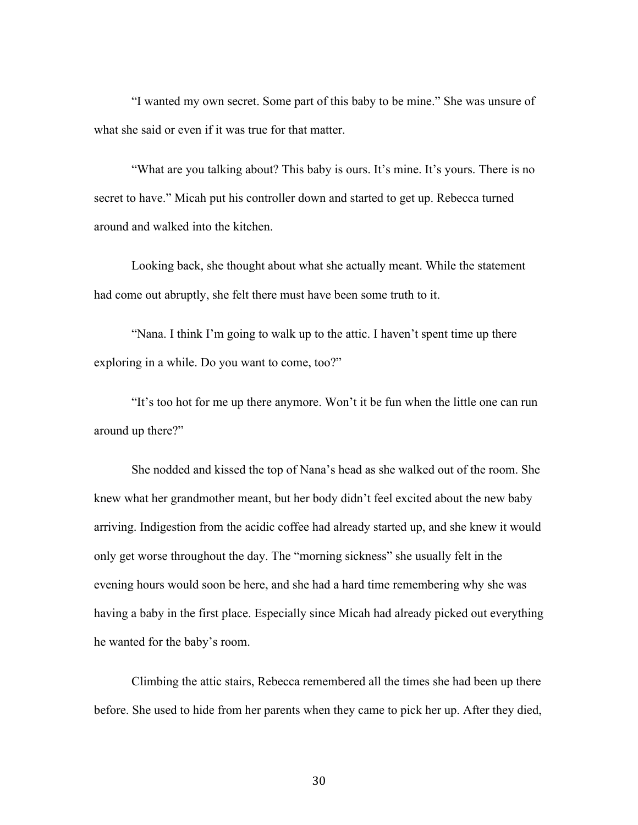"I wanted my own secret. Some part of this baby to be mine." She was unsure of what she said or even if it was true for that matter.

"What are you talking about? This baby is ours. It's mine. It's yours. There is no secret to have." Micah put his controller down and started to get up. Rebecca turned around and walked into the kitchen.

Looking back, she thought about what she actually meant. While the statement had come out abruptly, she felt there must have been some truth to it.

"Nana. I think I'm going to walk up to the attic. I haven't spent time up there exploring in a while. Do you want to come, too?"

"It's too hot for me up there anymore. Won't it be fun when the little one can run around up there?"

She nodded and kissed the top of Nana's head as she walked out of the room. She knew what her grandmother meant, but her body didn't feel excited about the new baby arriving. Indigestion from the acidic coffee had already started up, and she knew it would only get worse throughout the day. The "morning sickness" she usually felt in the evening hours would soon be here, and she had a hard time remembering why she was having a baby in the first place. Especially since Micah had already picked out everything he wanted for the baby's room.

Climbing the attic stairs, Rebecca remembered all the times she had been up there before. She used to hide from her parents when they came to pick her up. After they died,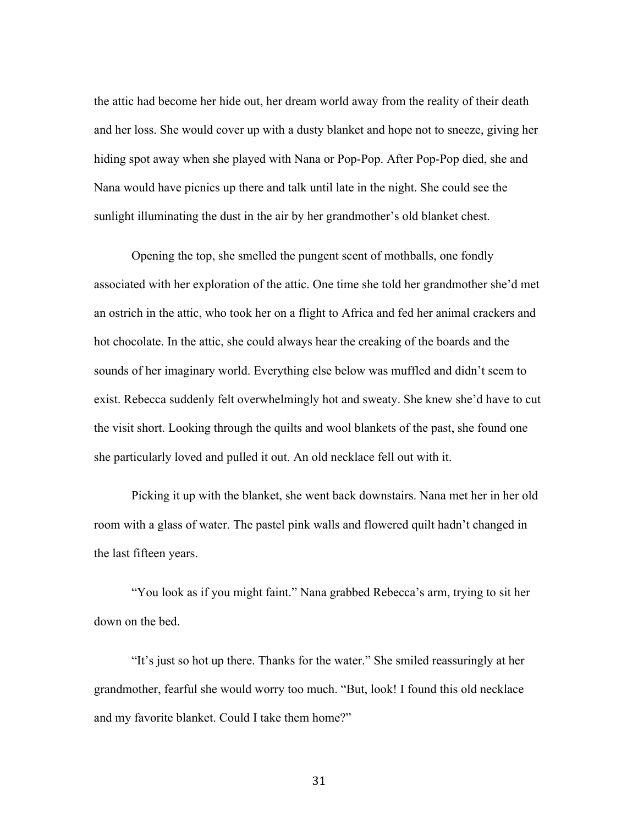the attic had become her hide out, her dream world away from the reality of their death and her loss. She would cover up with a dusty blanket and hope not to sneeze, giving her hiding spot away when she played with Nana or Pop-Pop. After Pop-Pop died, she and Nana would have picnics up there and talk until late in the night. She could see the sunlight illuminating the dust in the air by her grandmother's old blanket chest.

Opening the top, she smelled the pungent scent of mothballs, one fondly associated with her exploration of the attic. One time she told her grandmother she'd met an ostrich in the attic, who took her on a flight to Africa and fed her animal crackers and hot chocolate. In the attic, she could always hear the creaking of the boards and the sounds of her imaginary world. Everything else below was muffled and didn't seem to exist. Rebecca suddenly felt overwhelmingly hot and sweaty. She knew she'd have to cut the visit short. Looking through the quilts and wool blankets of the past, she found one she particularly loved and pulled it out. An old necklace fell out with it.

Picking it up with the blanket, she went back downstairs. Nana met her in her old room with a glass of water. The pastel pink walls and flowered quilt hadn't changed in the last fifteen years.

"You look as if you might faint." Nana grabbed Rebecca's arm, trying to sit her down on the bed.

"It's just so hot up there. Thanks for the water." She smiled reassuringly at her grandmother, fearful she would worry too much. "But, look! I found this old necklace and my favorite blanket. Could I take them home?"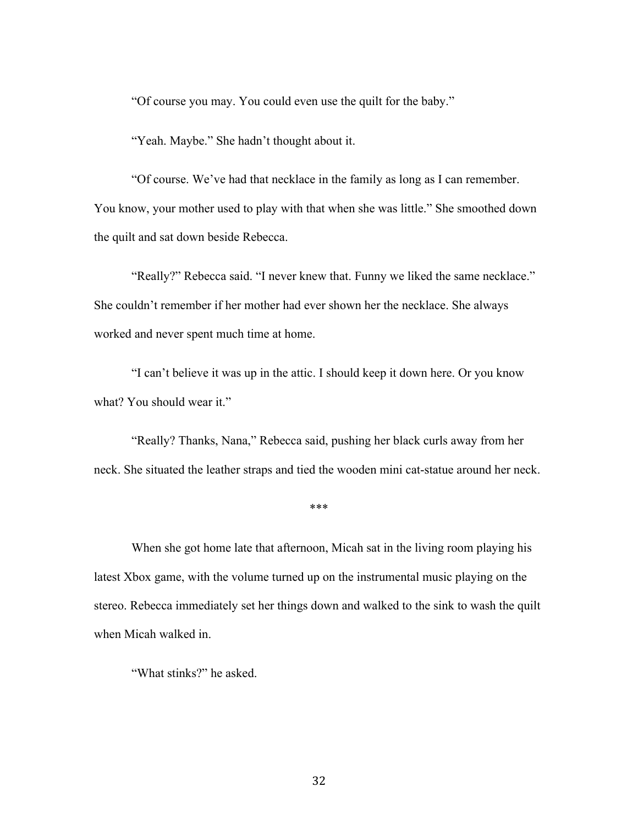"Of course you may. You could even use the quilt for the baby."

"Yeah. Maybe." She hadn't thought about it.

"Of course. We've had that necklace in the family as long as I can remember. You know, your mother used to play with that when she was little." She smoothed down the quilt and sat down beside Rebecca.

"Really?" Rebecca said. "I never knew that. Funny we liked the same necklace." She couldn't remember if her mother had ever shown her the necklace. She always worked and never spent much time at home.

"I can't believe it was up in the attic. I should keep it down here. Or you know what? You should wear it."

"Really? Thanks, Nana," Rebecca said, pushing her black curls away from her neck. She situated the leather straps and tied the wooden mini cat-statue around her neck.

#### \*\*\*

When she got home late that afternoon, Micah sat in the living room playing his latest Xbox game, with the volume turned up on the instrumental music playing on the stereo. Rebecca immediately set her things down and walked to the sink to wash the quilt when Micah walked in.

"What stinks?" he asked.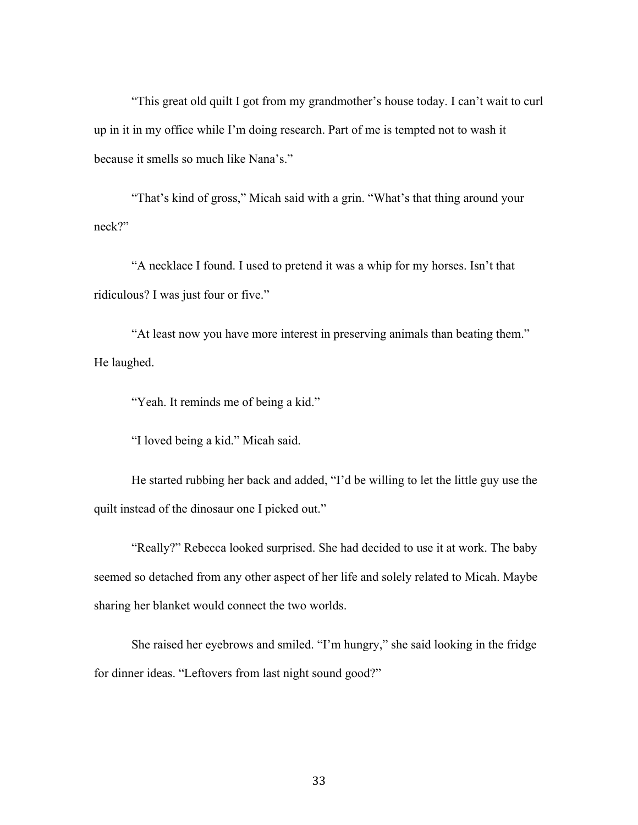"This great old quilt I got from my grandmother's house today. I can't wait to curl up in it in my office while I'm doing research. Part of me is tempted not to wash it because it smells so much like Nana's."

"That's kind of gross," Micah said with a grin. "What's that thing around your neck?"

"A necklace I found. I used to pretend it was a whip for my horses. Isn't that ridiculous? I was just four or five."

"At least now you have more interest in preserving animals than beating them." He laughed.

"Yeah. It reminds me of being a kid."

"I loved being a kid." Micah said.

 He started rubbing her back and added, "I'd be willing to let the little guy use the quilt instead of the dinosaur one I picked out."

"Really?" Rebecca looked surprised. She had decided to use it at work. The baby seemed so detached from any other aspect of her life and solely related to Micah. Maybe sharing her blanket would connect the two worlds.

She raised her eyebrows and smiled. "I'm hungry," she said looking in the fridge for dinner ideas. "Leftovers from last night sound good?"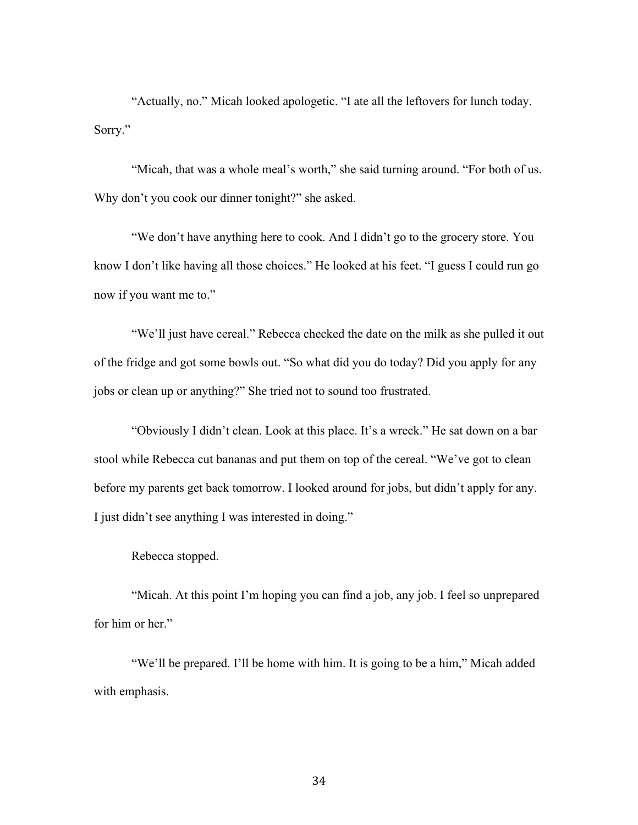"Actually, no." Micah looked apologetic. "I ate all the leftovers for lunch today. Sorry."

"Micah, that was a whole meal's worth," she said turning around. "For both of us. Why don't you cook our dinner tonight?" she asked.

"We don't have anything here to cook. And I didn't go to the grocery store. You know I don't like having all those choices." He looked at his feet. "I guess I could run go now if you want me to."

"We'll just have cereal." Rebecca checked the date on the milk as she pulled it out of the fridge and got some bowls out. "So what did you do today? Did you apply for any jobs or clean up or anything?" She tried not to sound too frustrated.

"Obviously I didn't clean. Look at this place. It's a wreck." He sat down on a bar stool while Rebecca cut bananas and put them on top of the cereal. "We've got to clean before my parents get back tomorrow. I looked around for jobs, but didn't apply for any. I just didn't see anything I was interested in doing."

Rebecca stopped.

"Micah. At this point I'm hoping you can find a job, any job. I feel so unprepared for him or her."

"We'll be prepared. I'll be home with him. It is going to be a him," Micah added with emphasis.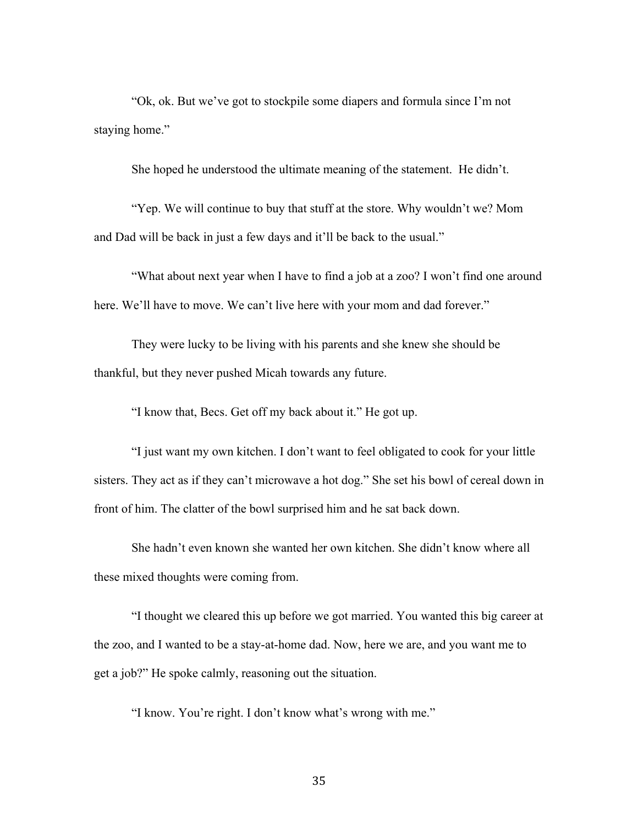"Ok, ok. But we've got to stockpile some diapers and formula since I'm not staying home."

She hoped he understood the ultimate meaning of the statement. He didn't.

"Yep. We will continue to buy that stuff at the store. Why wouldn't we? Mom and Dad will be back in just a few days and it'll be back to the usual."

"What about next year when I have to find a job at a zoo? I won't find one around here. We'll have to move. We can't live here with your mom and dad forever."

They were lucky to be living with his parents and she knew she should be thankful, but they never pushed Micah towards any future.

"I know that, Becs. Get off my back about it." He got up.

"I just want my own kitchen. I don't want to feel obligated to cook for your little sisters. They act as if they can't microwave a hot dog." She set his bowl of cereal down in front of him. The clatter of the bowl surprised him and he sat back down.

She hadn't even known she wanted her own kitchen. She didn't know where all these mixed thoughts were coming from.

"I thought we cleared this up before we got married. You wanted this big career at the zoo, and I wanted to be a stay-at-home dad. Now, here we are, and you want me to get a job?" He spoke calmly, reasoning out the situation.

"I know. You're right. I don't know what's wrong with me."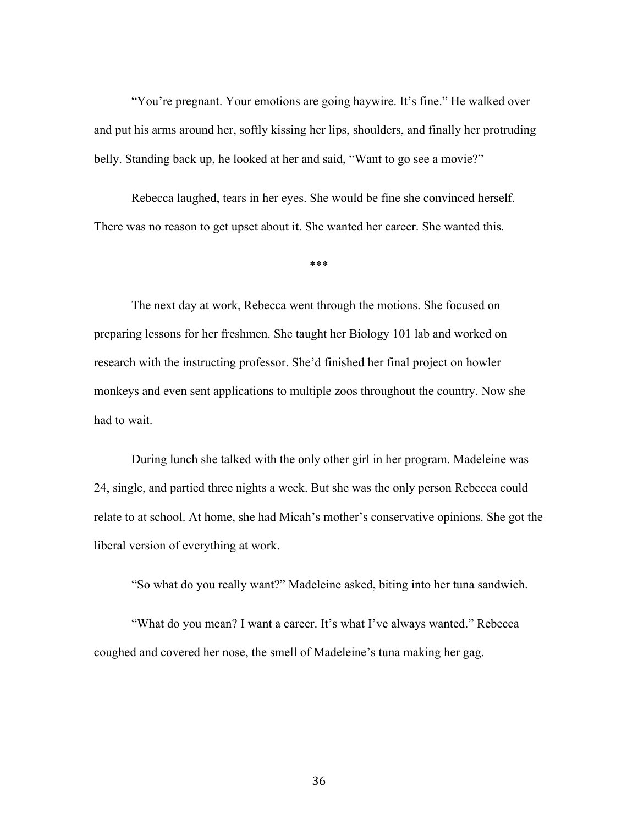"You're pregnant. Your emotions are going haywire. It's fine." He walked over and put his arms around her, softly kissing her lips, shoulders, and finally her protruding belly. Standing back up, he looked at her and said, "Want to go see a movie?"

Rebecca laughed, tears in her eyes. She would be fine she convinced herself. There was no reason to get upset about it. She wanted her career. She wanted this.

\*\*\*

The next day at work, Rebecca went through the motions. She focused on preparing lessons for her freshmen. She taught her Biology 101 lab and worked on research with the instructing professor. She'd finished her final project on howler monkeys and even sent applications to multiple zoos throughout the country. Now she had to wait.

During lunch she talked with the only other girl in her program. Madeleine was 24, single, and partied three nights a week. But she was the only person Rebecca could relate to at school. At home, she had Micah's mother's conservative opinions. She got the liberal version of everything at work.

"So what do you really want?" Madeleine asked, biting into her tuna sandwich.

"What do you mean? I want a career. It's what I've always wanted." Rebecca coughed and covered her nose, the smell of Madeleine's tuna making her gag.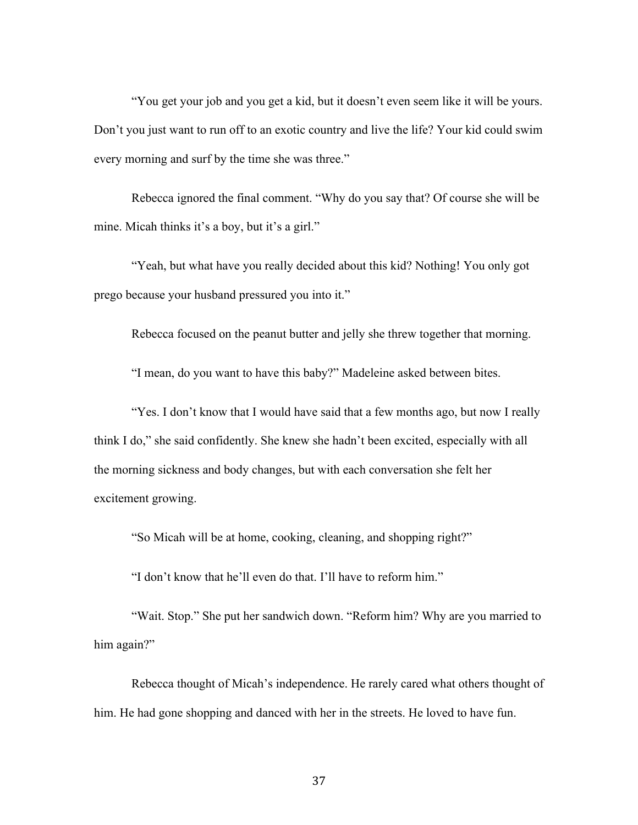"You get your job and you get a kid, but it doesn't even seem like it will be yours. Don't you just want to run off to an exotic country and live the life? Your kid could swim every morning and surf by the time she was three."

Rebecca ignored the final comment. "Why do you say that? Of course she will be mine. Micah thinks it's a boy, but it's a girl."

"Yeah, but what have you really decided about this kid? Nothing! You only got prego because your husband pressured you into it."

Rebecca focused on the peanut butter and jelly she threw together that morning.

"I mean, do you want to have this baby?" Madeleine asked between bites.

"Yes. I don't know that I would have said that a few months ago, but now I really think I do," she said confidently. She knew she hadn't been excited, especially with all the morning sickness and body changes, but with each conversation she felt her excitement growing.

"So Micah will be at home, cooking, cleaning, and shopping right?"

"I don't know that he'll even do that. I'll have to reform him."

"Wait. Stop." She put her sandwich down. "Reform him? Why are you married to him again?"

Rebecca thought of Micah's independence. He rarely cared what others thought of him. He had gone shopping and danced with her in the streets. He loved to have fun.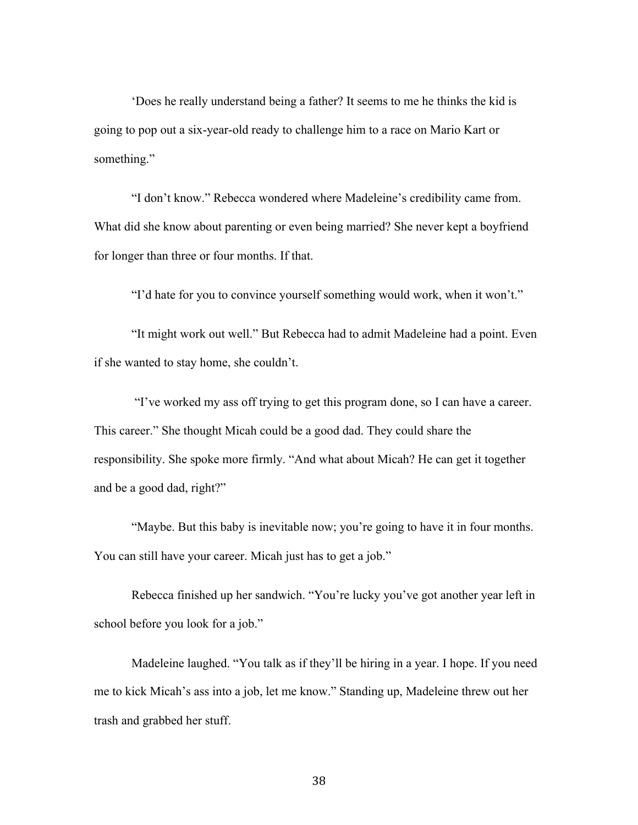'Does he really understand being a father? It seems to me he thinks the kid is going to pop out a six-year-old ready to challenge him to a race on Mario Kart or something."

"I don't know." Rebecca wondered where Madeleine's credibility came from. What did she know about parenting or even being married? She never kept a boyfriend for longer than three or four months. If that.

"I'd hate for you to convince yourself something would work, when it won't."

"It might work out well." But Rebecca had to admit Madeleine had a point. Even if she wanted to stay home, she couldn't.

"I've worked my ass off trying to get this program done, so I can have a career. This career." She thought Micah could be a good dad. They could share the responsibility. She spoke more firmly. "And what about Micah? He can get it together and be a good dad, right?"

"Maybe. But this baby is inevitable now; you're going to have it in four months. You can still have your career. Micah just has to get a job."

Rebecca finished up her sandwich. "You're lucky you've got another year left in school before you look for a job."

Madeleine laughed. "You talk as if they'll be hiring in a year. I hope. If you need me to kick Micah's ass into a job, let me know." Standing up, Madeleine threw out her trash and grabbed her stuff.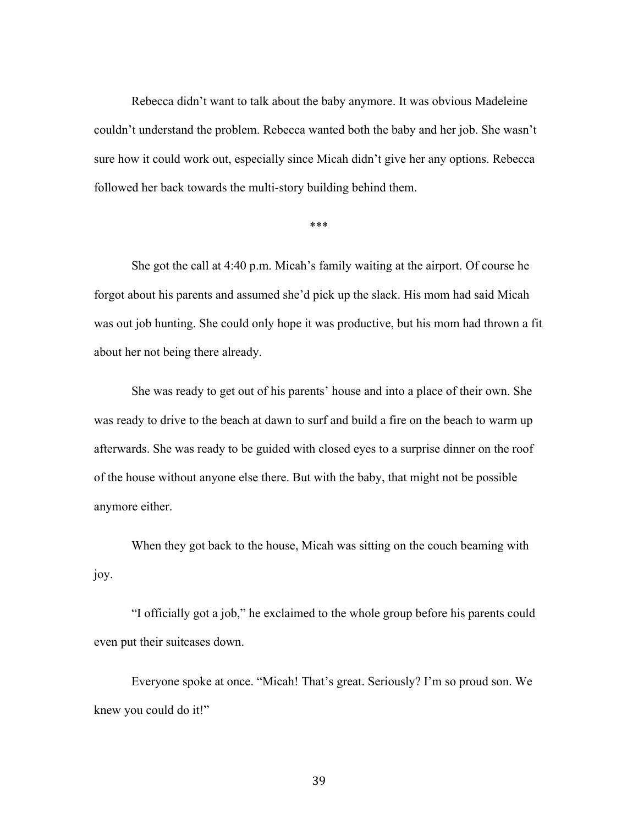Rebecca didn't want to talk about the baby anymore. It was obvious Madeleine couldn't understand the problem. Rebecca wanted both the baby and her job. She wasn't sure how it could work out, especially since Micah didn't give her any options. Rebecca followed her back towards the multi-story building behind them.

\*\*\*

She got the call at 4:40 p.m. Micah's family waiting at the airport. Of course he forgot about his parents and assumed she'd pick up the slack. His mom had said Micah was out job hunting. She could only hope it was productive, but his mom had thrown a fit about her not being there already.

She was ready to get out of his parents' house and into a place of their own. She was ready to drive to the beach at dawn to surf and build a fire on the beach to warm up afterwards. She was ready to be guided with closed eyes to a surprise dinner on the roof of the house without anyone else there. But with the baby, that might not be possible anymore either.

When they got back to the house, Micah was sitting on the couch beaming with joy.

"I officially got a job," he exclaimed to the whole group before his parents could even put their suitcases down.

Everyone spoke at once. "Micah! That's great. Seriously? I'm so proud son. We knew you could do it!"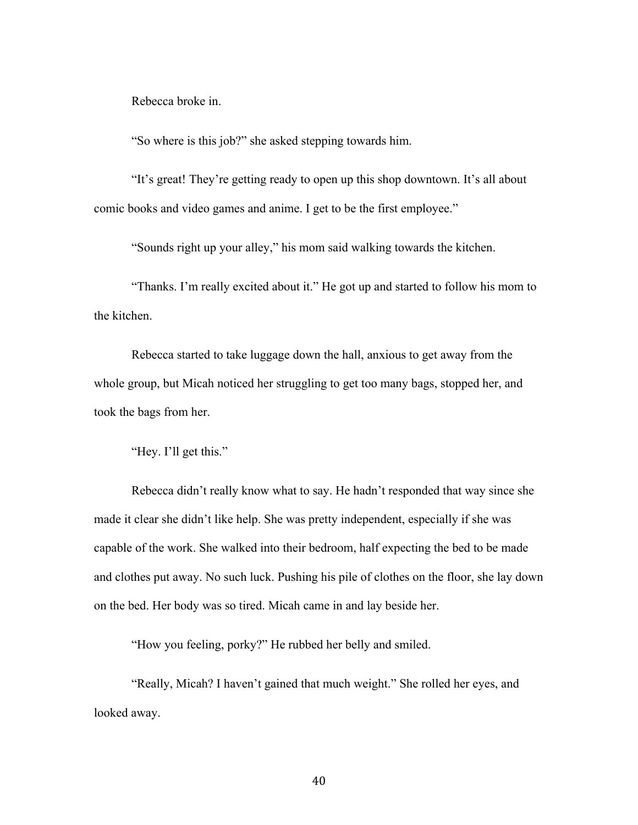Rebecca broke in.

"So where is this job?" she asked stepping towards him.

"It's great! They're getting ready to open up this shop downtown. It's all about comic books and video games and anime. I get to be the first employee."

"Sounds right up your alley," his mom said walking towards the kitchen.

"Thanks. I'm really excited about it." He got up and started to follow his mom to the kitchen.

Rebecca started to take luggage down the hall, anxious to get away from the whole group, but Micah noticed her struggling to get too many bags, stopped her, and took the bags from her.

"Hey. I'll get this."

Rebecca didn't really know what to say. He hadn't responded that way since she made it clear she didn't like help. She was pretty independent, especially if she was capable of the work. She walked into their bedroom, half expecting the bed to be made and clothes put away. No such luck. Pushing his pile of clothes on the floor, she lay down on the bed. Her body was so tired. Micah came in and lay beside her.

"How you feeling, porky?" He rubbed her belly and smiled.

"Really, Micah? I haven't gained that much weight." She rolled her eyes, and looked away.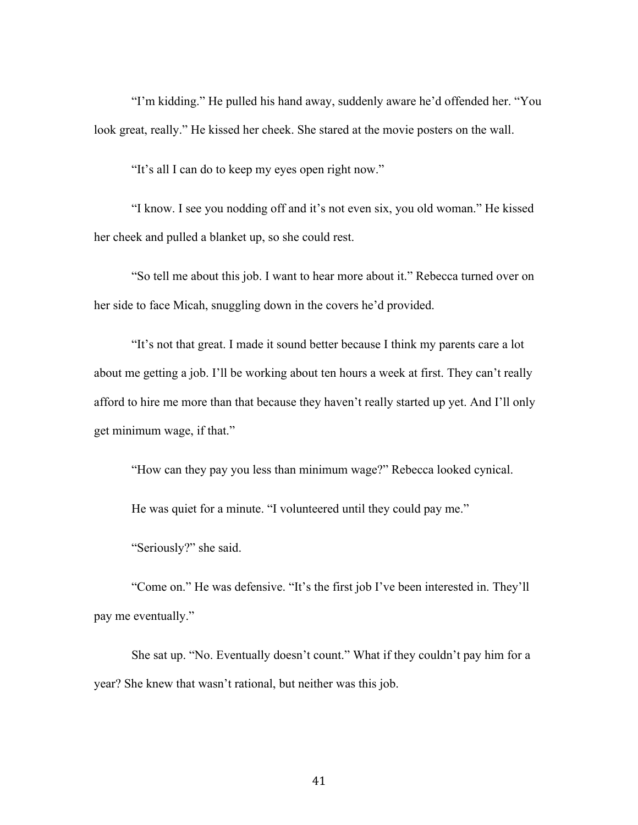"I'm kidding." He pulled his hand away, suddenly aware he'd offended her. "You look great, really." He kissed her cheek. She stared at the movie posters on the wall.

"It's all I can do to keep my eyes open right now."

"I know. I see you nodding off and it's not even six, you old woman." He kissed her cheek and pulled a blanket up, so she could rest.

"So tell me about this job. I want to hear more about it." Rebecca turned over on her side to face Micah, snuggling down in the covers he'd provided.

"It's not that great. I made it sound better because I think my parents care a lot about me getting a job. I'll be working about ten hours a week at first. They can't really afford to hire me more than that because they haven't really started up yet. And I'll only get minimum wage, if that."

"How can they pay you less than minimum wage?" Rebecca looked cynical.

He was quiet for a minute. "I volunteered until they could pay me."

"Seriously?" she said.

"Come on." He was defensive. "It's the first job I've been interested in. They'll pay me eventually."

She sat up. "No. Eventually doesn't count." What if they couldn't pay him for a year? She knew that wasn't rational, but neither was this job.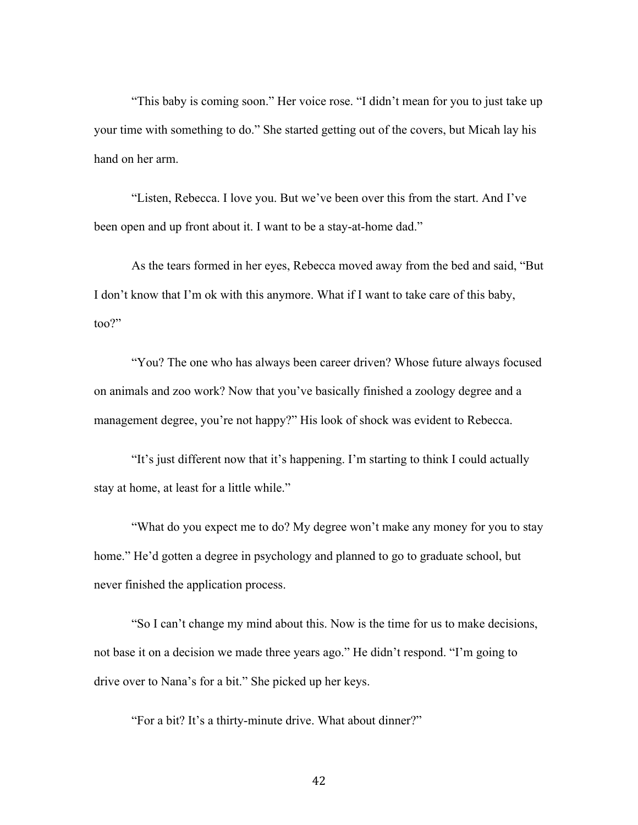"This baby is coming soon." Her voice rose. "I didn't mean for you to just take up your time with something to do." She started getting out of the covers, but Micah lay his hand on her arm.

"Listen, Rebecca. I love you. But we've been over this from the start. And I've been open and up front about it. I want to be a stay-at-home dad."

As the tears formed in her eyes, Rebecca moved away from the bed and said, "But I don't know that I'm ok with this anymore. What if I want to take care of this baby, too?"

"You? The one who has always been career driven? Whose future always focused on animals and zoo work? Now that you've basically finished a zoology degree and a management degree, you're not happy?" His look of shock was evident to Rebecca.

"It's just different now that it's happening. I'm starting to think I could actually stay at home, at least for a little while."

"What do you expect me to do? My degree won't make any money for you to stay home." He'd gotten a degree in psychology and planned to go to graduate school, but never finished the application process.

"So I can't change my mind about this. Now is the time for us to make decisions, not base it on a decision we made three years ago." He didn't respond. "I'm going to drive over to Nana's for a bit." She picked up her keys.

"For a bit? It's a thirty-minute drive. What about dinner?"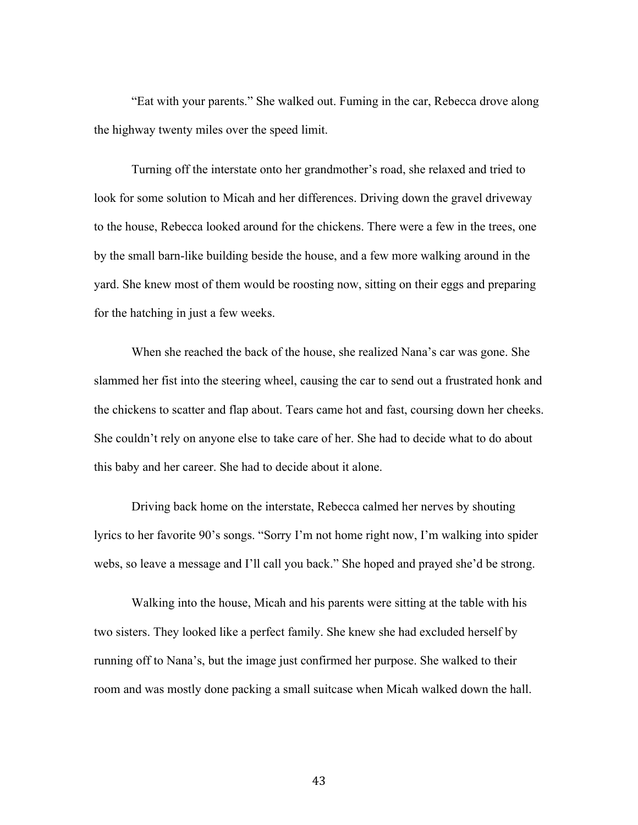"Eat with your parents." She walked out. Fuming in the car, Rebecca drove along the highway twenty miles over the speed limit.

Turning off the interstate onto her grandmother's road, she relaxed and tried to look for some solution to Micah and her differences. Driving down the gravel driveway to the house, Rebecca looked around for the chickens. There were a few in the trees, one by the small barn-like building beside the house, and a few more walking around in the yard. She knew most of them would be roosting now, sitting on their eggs and preparing for the hatching in just a few weeks.

When she reached the back of the house, she realized Nana's car was gone. She slammed her fist into the steering wheel, causing the car to send out a frustrated honk and the chickens to scatter and flap about. Tears came hot and fast, coursing down her cheeks. She couldn't rely on anyone else to take care of her. She had to decide what to do about this baby and her career. She had to decide about it alone.

Driving back home on the interstate, Rebecca calmed her nerves by shouting lyrics to her favorite 90's songs. "Sorry I'm not home right now, I'm walking into spider webs, so leave a message and I'll call you back." She hoped and prayed she'd be strong.

Walking into the house, Micah and his parents were sitting at the table with his two sisters. They looked like a perfect family. She knew she had excluded herself by running off to Nana's, but the image just confirmed her purpose. She walked to their room and was mostly done packing a small suitcase when Micah walked down the hall.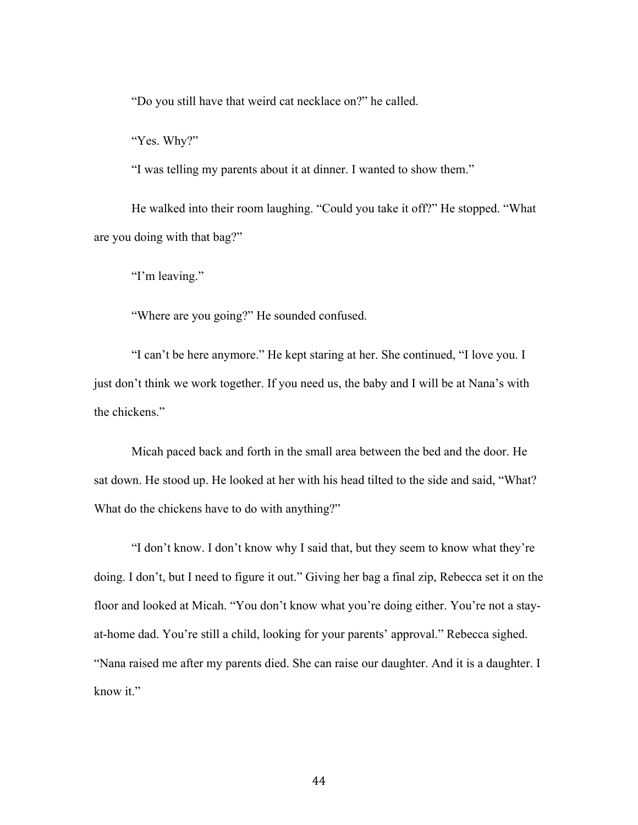"Do you still have that weird cat necklace on?" he called.

"Yes. Why?"

"I was telling my parents about it at dinner. I wanted to show them."

He walked into their room laughing. "Could you take it off?" He stopped. "What are you doing with that bag?"

"I'm leaving."

"Where are you going?" He sounded confused.

"I can't be here anymore." He kept staring at her. She continued, "I love you. I just don't think we work together. If you need us, the baby and I will be at Nana's with the chickens."

Micah paced back and forth in the small area between the bed and the door. He sat down. He stood up. He looked at her with his head tilted to the side and said, "What? What do the chickens have to do with anything?"

"I don't know. I don't know why I said that, but they seem to know what they're doing. I don't, but I need to figure it out." Giving her bag a final zip, Rebecca set it on the floor and looked at Micah. "You don't know what you're doing either. You're not a stayat-home dad. You're still a child, looking for your parents' approval." Rebecca sighed. "Nana raised me after my parents died. She can raise our daughter. And it is a daughter. I know it."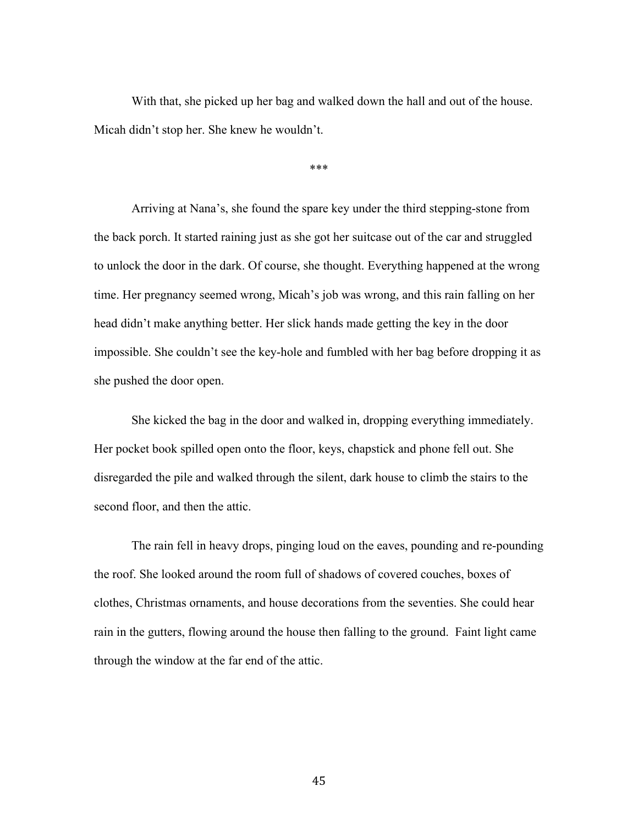With that, she picked up her bag and walked down the hall and out of the house. Micah didn't stop her. She knew he wouldn't.

\*\*\*

Arriving at Nana's, she found the spare key under the third stepping-stone from the back porch. It started raining just as she got her suitcase out of the car and struggled to unlock the door in the dark. Of course, she thought. Everything happened at the wrong time. Her pregnancy seemed wrong, Micah's job was wrong, and this rain falling on her head didn't make anything better. Her slick hands made getting the key in the door impossible. She couldn't see the key-hole and fumbled with her bag before dropping it as she pushed the door open.

She kicked the bag in the door and walked in, dropping everything immediately. Her pocket book spilled open onto the floor, keys, chapstick and phone fell out. She disregarded the pile and walked through the silent, dark house to climb the stairs to the second floor, and then the attic.

The rain fell in heavy drops, pinging loud on the eaves, pounding and re-pounding the roof. She looked around the room full of shadows of covered couches, boxes of clothes, Christmas ornaments, and house decorations from the seventies. She could hear rain in the gutters, flowing around the house then falling to the ground. Faint light came through the window at the far end of the attic.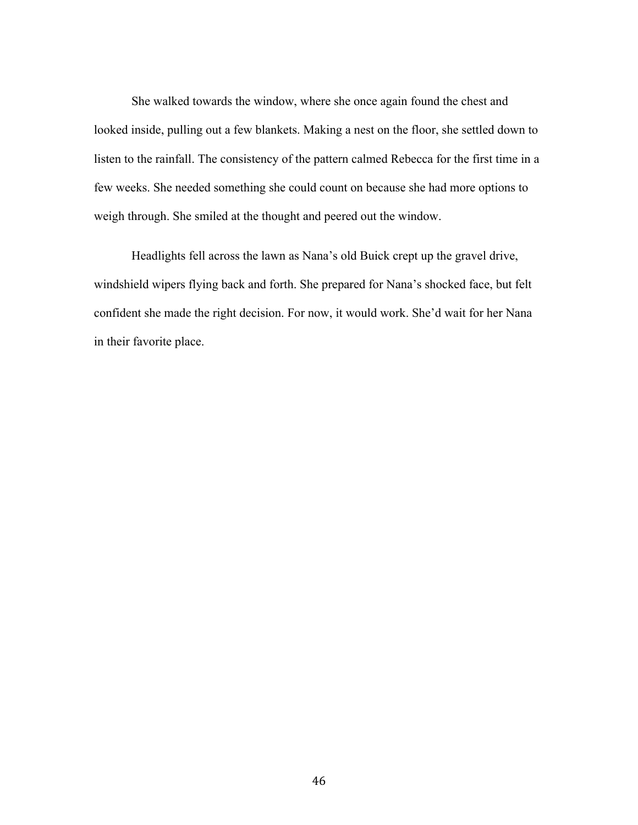She walked towards the window, where she once again found the chest and looked inside, pulling out a few blankets. Making a nest on the floor, she settled down to listen to the rainfall. The consistency of the pattern calmed Rebecca for the first time in a few weeks. She needed something she could count on because she had more options to weigh through. She smiled at the thought and peered out the window.

Headlights fell across the lawn as Nana's old Buick crept up the gravel drive, windshield wipers flying back and forth. She prepared for Nana's shocked face, but felt confident she made the right decision. For now, it would work. She'd wait for her Nana in their favorite place.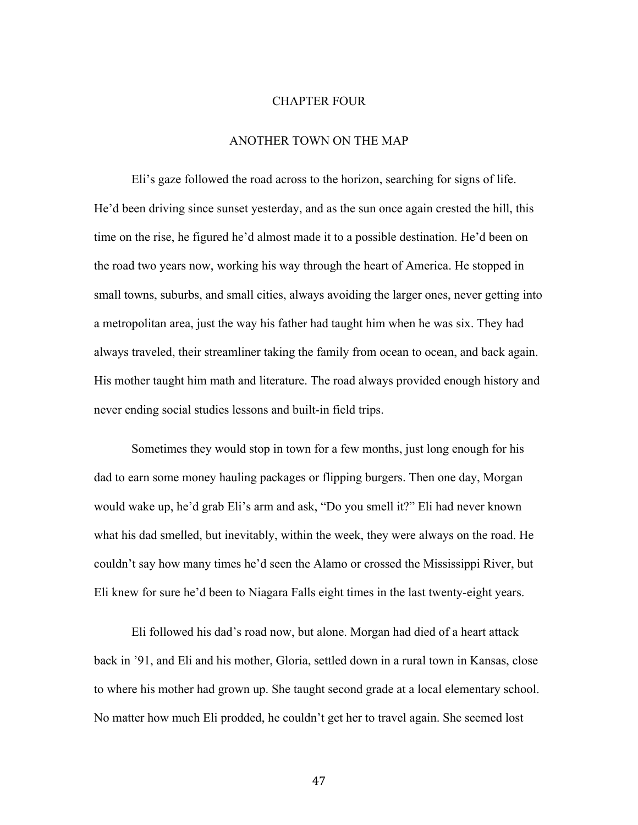### CHAPTER FOUR

# ANOTHER TOWN ON THE MAP

Eli's gaze followed the road across to the horizon, searching for signs of life. He'd been driving since sunset yesterday, and as the sun once again crested the hill, this time on the rise, he figured he'd almost made it to a possible destination. He'd been on the road two years now, working his way through the heart of America. He stopped in small towns, suburbs, and small cities, always avoiding the larger ones, never getting into a metropolitan area, just the way his father had taught him when he was six. They had always traveled, their streamliner taking the family from ocean to ocean, and back again. His mother taught him math and literature. The road always provided enough history and never ending social studies lessons and built-in field trips.

Sometimes they would stop in town for a few months, just long enough for his dad to earn some money hauling packages or flipping burgers. Then one day, Morgan would wake up, he'd grab Eli's arm and ask, "Do you smell it?" Eli had never known what his dad smelled, but inevitably, within the week, they were always on the road. He couldn't say how many times he'd seen the Alamo or crossed the Mississippi River, but Eli knew for sure he'd been to Niagara Falls eight times in the last twenty-eight years.

Eli followed his dad's road now, but alone. Morgan had died of a heart attack back in '91, and Eli and his mother, Gloria, settled down in a rural town in Kansas, close to where his mother had grown up. She taught second grade at a local elementary school. No matter how much Eli prodded, he couldn't get her to travel again. She seemed lost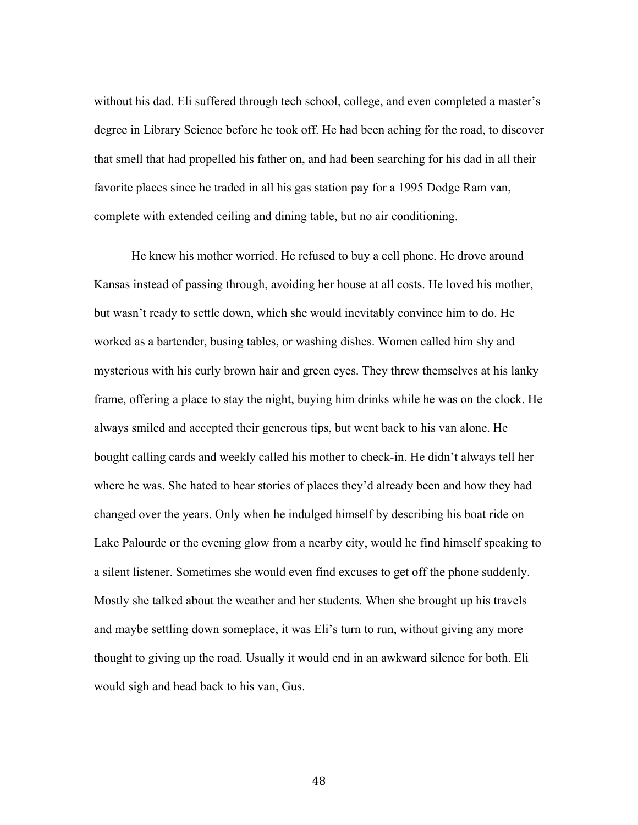without his dad. Eli suffered through tech school, college, and even completed a master's degree in Library Science before he took off. He had been aching for the road, to discover that smell that had propelled his father on, and had been searching for his dad in all their favorite places since he traded in all his gas station pay for a 1995 Dodge Ram van, complete with extended ceiling and dining table, but no air conditioning.

He knew his mother worried. He refused to buy a cell phone. He drove around Kansas instead of passing through, avoiding her house at all costs. He loved his mother, but wasn't ready to settle down, which she would inevitably convince him to do. He worked as a bartender, busing tables, or washing dishes. Women called him shy and mysterious with his curly brown hair and green eyes. They threw themselves at his lanky frame, offering a place to stay the night, buying him drinks while he was on the clock. He always smiled and accepted their generous tips, but went back to his van alone. He bought calling cards and weekly called his mother to check-in. He didn't always tell her where he was. She hated to hear stories of places they'd already been and how they had changed over the years. Only when he indulged himself by describing his boat ride on Lake Palourde or the evening glow from a nearby city, would he find himself speaking to a silent listener. Sometimes she would even find excuses to get off the phone suddenly. Mostly she talked about the weather and her students. When she brought up his travels and maybe settling down someplace, it was Eli's turn to run, without giving any more thought to giving up the road. Usually it would end in an awkward silence for both. Eli would sigh and head back to his van, Gus.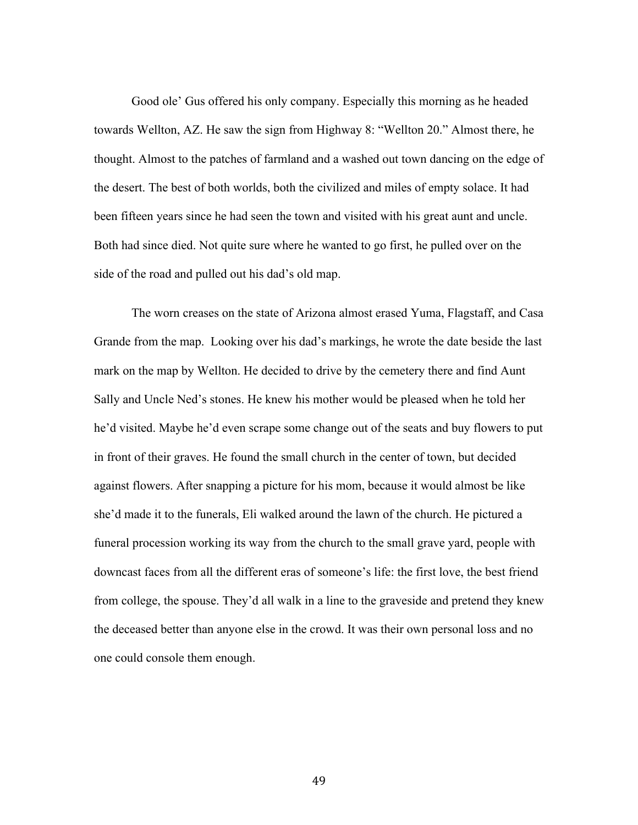Good ole' Gus offered his only company. Especially this morning as he headed towards Wellton, AZ. He saw the sign from Highway 8: "Wellton 20." Almost there, he thought. Almost to the patches of farmland and a washed out town dancing on the edge of the desert. The best of both worlds, both the civilized and miles of empty solace. It had been fifteen years since he had seen the town and visited with his great aunt and uncle. Both had since died. Not quite sure where he wanted to go first, he pulled over on the side of the road and pulled out his dad's old map.

The worn creases on the state of Arizona almost erased Yuma, Flagstaff, and Casa Grande from the map. Looking over his dad's markings, he wrote the date beside the last mark on the map by Wellton. He decided to drive by the cemetery there and find Aunt Sally and Uncle Ned's stones. He knew his mother would be pleased when he told her he'd visited. Maybe he'd even scrape some change out of the seats and buy flowers to put in front of their graves. He found the small church in the center of town, but decided against flowers. After snapping a picture for his mom, because it would almost be like she'd made it to the funerals, Eli walked around the lawn of the church. He pictured a funeral procession working its way from the church to the small grave yard, people with downcast faces from all the different eras of someone's life: the first love, the best friend from college, the spouse. They'd all walk in a line to the graveside and pretend they knew the deceased better than anyone else in the crowd. It was their own personal loss and no one could console them enough.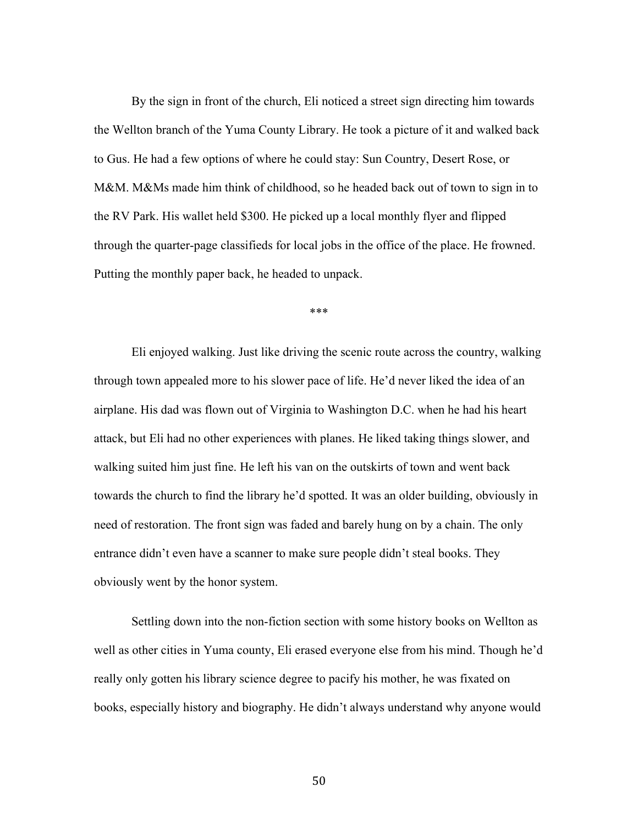By the sign in front of the church, Eli noticed a street sign directing him towards the Wellton branch of the Yuma County Library. He took a picture of it and walked back to Gus. He had a few options of where he could stay: Sun Country, Desert Rose, or M&M. M&Ms made him think of childhood, so he headed back out of town to sign in to the RV Park. His wallet held \$300. He picked up a local monthly flyer and flipped through the quarter-page classifieds for local jobs in the office of the place. He frowned. Putting the monthly paper back, he headed to unpack.

\*\*\*

Eli enjoyed walking. Just like driving the scenic route across the country, walking through town appealed more to his slower pace of life. He'd never liked the idea of an airplane. His dad was flown out of Virginia to Washington D.C. when he had his heart attack, but Eli had no other experiences with planes. He liked taking things slower, and walking suited him just fine. He left his van on the outskirts of town and went back towards the church to find the library he'd spotted. It was an older building, obviously in need of restoration. The front sign was faded and barely hung on by a chain. The only entrance didn't even have a scanner to make sure people didn't steal books. They obviously went by the honor system.

Settling down into the non-fiction section with some history books on Wellton as well as other cities in Yuma county, Eli erased everyone else from his mind. Though he'd really only gotten his library science degree to pacify his mother, he was fixated on books, especially history and biography. He didn't always understand why anyone would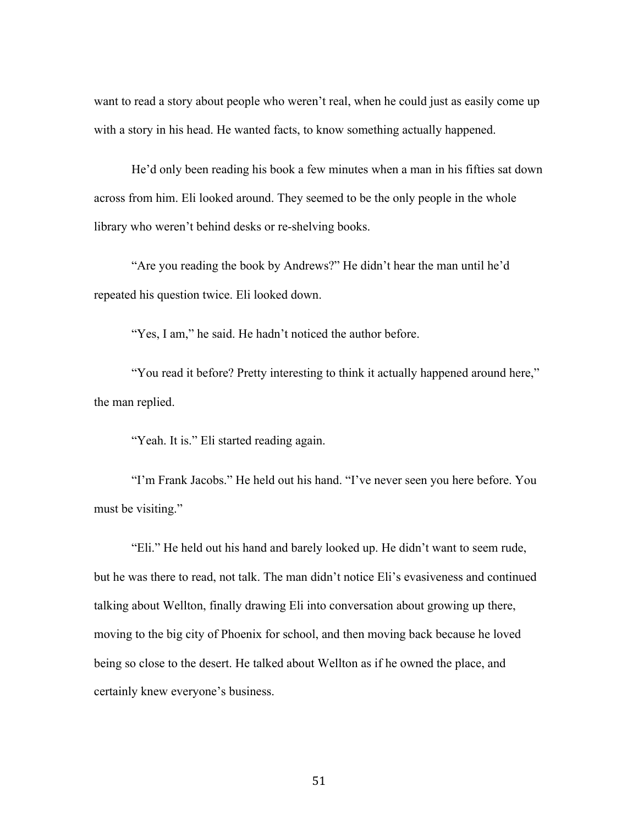want to read a story about people who weren't real, when he could just as easily come up with a story in his head. He wanted facts, to know something actually happened.

He'd only been reading his book a few minutes when a man in his fifties sat down across from him. Eli looked around. They seemed to be the only people in the whole library who weren't behind desks or re-shelving books.

"Are you reading the book by Andrews?" He didn't hear the man until he'd repeated his question twice. Eli looked down.

"Yes, I am," he said. He hadn't noticed the author before.

"You read it before? Pretty interesting to think it actually happened around here," the man replied.

"Yeah. It is." Eli started reading again.

"I'm Frank Jacobs." He held out his hand. "I've never seen you here before. You must be visiting."

"Eli." He held out his hand and barely looked up. He didn't want to seem rude, but he was there to read, not talk. The man didn't notice Eli's evasiveness and continued talking about Wellton, finally drawing Eli into conversation about growing up there, moving to the big city of Phoenix for school, and then moving back because he loved being so close to the desert. He talked about Wellton as if he owned the place, and certainly knew everyone's business.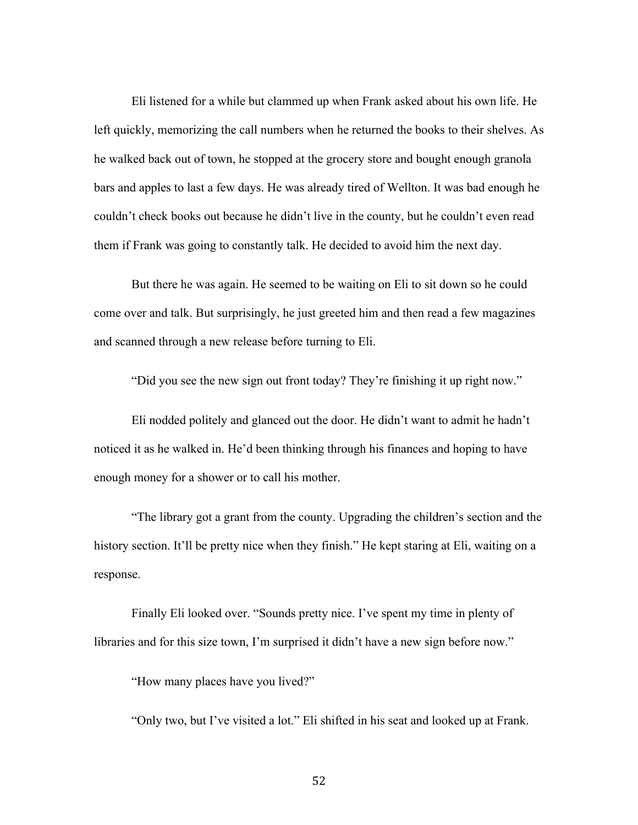Eli listened for a while but clammed up when Frank asked about his own life. He left quickly, memorizing the call numbers when he returned the books to their shelves. As he walked back out of town, he stopped at the grocery store and bought enough granola bars and apples to last a few days. He was already tired of Wellton. It was bad enough he couldn't check books out because he didn't live in the county, but he couldn't even read them if Frank was going to constantly talk. He decided to avoid him the next day.

But there he was again. He seemed to be waiting on Eli to sit down so he could come over and talk. But surprisingly, he just greeted him and then read a few magazines and scanned through a new release before turning to Eli.

"Did you see the new sign out front today? They're finishing it up right now."

Eli nodded politely and glanced out the door. He didn't want to admit he hadn't noticed it as he walked in. He'd been thinking through his finances and hoping to have enough money for a shower or to call his mother.

"The library got a grant from the county. Upgrading the children's section and the history section. It'll be pretty nice when they finish." He kept staring at Eli, waiting on a response.

Finally Eli looked over. "Sounds pretty nice. I've spent my time in plenty of libraries and for this size town, I'm surprised it didn't have a new sign before now."

"How many places have you lived?"

"Only two, but I've visited a lot." Eli shifted in his seat and looked up at Frank.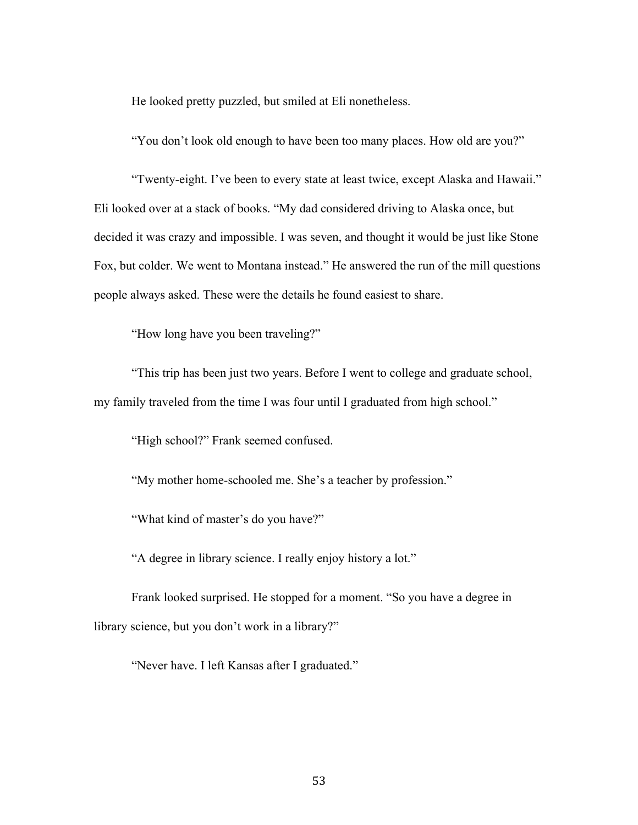He looked pretty puzzled, but smiled at Eli nonetheless.

"You don't look old enough to have been too many places. How old are you?"

"Twenty-eight. I've been to every state at least twice, except Alaska and Hawaii." Eli looked over at a stack of books. "My dad considered driving to Alaska once, but decided it was crazy and impossible. I was seven, and thought it would be just like Stone Fox, but colder. We went to Montana instead." He answered the run of the mill questions people always asked. These were the details he found easiest to share.

"How long have you been traveling?"

"This trip has been just two years. Before I went to college and graduate school, my family traveled from the time I was four until I graduated from high school."

"High school?" Frank seemed confused.

"My mother home-schooled me. She's a teacher by profession."

"What kind of master's do you have?"

"A degree in library science. I really enjoy history a lot."

Frank looked surprised. He stopped for a moment. "So you have a degree in library science, but you don't work in a library?"

"Never have. I left Kansas after I graduated."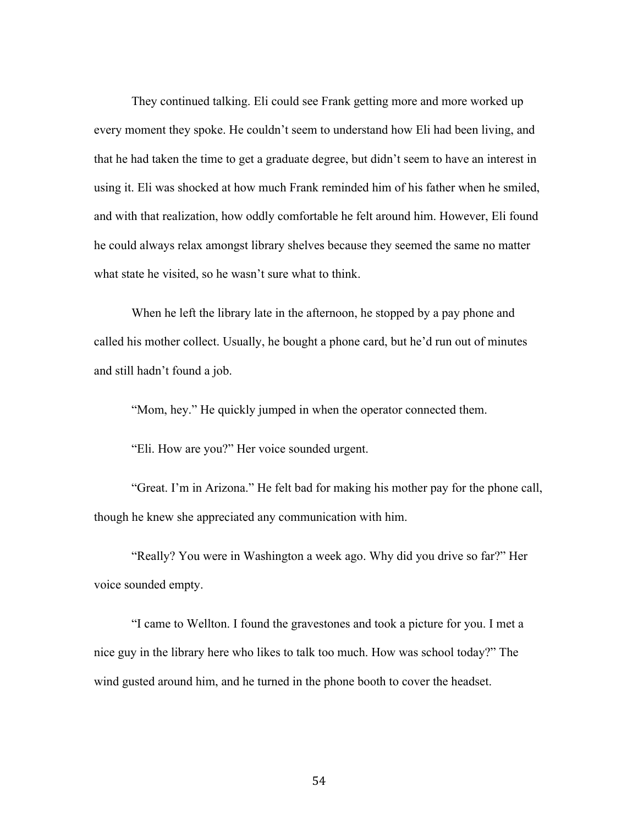They continued talking. Eli could see Frank getting more and more worked up every moment they spoke. He couldn't seem to understand how Eli had been living, and that he had taken the time to get a graduate degree, but didn't seem to have an interest in using it. Eli was shocked at how much Frank reminded him of his father when he smiled, and with that realization, how oddly comfortable he felt around him. However, Eli found he could always relax amongst library shelves because they seemed the same no matter what state he visited, so he wasn't sure what to think.

When he left the library late in the afternoon, he stopped by a pay phone and called his mother collect. Usually, he bought a phone card, but he'd run out of minutes and still hadn't found a job.

"Mom, hey." He quickly jumped in when the operator connected them.

"Eli. How are you?" Her voice sounded urgent.

"Great. I'm in Arizona." He felt bad for making his mother pay for the phone call, though he knew she appreciated any communication with him.

"Really? You were in Washington a week ago. Why did you drive so far?" Her voice sounded empty.

"I came to Wellton. I found the gravestones and took a picture for you. I met a nice guy in the library here who likes to talk too much. How was school today?" The wind gusted around him, and he turned in the phone booth to cover the headset.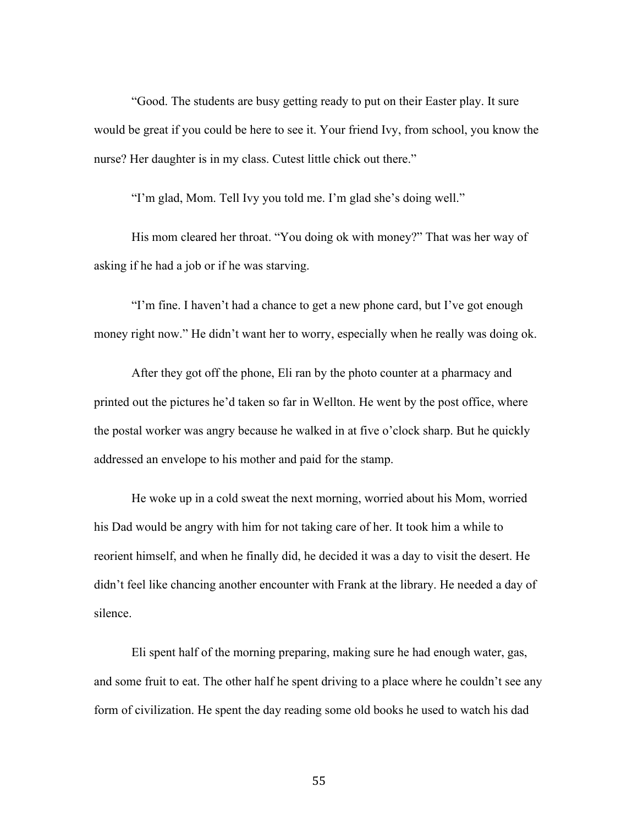"Good. The students are busy getting ready to put on their Easter play. It sure would be great if you could be here to see it. Your friend Ivy, from school, you know the nurse? Her daughter is in my class. Cutest little chick out there."

"I'm glad, Mom. Tell Ivy you told me. I'm glad she's doing well."

His mom cleared her throat. "You doing ok with money?" That was her way of asking if he had a job or if he was starving.

"I'm fine. I haven't had a chance to get a new phone card, but I've got enough money right now." He didn't want her to worry, especially when he really was doing ok.

After they got off the phone, Eli ran by the photo counter at a pharmacy and printed out the pictures he'd taken so far in Wellton. He went by the post office, where the postal worker was angry because he walked in at five o'clock sharp. But he quickly addressed an envelope to his mother and paid for the stamp.

He woke up in a cold sweat the next morning, worried about his Mom, worried his Dad would be angry with him for not taking care of her. It took him a while to reorient himself, and when he finally did, he decided it was a day to visit the desert. He didn't feel like chancing another encounter with Frank at the library. He needed a day of silence.

Eli spent half of the morning preparing, making sure he had enough water, gas, and some fruit to eat. The other half he spent driving to a place where he couldn't see any form of civilization. He spent the day reading some old books he used to watch his dad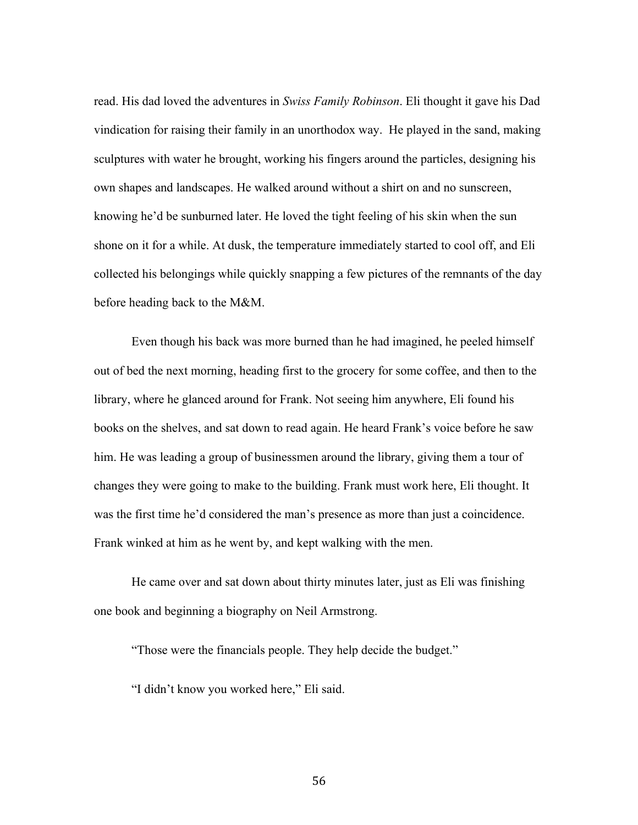read. His dad loved the adventures in *Swiss Family Robinson*. Eli thought it gave his Dad vindication for raising their family in an unorthodox way. He played in the sand, making sculptures with water he brought, working his fingers around the particles, designing his own shapes and landscapes. He walked around without a shirt on and no sunscreen, knowing he'd be sunburned later. He loved the tight feeling of his skin when the sun shone on it for a while. At dusk, the temperature immediately started to cool off, and Eli collected his belongings while quickly snapping a few pictures of the remnants of the day before heading back to the M&M.

Even though his back was more burned than he had imagined, he peeled himself out of bed the next morning, heading first to the grocery for some coffee, and then to the library, where he glanced around for Frank. Not seeing him anywhere, Eli found his books on the shelves, and sat down to read again. He heard Frank's voice before he saw him. He was leading a group of businessmen around the library, giving them a tour of changes they were going to make to the building. Frank must work here, Eli thought. It was the first time he'd considered the man's presence as more than just a coincidence. Frank winked at him as he went by, and kept walking with the men.

He came over and sat down about thirty minutes later, just as Eli was finishing one book and beginning a biography on Neil Armstrong.

"Those were the financials people. They help decide the budget."

"I didn't know you worked here," Eli said.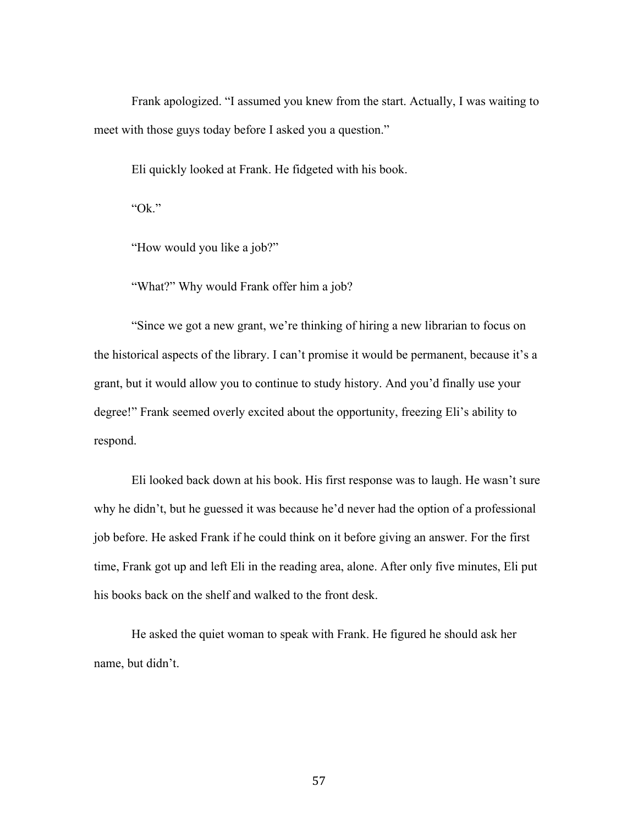Frank apologized. "I assumed you knew from the start. Actually, I was waiting to meet with those guys today before I asked you a question."

Eli quickly looked at Frank. He fidgeted with his book.

"Ok."

"How would you like a job?"

"What?" Why would Frank offer him a job?

"Since we got a new grant, we're thinking of hiring a new librarian to focus on the historical aspects of the library. I can't promise it would be permanent, because it's a grant, but it would allow you to continue to study history. And you'd finally use your degree!" Frank seemed overly excited about the opportunity, freezing Eli's ability to respond.

Eli looked back down at his book. His first response was to laugh. He wasn't sure why he didn't, but he guessed it was because he'd never had the option of a professional job before. He asked Frank if he could think on it before giving an answer. For the first time, Frank got up and left Eli in the reading area, alone. After only five minutes, Eli put his books back on the shelf and walked to the front desk.

He asked the quiet woman to speak with Frank. He figured he should ask her name, but didn't.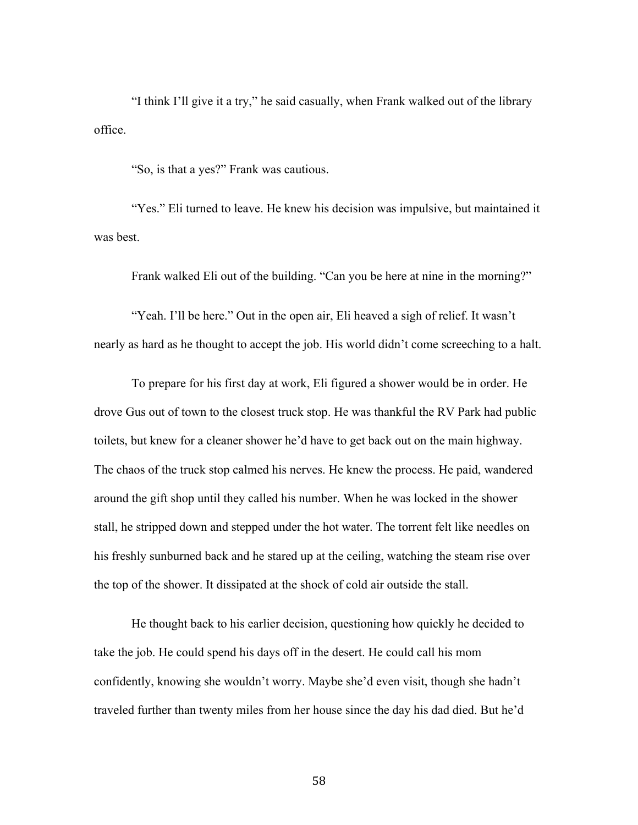"I think I'll give it a try," he said casually, when Frank walked out of the library office.

"So, is that a yes?" Frank was cautious.

"Yes." Eli turned to leave. He knew his decision was impulsive, but maintained it was best.

Frank walked Eli out of the building. "Can you be here at nine in the morning?"

"Yeah. I'll be here." Out in the open air, Eli heaved a sigh of relief. It wasn't nearly as hard as he thought to accept the job. His world didn't come screeching to a halt.

To prepare for his first day at work, Eli figured a shower would be in order. He drove Gus out of town to the closest truck stop. He was thankful the RV Park had public toilets, but knew for a cleaner shower he'd have to get back out on the main highway. The chaos of the truck stop calmed his nerves. He knew the process. He paid, wandered around the gift shop until they called his number. When he was locked in the shower stall, he stripped down and stepped under the hot water. The torrent felt like needles on his freshly sunburned back and he stared up at the ceiling, watching the steam rise over the top of the shower. It dissipated at the shock of cold air outside the stall.

He thought back to his earlier decision, questioning how quickly he decided to take the job. He could spend his days off in the desert. He could call his mom confidently, knowing she wouldn't worry. Maybe she'd even visit, though she hadn't traveled further than twenty miles from her house since the day his dad died. But he'd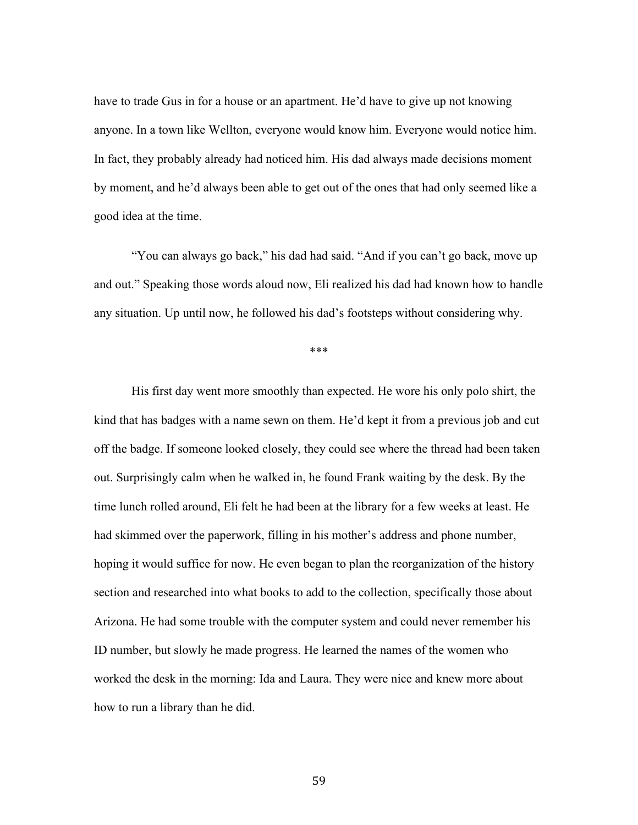have to trade Gus in for a house or an apartment. He'd have to give up not knowing anyone. In a town like Wellton, everyone would know him. Everyone would notice him. In fact, they probably already had noticed him. His dad always made decisions moment by moment, and he'd always been able to get out of the ones that had only seemed like a good idea at the time.

"You can always go back," his dad had said. "And if you can't go back, move up and out." Speaking those words aloud now, Eli realized his dad had known how to handle any situation. Up until now, he followed his dad's footsteps without considering why.

\*\*\*

His first day went more smoothly than expected. He wore his only polo shirt, the kind that has badges with a name sewn on them. He'd kept it from a previous job and cut off the badge. If someone looked closely, they could see where the thread had been taken out. Surprisingly calm when he walked in, he found Frank waiting by the desk. By the time lunch rolled around, Eli felt he had been at the library for a few weeks at least. He had skimmed over the paperwork, filling in his mother's address and phone number, hoping it would suffice for now. He even began to plan the reorganization of the history section and researched into what books to add to the collection, specifically those about Arizona. He had some trouble with the computer system and could never remember his ID number, but slowly he made progress. He learned the names of the women who worked the desk in the morning: Ida and Laura. They were nice and knew more about how to run a library than he did.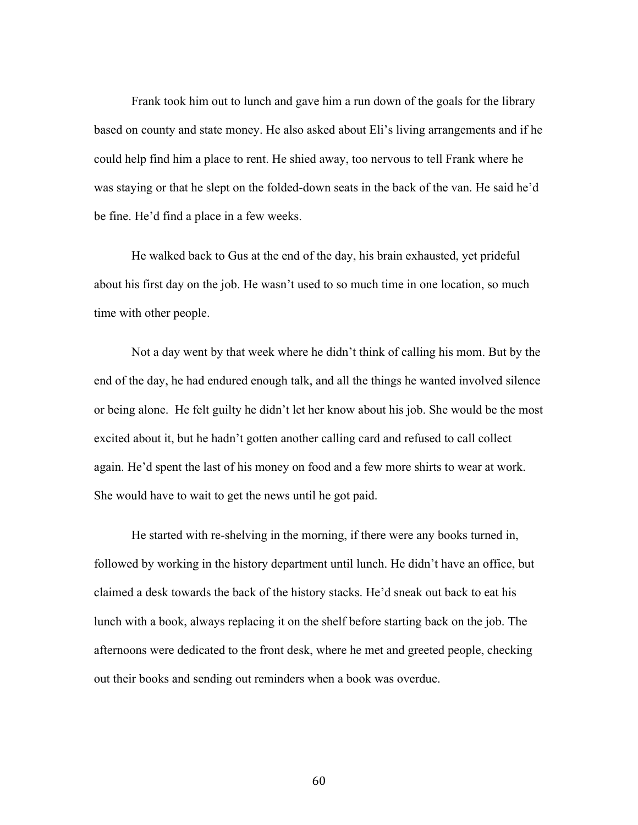Frank took him out to lunch and gave him a run down of the goals for the library based on county and state money. He also asked about Eli's living arrangements and if he could help find him a place to rent. He shied away, too nervous to tell Frank where he was staying or that he slept on the folded-down seats in the back of the van. He said he'd be fine. He'd find a place in a few weeks.

He walked back to Gus at the end of the day, his brain exhausted, yet prideful about his first day on the job. He wasn't used to so much time in one location, so much time with other people.

Not a day went by that week where he didn't think of calling his mom. But by the end of the day, he had endured enough talk, and all the things he wanted involved silence or being alone. He felt guilty he didn't let her know about his job. She would be the most excited about it, but he hadn't gotten another calling card and refused to call collect again. He'd spent the last of his money on food and a few more shirts to wear at work. She would have to wait to get the news until he got paid.

He started with re-shelving in the morning, if there were any books turned in, followed by working in the history department until lunch. He didn't have an office, but claimed a desk towards the back of the history stacks. He'd sneak out back to eat his lunch with a book, always replacing it on the shelf before starting back on the job. The afternoons were dedicated to the front desk, where he met and greeted people, checking out their books and sending out reminders when a book was overdue.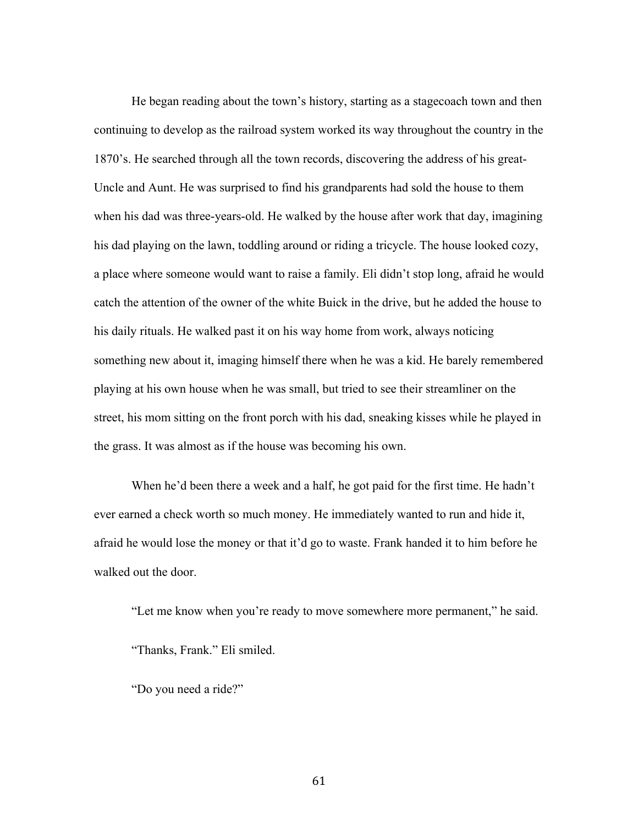He began reading about the town's history, starting as a stagecoach town and then continuing to develop as the railroad system worked its way throughout the country in the 1870's. He searched through all the town records, discovering the address of his great-Uncle and Aunt. He was surprised to find his grandparents had sold the house to them when his dad was three-years-old. He walked by the house after work that day, imagining his dad playing on the lawn, toddling around or riding a tricycle. The house looked cozy, a place where someone would want to raise a family. Eli didn't stop long, afraid he would catch the attention of the owner of the white Buick in the drive, but he added the house to his daily rituals. He walked past it on his way home from work, always noticing something new about it, imaging himself there when he was a kid. He barely remembered playing at his own house when he was small, but tried to see their streamliner on the street, his mom sitting on the front porch with his dad, sneaking kisses while he played in the grass. It was almost as if the house was becoming his own.

When he'd been there a week and a half, he got paid for the first time. He hadn't ever earned a check worth so much money. He immediately wanted to run and hide it, afraid he would lose the money or that it'd go to waste. Frank handed it to him before he walked out the door.

"Let me know when you're ready to move somewhere more permanent," he said. "Thanks, Frank." Eli smiled.

"Do you need a ride?"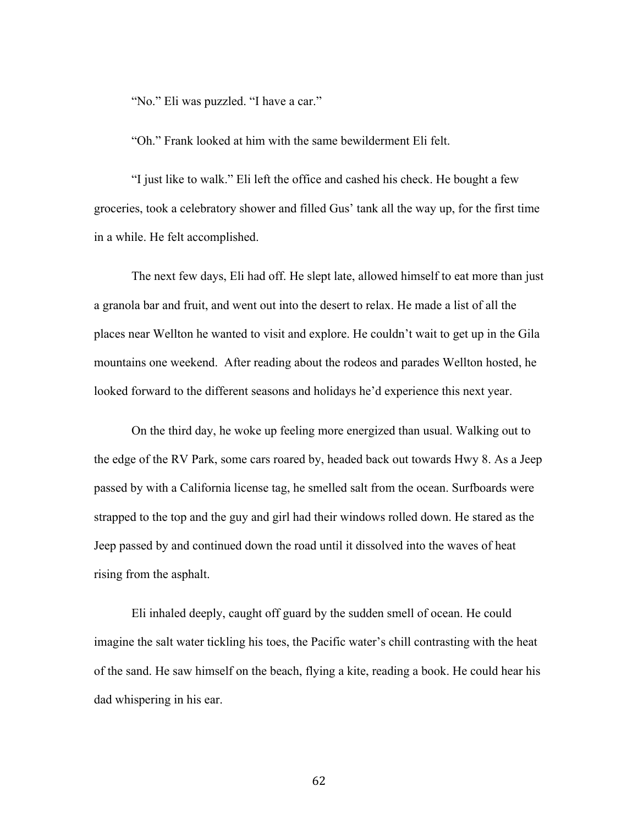"No." Eli was puzzled. "I have a car."

"Oh." Frank looked at him with the same bewilderment Eli felt.

"I just like to walk." Eli left the office and cashed his check. He bought a few groceries, took a celebratory shower and filled Gus' tank all the way up, for the first time in a while. He felt accomplished.

The next few days, Eli had off. He slept late, allowed himself to eat more than just a granola bar and fruit, and went out into the desert to relax. He made a list of all the places near Wellton he wanted to visit and explore. He couldn't wait to get up in the Gila mountains one weekend. After reading about the rodeos and parades Wellton hosted, he looked forward to the different seasons and holidays he'd experience this next year.

On the third day, he woke up feeling more energized than usual. Walking out to the edge of the RV Park, some cars roared by, headed back out towards Hwy 8. As a Jeep passed by with a California license tag, he smelled salt from the ocean. Surfboards were strapped to the top and the guy and girl had their windows rolled down. He stared as the Jeep passed by and continued down the road until it dissolved into the waves of heat rising from the asphalt.

Eli inhaled deeply, caught off guard by the sudden smell of ocean. He could imagine the salt water tickling his toes, the Pacific water's chill contrasting with the heat of the sand. He saw himself on the beach, flying a kite, reading a book. He could hear his dad whispering in his ear.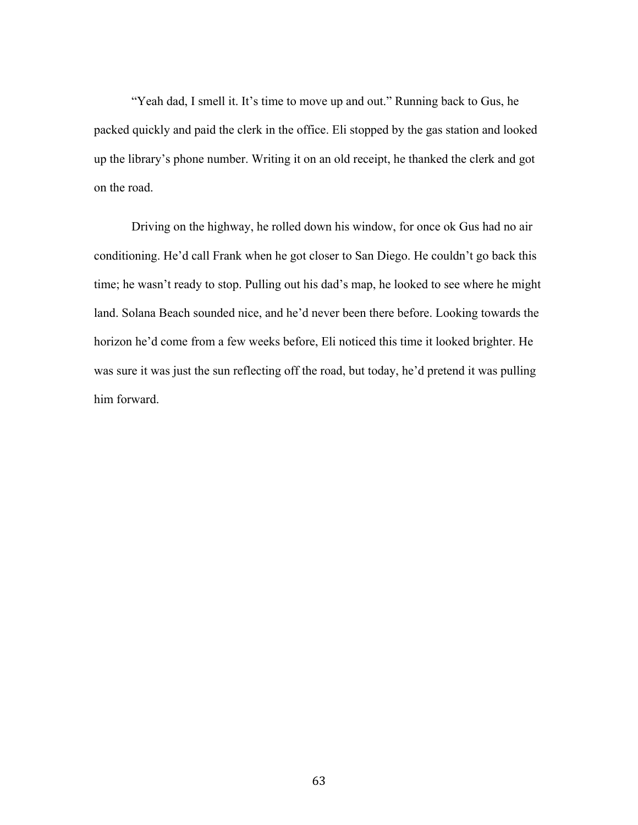"Yeah dad, I smell it. It's time to move up and out." Running back to Gus, he packed quickly and paid the clerk in the office. Eli stopped by the gas station and looked up the library's phone number. Writing it on an old receipt, he thanked the clerk and got on the road.

Driving on the highway, he rolled down his window, for once ok Gus had no air conditioning. He'd call Frank when he got closer to San Diego. He couldn't go back this time; he wasn't ready to stop. Pulling out his dad's map, he looked to see where he might land. Solana Beach sounded nice, and he'd never been there before. Looking towards the horizon he'd come from a few weeks before, Eli noticed this time it looked brighter. He was sure it was just the sun reflecting off the road, but today, he'd pretend it was pulling him forward.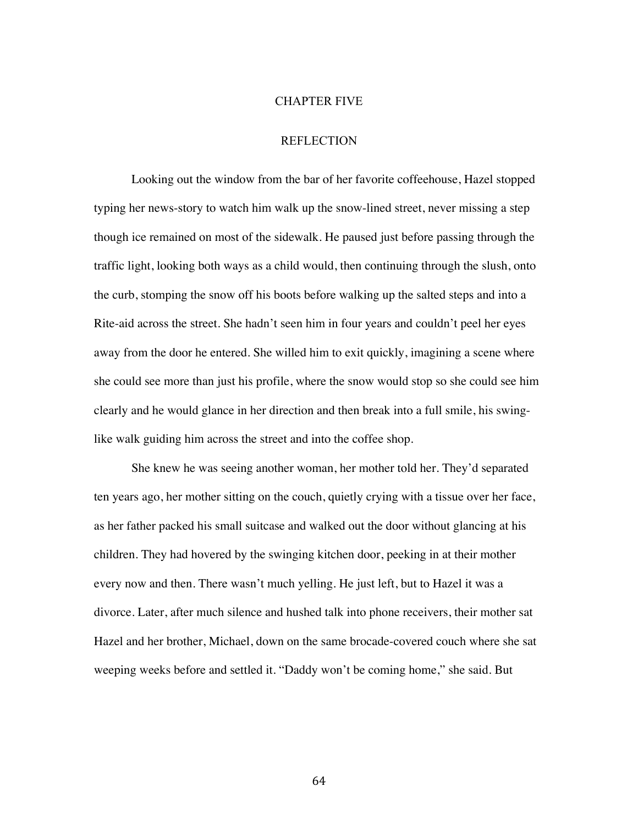#### CHAPTER FIVE

# **REFLECTION**

Looking out the window from the bar of her favorite coffeehouse, Hazel stopped typing her news-story to watch him walk up the snow-lined street, never missing a step though ice remained on most of the sidewalk. He paused just before passing through the traffic light, looking both ways as a child would, then continuing through the slush, onto the curb, stomping the snow off his boots before walking up the salted steps and into a Rite-aid across the street. She hadn't seen him in four years and couldn't peel her eyes away from the door he entered. She willed him to exit quickly, imagining a scene where she could see more than just his profile, where the snow would stop so she could see him clearly and he would glance in her direction and then break into a full smile, his swinglike walk guiding him across the street and into the coffee shop.

She knew he was seeing another woman, her mother told her. They'd separated ten years ago, her mother sitting on the couch, quietly crying with a tissue over her face, as her father packed his small suitcase and walked out the door without glancing at his children. They had hovered by the swinging kitchen door, peeking in at their mother every now and then. There wasn't much yelling. He just left, but to Hazel it was a divorce. Later, after much silence and hushed talk into phone receivers, their mother sat Hazel and her brother, Michael, down on the same brocade-covered couch where she sat weeping weeks before and settled it. "Daddy won't be coming home," she said. But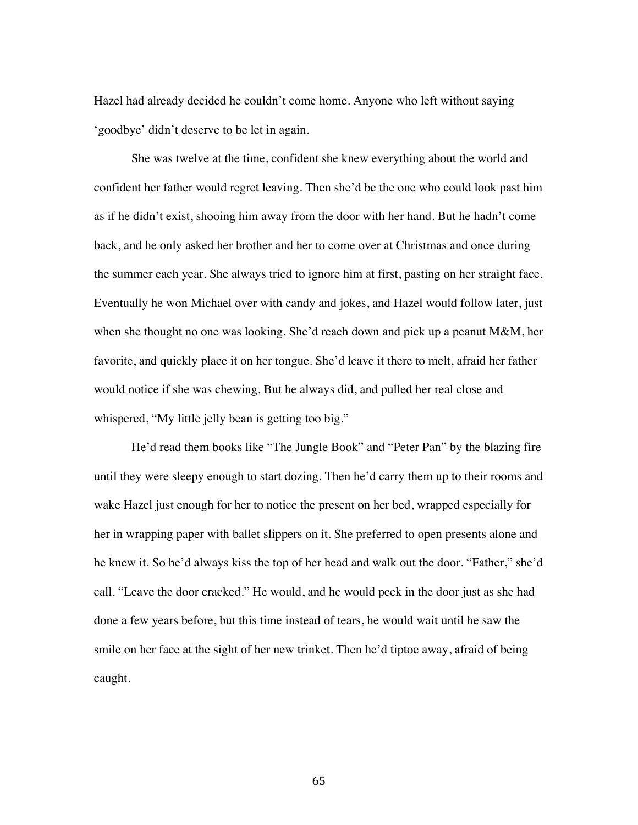Hazel had already decided he couldn't come home. Anyone who left without saying 'goodbye' didn't deserve to be let in again.

She was twelve at the time, confident she knew everything about the world and confident her father would regret leaving. Then she'd be the one who could look past him as if he didn't exist, shooing him away from the door with her hand. But he hadn't come back, and he only asked her brother and her to come over at Christmas and once during the summer each year. She always tried to ignore him at first, pasting on her straight face. Eventually he won Michael over with candy and jokes, and Hazel would follow later, just when she thought no one was looking. She'd reach down and pick up a peanut M&M, her favorite, and quickly place it on her tongue. She'd leave it there to melt, afraid her father would notice if she was chewing. But he always did, and pulled her real close and whispered, "My little jelly bean is getting too big."

He'd read them books like "The Jungle Book" and "Peter Pan" by the blazing fire until they were sleepy enough to start dozing. Then he'd carry them up to their rooms and wake Hazel just enough for her to notice the present on her bed, wrapped especially for her in wrapping paper with ballet slippers on it. She preferred to open presents alone and he knew it. So he'd always kiss the top of her head and walk out the door. "Father," she'd call. "Leave the door cracked." He would, and he would peek in the door just as she had done a few years before, but this time instead of tears, he would wait until he saw the smile on her face at the sight of her new trinket. Then he'd tiptoe away, afraid of being caught.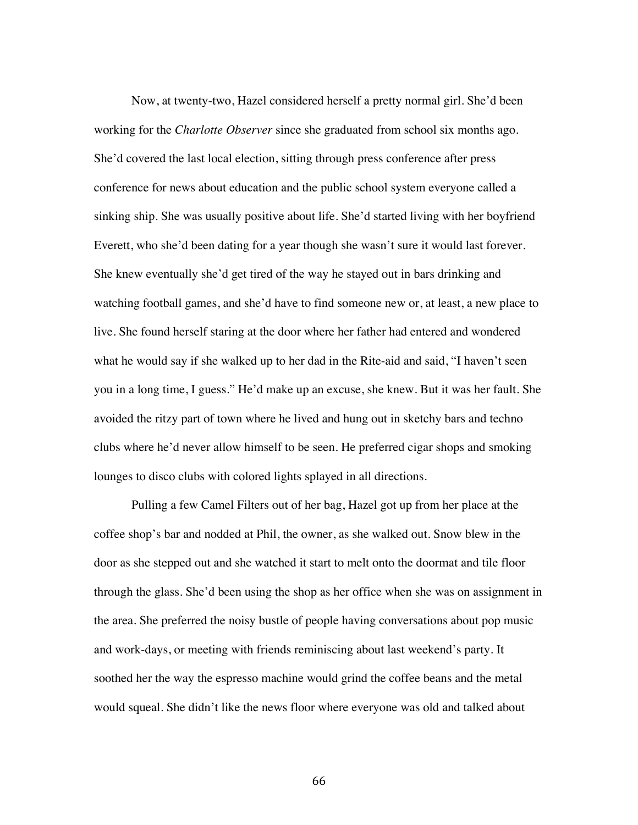Now, at twenty-two, Hazel considered herself a pretty normal girl. She'd been working for the *Charlotte Observer* since she graduated from school six months ago. She'd covered the last local election, sitting through press conference after press conference for news about education and the public school system everyone called a sinking ship. She was usually positive about life. She'd started living with her boyfriend Everett, who she'd been dating for a year though she wasn't sure it would last forever. She knew eventually she'd get tired of the way he stayed out in bars drinking and watching football games, and she'd have to find someone new or, at least, a new place to live. She found herself staring at the door where her father had entered and wondered what he would say if she walked up to her dad in the Rite-aid and said, "I haven't seen you in a long time, I guess." He'd make up an excuse, she knew. But it was her fault. She avoided the ritzy part of town where he lived and hung out in sketchy bars and techno clubs where he'd never allow himself to be seen. He preferred cigar shops and smoking lounges to disco clubs with colored lights splayed in all directions.

Pulling a few Camel Filters out of her bag, Hazel got up from her place at the coffee shop's bar and nodded at Phil, the owner, as she walked out. Snow blew in the door as she stepped out and she watched it start to melt onto the doormat and tile floor through the glass. She'd been using the shop as her office when she was on assignment in the area. She preferred the noisy bustle of people having conversations about pop music and work-days, or meeting with friends reminiscing about last weekend's party. It soothed her the way the espresso machine would grind the coffee beans and the metal would squeal. She didn't like the news floor where everyone was old and talked about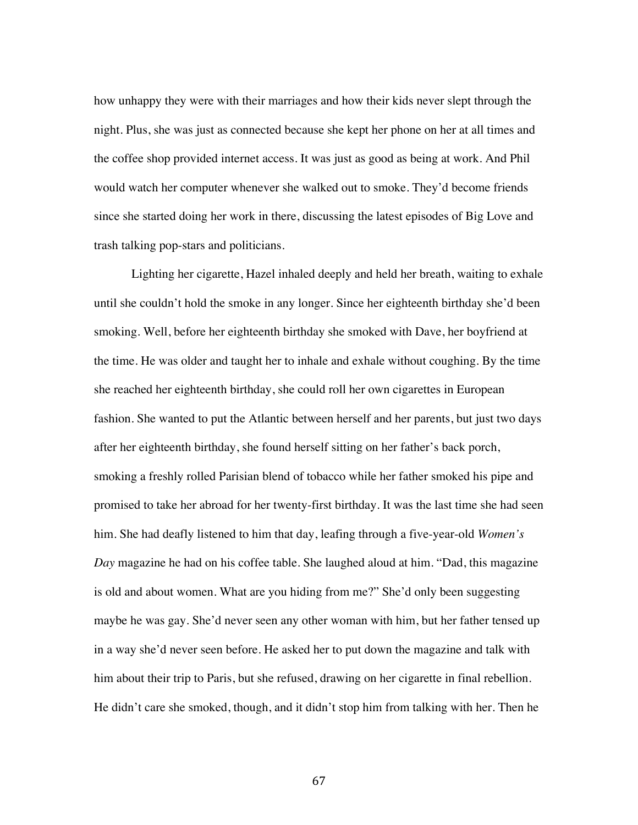how unhappy they were with their marriages and how their kids never slept through the night. Plus, she was just as connected because she kept her phone on her at all times and the coffee shop provided internet access. It was just as good as being at work. And Phil would watch her computer whenever she walked out to smoke. They'd become friends since she started doing her work in there, discussing the latest episodes of Big Love and trash talking pop-stars and politicians.

Lighting her cigarette, Hazel inhaled deeply and held her breath, waiting to exhale until she couldn't hold the smoke in any longer. Since her eighteenth birthday she'd been smoking. Well, before her eighteenth birthday she smoked with Dave, her boyfriend at the time. He was older and taught her to inhale and exhale without coughing. By the time she reached her eighteenth birthday, she could roll her own cigarettes in European fashion. She wanted to put the Atlantic between herself and her parents, but just two days after her eighteenth birthday, she found herself sitting on her father's back porch, smoking a freshly rolled Parisian blend of tobacco while her father smoked his pipe and promised to take her abroad for her twenty-first birthday. It was the last time she had seen him. She had deafly listened to him that day, leafing through a five-year-old *Women's Day* magazine he had on his coffee table. She laughed aloud at him. "Dad, this magazine is old and about women. What are you hiding from me?" She'd only been suggesting maybe he was gay. She'd never seen any other woman with him, but her father tensed up in a way she'd never seen before. He asked her to put down the magazine and talk with him about their trip to Paris, but she refused, drawing on her cigarette in final rebellion. He didn't care she smoked, though, and it didn't stop him from talking with her. Then he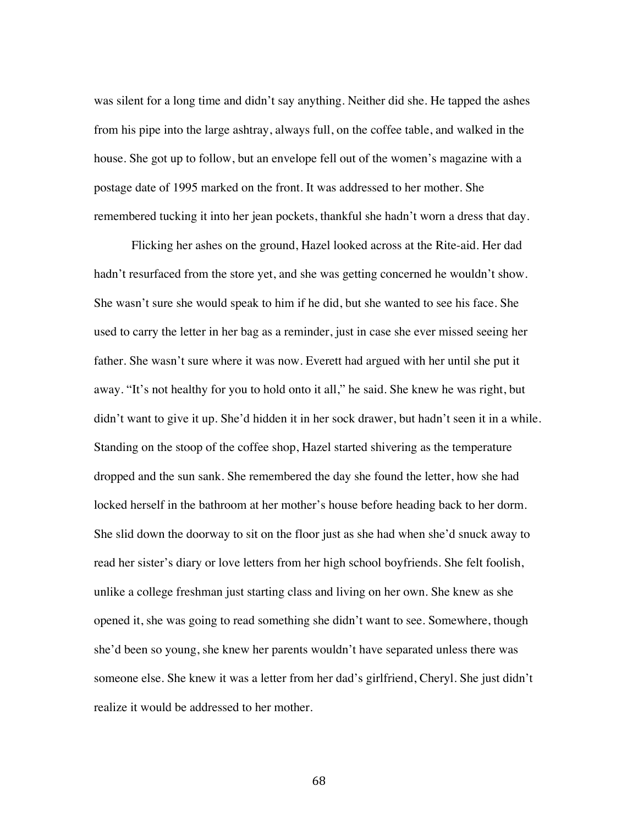was silent for a long time and didn't say anything. Neither did she. He tapped the ashes from his pipe into the large ashtray, always full, on the coffee table, and walked in the house. She got up to follow, but an envelope fell out of the women's magazine with a postage date of 1995 marked on the front. It was addressed to her mother. She remembered tucking it into her jean pockets, thankful she hadn't worn a dress that day.

Flicking her ashes on the ground, Hazel looked across at the Rite-aid. Her dad hadn't resurfaced from the store yet, and she was getting concerned he wouldn't show. She wasn't sure she would speak to him if he did, but she wanted to see his face. She used to carry the letter in her bag as a reminder, just in case she ever missed seeing her father. She wasn't sure where it was now. Everett had argued with her until she put it away. "It's not healthy for you to hold onto it all," he said. She knew he was right, but didn't want to give it up. She'd hidden it in her sock drawer, but hadn't seen it in a while. Standing on the stoop of the coffee shop, Hazel started shivering as the temperature dropped and the sun sank. She remembered the day she found the letter, how she had locked herself in the bathroom at her mother's house before heading back to her dorm. She slid down the doorway to sit on the floor just as she had when she'd snuck away to read her sister's diary or love letters from her high school boyfriends. She felt foolish, unlike a college freshman just starting class and living on her own. She knew as she opened it, she was going to read something she didn't want to see. Somewhere, though she'd been so young, she knew her parents wouldn't have separated unless there was someone else. She knew it was a letter from her dad's girlfriend, Cheryl. She just didn't realize it would be addressed to her mother.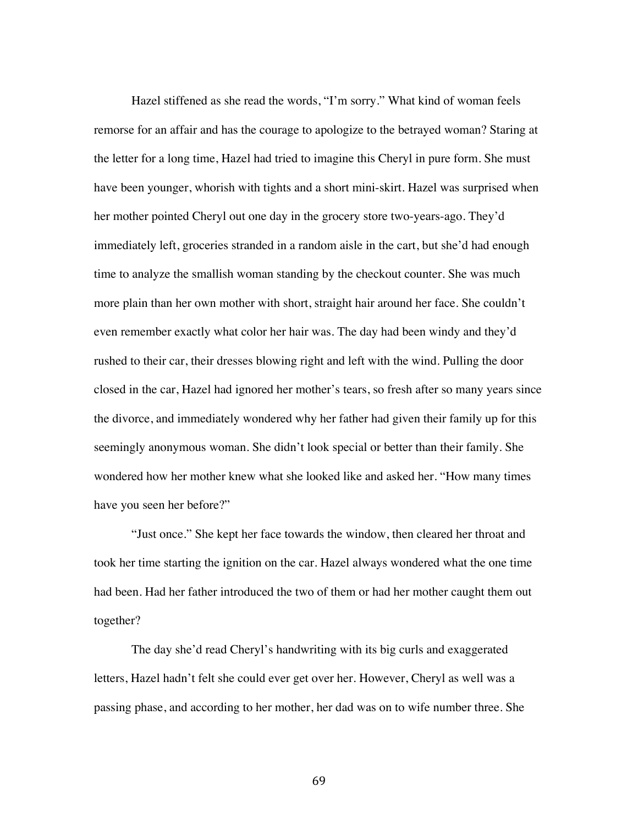Hazel stiffened as she read the words, "I'm sorry." What kind of woman feels remorse for an affair and has the courage to apologize to the betrayed woman? Staring at the letter for a long time, Hazel had tried to imagine this Cheryl in pure form. She must have been younger, whorish with tights and a short mini-skirt. Hazel was surprised when her mother pointed Cheryl out one day in the grocery store two-years-ago. They'd immediately left, groceries stranded in a random aisle in the cart, but she'd had enough time to analyze the smallish woman standing by the checkout counter. She was much more plain than her own mother with short, straight hair around her face. She couldn't even remember exactly what color her hair was. The day had been windy and they'd rushed to their car, their dresses blowing right and left with the wind. Pulling the door closed in the car, Hazel had ignored her mother's tears, so fresh after so many years since the divorce, and immediately wondered why her father had given their family up for this seemingly anonymous woman. She didn't look special or better than their family. She wondered how her mother knew what she looked like and asked her. "How many times have you seen her before?"

"Just once." She kept her face towards the window, then cleared her throat and took her time starting the ignition on the car. Hazel always wondered what the one time had been. Had her father introduced the two of them or had her mother caught them out together?

The day she'd read Cheryl's handwriting with its big curls and exaggerated letters, Hazel hadn't felt she could ever get over her. However, Cheryl as well was a passing phase, and according to her mother, her dad was on to wife number three. She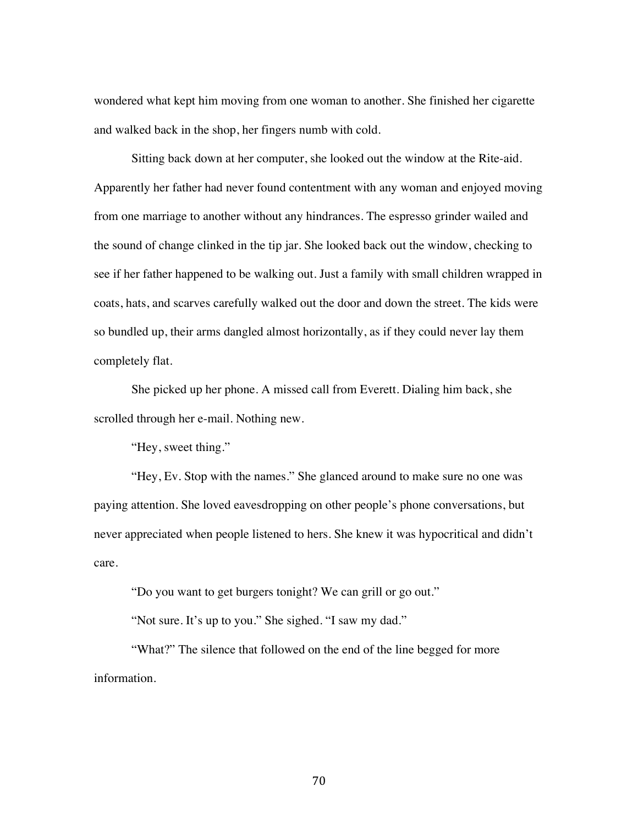wondered what kept him moving from one woman to another. She finished her cigarette and walked back in the shop, her fingers numb with cold.

Sitting back down at her computer, she looked out the window at the Rite-aid. Apparently her father had never found contentment with any woman and enjoyed moving from one marriage to another without any hindrances. The espresso grinder wailed and the sound of change clinked in the tip jar. She looked back out the window, checking to see if her father happened to be walking out. Just a family with small children wrapped in coats, hats, and scarves carefully walked out the door and down the street. The kids were so bundled up, their arms dangled almost horizontally, as if they could never lay them completely flat.

She picked up her phone. A missed call from Everett. Dialing him back, she scrolled through her e-mail. Nothing new.

"Hey, sweet thing."

"Hey, Ev. Stop with the names." She glanced around to make sure no one was paying attention. She loved eavesdropping on other people's phone conversations, but never appreciated when people listened to hers. She knew it was hypocritical and didn't care.

"Do you want to get burgers tonight? We can grill or go out."

"Not sure. It's up to you." She sighed. "I saw my dad."

"What?" The silence that followed on the end of the line begged for more information.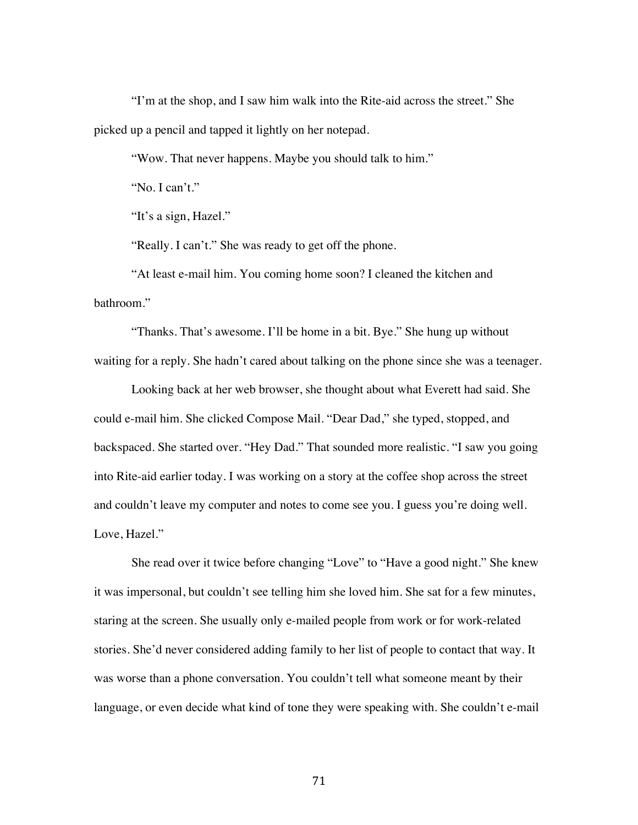"I'm at the shop, and I saw him walk into the Rite-aid across the street." She picked up a pencil and tapped it lightly on her notepad.

"Wow. That never happens. Maybe you should talk to him."

"No. I can't."

"It's a sign, Hazel."

"Really. I can't." She was ready to get off the phone.

"At least e-mail him. You coming home soon? I cleaned the kitchen and bathroom."

"Thanks. That's awesome. I'll be home in a bit. Bye." She hung up without waiting for a reply. She hadn't cared about talking on the phone since she was a teenager.

Looking back at her web browser, she thought about what Everett had said. She could e-mail him. She clicked Compose Mail. "Dear Dad," she typed, stopped, and backspaced. She started over. "Hey Dad." That sounded more realistic. "I saw you going into Rite-aid earlier today. I was working on a story at the coffee shop across the street and couldn't leave my computer and notes to come see you. I guess you're doing well. Love, Hazel."

She read over it twice before changing "Love" to "Have a good night." She knew it was impersonal, but couldn't see telling him she loved him. She sat for a few minutes, staring at the screen. She usually only e-mailed people from work or for work-related stories. She'd never considered adding family to her list of people to contact that way. It was worse than a phone conversation. You couldn't tell what someone meant by their language, or even decide what kind of tone they were speaking with. She couldn't e-mail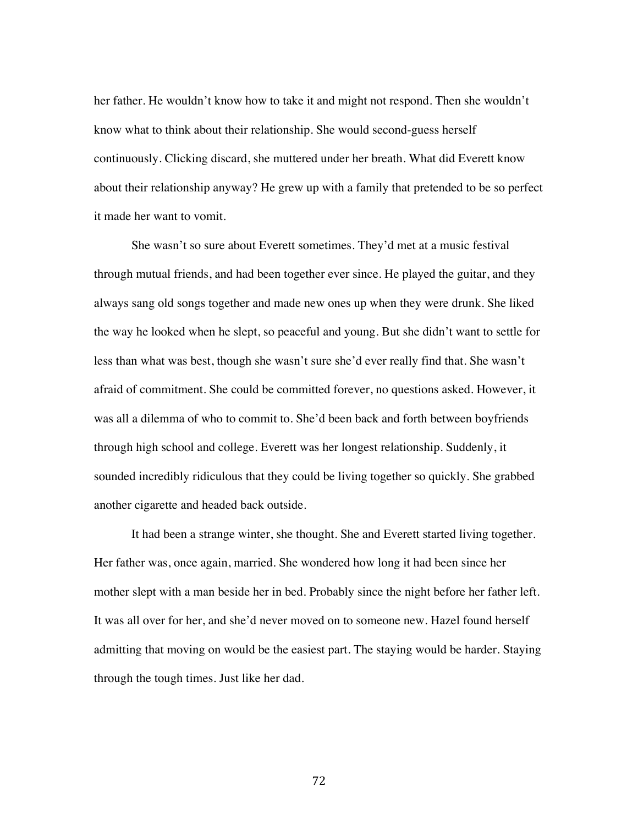her father. He wouldn't know how to take it and might not respond. Then she wouldn't know what to think about their relationship. She would second-guess herself continuously. Clicking discard, she muttered under her breath. What did Everett know about their relationship anyway? He grew up with a family that pretended to be so perfect it made her want to vomit.

She wasn't so sure about Everett sometimes. They'd met at a music festival through mutual friends, and had been together ever since. He played the guitar, and they always sang old songs together and made new ones up when they were drunk. She liked the way he looked when he slept, so peaceful and young. But she didn't want to settle for less than what was best, though she wasn't sure she'd ever really find that. She wasn't afraid of commitment. She could be committed forever, no questions asked. However, it was all a dilemma of who to commit to. She'd been back and forth between boyfriends through high school and college. Everett was her longest relationship. Suddenly, it sounded incredibly ridiculous that they could be living together so quickly. She grabbed another cigarette and headed back outside.

It had been a strange winter, she thought. She and Everett started living together. Her father was, once again, married. She wondered how long it had been since her mother slept with a man beside her in bed. Probably since the night before her father left. It was all over for her, and she'd never moved on to someone new. Hazel found herself admitting that moving on would be the easiest part. The staying would be harder. Staying through the tough times. Just like her dad.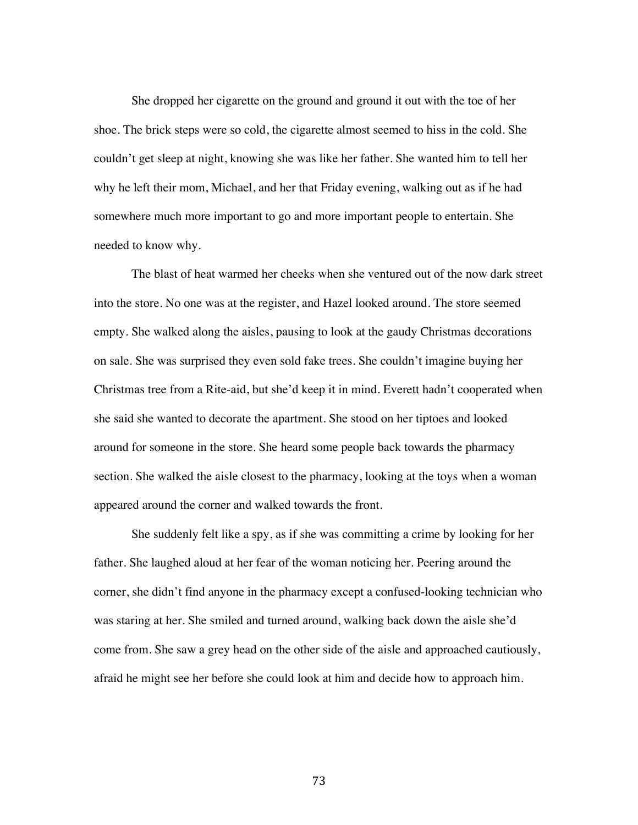She dropped her cigarette on the ground and ground it out with the toe of her shoe. The brick steps were so cold, the cigarette almost seemed to hiss in the cold. She couldn't get sleep at night, knowing she was like her father. She wanted him to tell her why he left their mom, Michael, and her that Friday evening, walking out as if he had somewhere much more important to go and more important people to entertain. She needed to know why.

The blast of heat warmed her cheeks when she ventured out of the now dark street into the store. No one was at the register, and Hazel looked around. The store seemed empty. She walked along the aisles, pausing to look at the gaudy Christmas decorations on sale. She was surprised they even sold fake trees. She couldn't imagine buying her Christmas tree from a Rite-aid, but she'd keep it in mind. Everett hadn't cooperated when she said she wanted to decorate the apartment. She stood on her tiptoes and looked around for someone in the store. She heard some people back towards the pharmacy section. She walked the aisle closest to the pharmacy, looking at the toys when a woman appeared around the corner and walked towards the front.

She suddenly felt like a spy, as if she was committing a crime by looking for her father. She laughed aloud at her fear of the woman noticing her. Peering around the corner, she didn't find anyone in the pharmacy except a confused-looking technician who was staring at her. She smiled and turned around, walking back down the aisle she'd come from. She saw a grey head on the other side of the aisle and approached cautiously, afraid he might see her before she could look at him and decide how to approach him.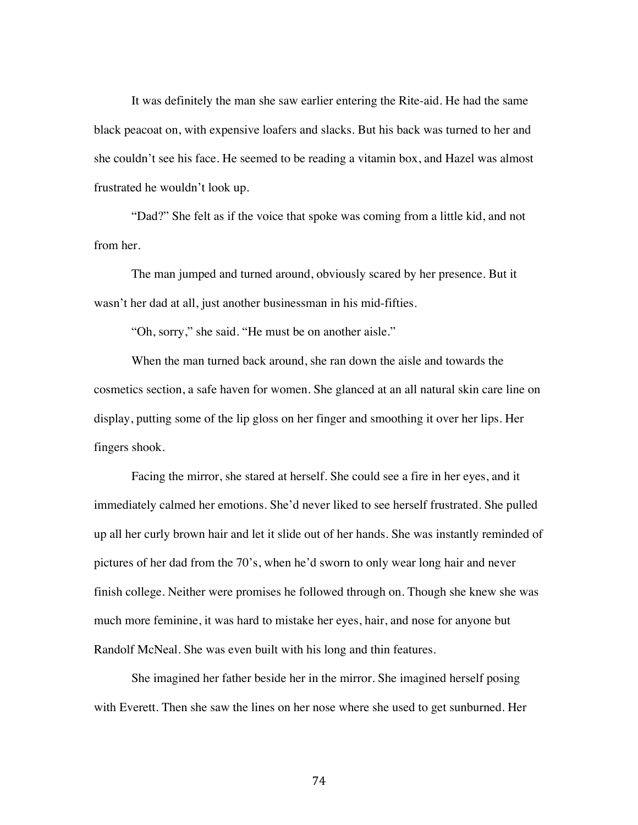It was definitely the man she saw earlier entering the Rite-aid. He had the same black peacoat on, with expensive loafers and slacks. But his back was turned to her and she couldn't see his face. He seemed to be reading a vitamin box, and Hazel was almost frustrated he wouldn't look up.

"Dad?" She felt as if the voice that spoke was coming from a little kid, and not from her.

The man jumped and turned around, obviously scared by her presence. But it wasn't her dad at all, just another businessman in his mid-fifties.

"Oh, sorry," she said. "He must be on another aisle."

When the man turned back around, she ran down the aisle and towards the cosmetics section, a safe haven for women. She glanced at an all natural skin care line on display, putting some of the lip gloss on her finger and smoothing it over her lips. Her fingers shook.

Facing the mirror, she stared at herself. She could see a fire in her eyes, and it immediately calmed her emotions. She'd never liked to see herself frustrated. She pulled up all her curly brown hair and let it slide out of her hands. She was instantly reminded of pictures of her dad from the 70's, when he'd sworn to only wear long hair and never finish college. Neither were promises he followed through on. Though she knew she was much more feminine, it was hard to mistake her eyes, hair, and nose for anyone but Randolf McNeal. She was even built with his long and thin features.

She imagined her father beside her in the mirror. She imagined herself posing with Everett. Then she saw the lines on her nose where she used to get sunburned. Her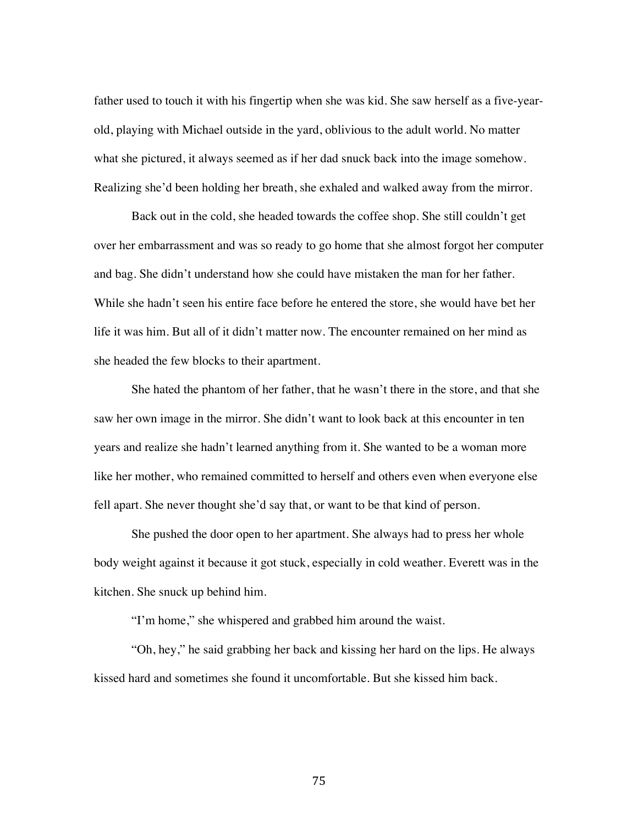father used to touch it with his fingertip when she was kid. She saw herself as a five-yearold, playing with Michael outside in the yard, oblivious to the adult world. No matter what she pictured, it always seemed as if her dad snuck back into the image somehow. Realizing she'd been holding her breath, she exhaled and walked away from the mirror.

Back out in the cold, she headed towards the coffee shop. She still couldn't get over her embarrassment and was so ready to go home that she almost forgot her computer and bag. She didn't understand how she could have mistaken the man for her father. While she hadn't seen his entire face before he entered the store, she would have bet her life it was him. But all of it didn't matter now. The encounter remained on her mind as she headed the few blocks to their apartment.

She hated the phantom of her father, that he wasn't there in the store, and that she saw her own image in the mirror. She didn't want to look back at this encounter in ten years and realize she hadn't learned anything from it. She wanted to be a woman more like her mother, who remained committed to herself and others even when everyone else fell apart. She never thought she'd say that, or want to be that kind of person.

She pushed the door open to her apartment. She always had to press her whole body weight against it because it got stuck, especially in cold weather. Everett was in the kitchen. She snuck up behind him.

"I'm home," she whispered and grabbed him around the waist.

"Oh, hey," he said grabbing her back and kissing her hard on the lips. He always kissed hard and sometimes she found it uncomfortable. But she kissed him back.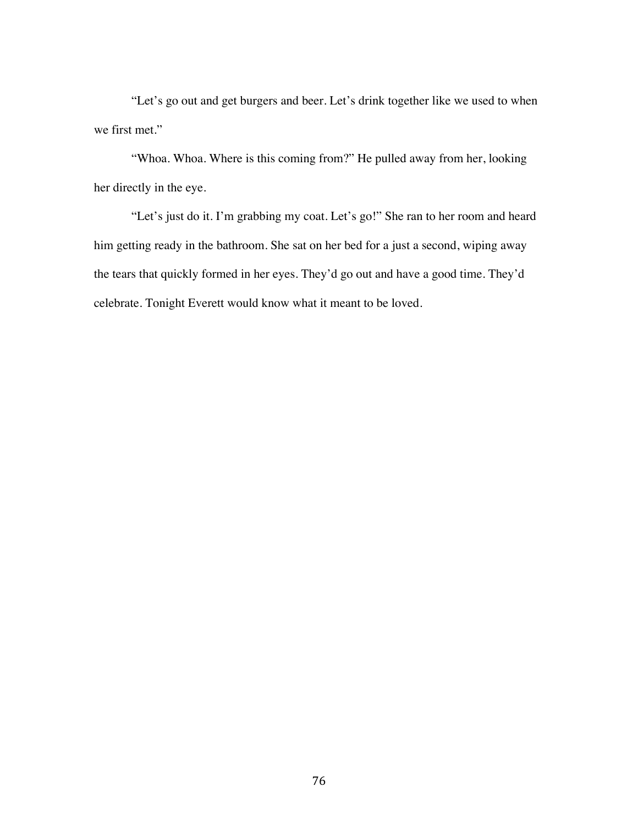"Let's go out and get burgers and beer. Let's drink together like we used to when we first met."

"Whoa. Whoa. Where is this coming from?" He pulled away from her, looking her directly in the eye.

"Let's just do it. I'm grabbing my coat. Let's go!" She ran to her room and heard him getting ready in the bathroom. She sat on her bed for a just a second, wiping away the tears that quickly formed in her eyes. They'd go out and have a good time. They'd celebrate. Tonight Everett would know what it meant to be loved.